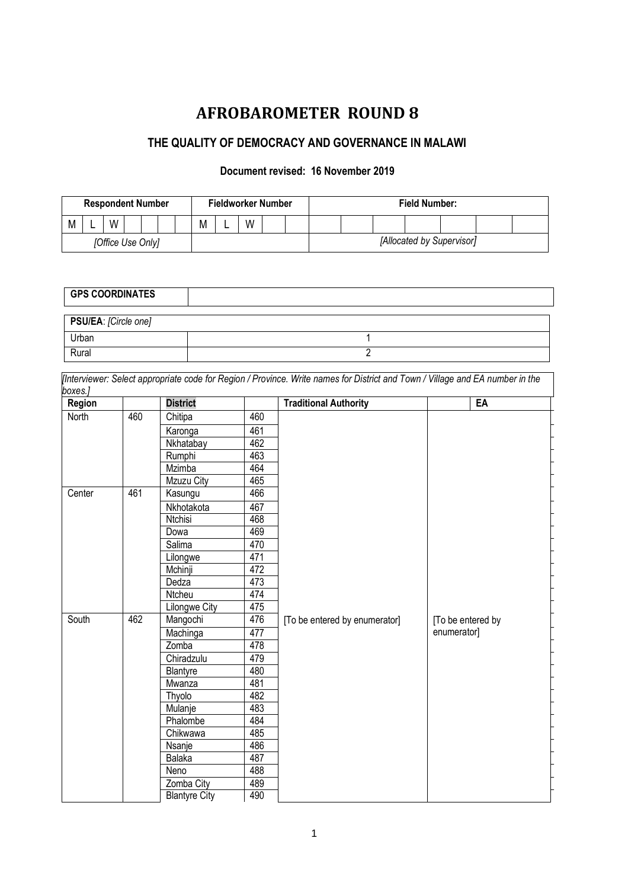# **AFROBAROMETER ROUND 8**

# **THE QUALITY OF DEMOCRACY AND GOVERNANCE IN MALAWI**

## **Document revised: 16 November 2019**

| <b>Respondent Number</b> |  |   | Fieldworker Number |  |  |  | <b>Field Number:</b> |  |   |  |  |                           |  |  |  |  |  |  |
|--------------------------|--|---|--------------------|--|--|--|----------------------|--|---|--|--|---------------------------|--|--|--|--|--|--|
| M                        |  | W |                    |  |  |  | М                    |  | W |  |  |                           |  |  |  |  |  |  |
| [Office Use Only]        |  |   |                    |  |  |  |                      |  |   |  |  | [Allocated by Supervisor] |  |  |  |  |  |  |

| <b>GPS COORDINATES</b> |  |
|------------------------|--|
| PSU/EA: [Circle one]   |  |
| Urban                  |  |
| Rural                  |  |

| Region |     | <b>District</b>      |     | <b>Traditional Authority</b>  | EA                |
|--------|-----|----------------------|-----|-------------------------------|-------------------|
| North  | 460 | Chitipa              | 460 |                               |                   |
|        |     | Karonga              | 461 |                               |                   |
|        |     | Nkhatabay            | 462 |                               |                   |
|        |     | Rumphi               | 463 |                               |                   |
|        |     | Mzimba               | 464 |                               |                   |
|        |     | <b>Mzuzu City</b>    | 465 |                               |                   |
| Center | 461 | Kasungu              | 466 |                               |                   |
|        |     | Nkhotakota           | 467 |                               |                   |
|        |     | Ntchisi              | 468 |                               |                   |
|        |     | Dowa                 | 469 |                               |                   |
|        |     | Salima               | 470 |                               |                   |
|        |     | Lilongwe             | 471 |                               |                   |
|        |     | Mchinji              | 472 |                               |                   |
|        |     | Dedza                | 473 |                               |                   |
|        |     | Ntcheu               | 474 |                               |                   |
|        |     | Lilongwe City        | 475 |                               |                   |
| South  | 462 | Mangochi             | 476 | [To be entered by enumerator] | [To be entered by |
|        |     | Machinga             | 477 |                               | enumerator]       |
|        |     | Zomba                | 478 |                               |                   |
|        |     | Chiradzulu           | 479 |                               |                   |
|        |     | Blantyre             | 480 |                               |                   |
|        |     | Mwanza               | 481 |                               |                   |
|        |     | Thyolo               | 482 |                               |                   |
|        |     | Mulanje              | 483 |                               |                   |
|        |     | Phalombe             | 484 |                               |                   |
|        |     | Chikwawa             | 485 |                               |                   |
|        |     | Nsanje               | 486 |                               |                   |
|        |     | Balaka               | 487 |                               |                   |
|        |     | Neno                 | 488 |                               |                   |
|        |     | Zomba City           | 489 |                               |                   |
|        |     | <b>Blantyre City</b> | 490 |                               |                   |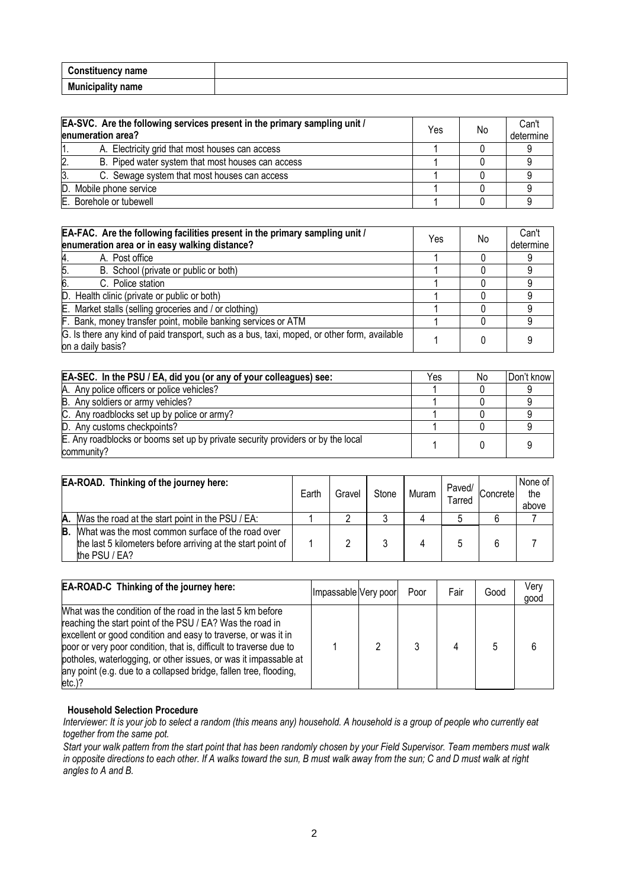| <b>Constituency name</b> |  |
|--------------------------|--|
| <b>Municipality name</b> |  |

|     | EA-SVC. Are the following services present in the primary sampling unit /<br>enumeration area? | Yes | No | Can't<br>determine |
|-----|------------------------------------------------------------------------------------------------|-----|----|--------------------|
|     | A. Electricity grid that most houses can access                                                |     |    |                    |
|     | B. Piped water system that most houses can access                                              |     |    |                    |
| 13. | C. Sewage system that most houses can access                                                   |     |    |                    |
|     | D. Mobile phone service                                                                        |     |    |                    |
|     | E. Borehole or tubewell                                                                        |     |    |                    |

| EA-FAC. Are the following facilities present in the primary sampling unit /<br>enumeration area or in easy walking distance? | Yes | No | Can't<br>determine |
|------------------------------------------------------------------------------------------------------------------------------|-----|----|--------------------|
| A. Post office<br>Α.                                                                                                         |     |    |                    |
| $\overline{5}$ .<br>B. School (private or public or both)                                                                    |     |    |                    |
| 6.<br>C. Police station                                                                                                      |     |    |                    |
| D. Health clinic (private or public or both)                                                                                 |     |    |                    |
| E. Market stalls (selling groceries and / or clothing)                                                                       |     |    |                    |
| F. Bank, money transfer point, mobile banking services or ATM                                                                |     |    |                    |
| G. Is there any kind of paid transport, such as a bus, taxi, moped, or other form, available<br>on a daily basis?            |     |    |                    |

| EA-SEC. In the PSU / EA, did you (or any of your colleagues) see:                             | Yes | No. | Don't know |
|-----------------------------------------------------------------------------------------------|-----|-----|------------|
| A. Any police officers or police vehicles?                                                    |     |     |            |
| B. Any soldiers or army vehicles?                                                             |     |     |            |
| C. Any roadblocks set up by police or army?                                                   |     |     |            |
| D. Any customs checkpoints?                                                                   |     |     |            |
| E. Any roadblocks or booms set up by private security providers or by the local<br>community? |     |     |            |

|    | EA-ROAD. Thinking of the journey here:                                                                                            | Earth | Gravel | Stone | <b>Muram</b> | Paved/<br>Tarred | Concrete | None of<br>the<br>above |
|----|-----------------------------------------------------------------------------------------------------------------------------------|-------|--------|-------|--------------|------------------|----------|-------------------------|
|    | A. Was the road at the start point in the PSU / EA:                                                                               |       |        |       |              |                  |          |                         |
| B. | What was the most common surface of the road over<br>the last 5 kilometers before arriving at the start point of<br>the PSU / EA? |       |        |       |              |                  | 6        |                         |

| EA-ROAD-C Thinking of the journey here:                                                                                                                                                                                                                                                                                                                                                                               | Impassable Very poor | Poor | Fair | Good | Verv<br>good |
|-----------------------------------------------------------------------------------------------------------------------------------------------------------------------------------------------------------------------------------------------------------------------------------------------------------------------------------------------------------------------------------------------------------------------|----------------------|------|------|------|--------------|
| What was the condition of the road in the last 5 km before<br>reaching the start point of the PSU / EA? Was the road in<br>excellent or good condition and easy to traverse, or was it in<br>poor or very poor condition, that is, difficult to traverse due to<br>potholes, waterlogging, or other issues, or was it impassable at<br>any point (e.g. due to a collapsed bridge, fallen tree, flooding,<br>$etc.$ )? |                      |      |      |      |              |

## **Household Selection Procedure**

*Interviewer: It is your job to select a random (this means any) household. A household is a group of people who currently eat together from the same pot.*

*Start your walk pattern from the start point that has been randomly chosen by your Field Supervisor. Team members must walk in opposite directions to each other. If A walks toward the sun, B must walk away from the sun; C and D must walk at right angles to A and B.*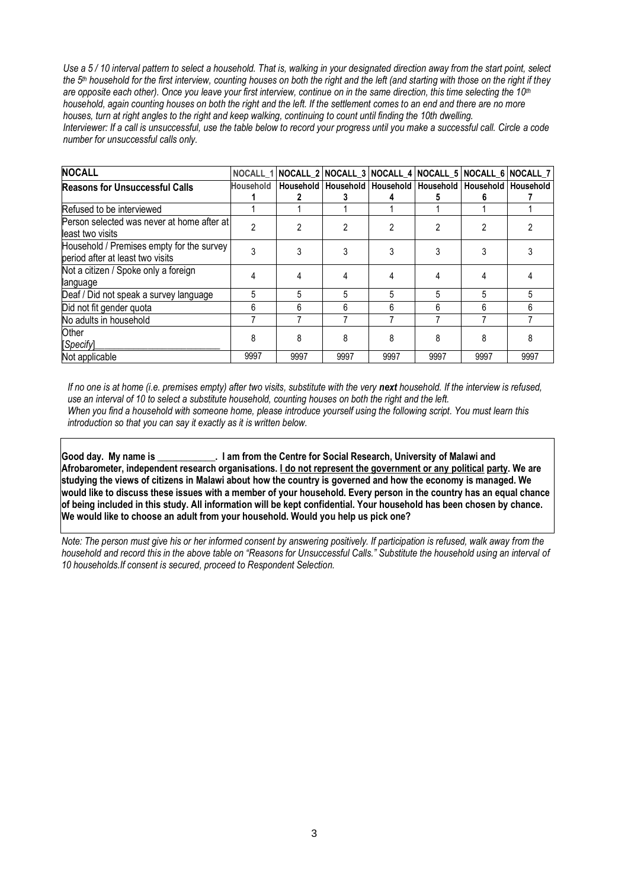*Use a 5 / 10 interval pattern to select a household. That is, walking in your designated direction away from the start point, select the 5th household for the first interview, counting houses on both the right and the left (and starting with those on the right if they are opposite each other). Once you leave your first interview, continue on in the same direction, this time selecting the 10th household, again counting houses on both the right and the left. If the settlement comes to an end and there are no more houses, turn at right angles to the right and keep walking, continuing to count until finding the 10th dwelling. Interviewer: If a call is unsuccessful, use the table below to record your progress until you make a successful call. Circle a code number for unsuccessful calls only.*

| <b>NOCALL</b>                                                                 | NOCALL 1         |      |      |      | NOCALL_2 NOCALL_3 NOCALL_4 NOCALL_5 NOCALL_6 NOCALL_7                 |      |      |
|-------------------------------------------------------------------------------|------------------|------|------|------|-----------------------------------------------------------------------|------|------|
| <b>Reasons for Unsuccessful Calls</b>                                         | <b>Household</b> |      |      |      | Household   Household   Household   Household   Household   Household | 6    |      |
| Refused to be interviewed                                                     |                  |      |      |      |                                                                       |      |      |
| Person selected was never at home after at<br>least two visits                | 2                |      | 2    | 2    |                                                                       |      |      |
| Household / Premises empty for the survey<br>period after at least two visits | 3                |      |      |      |                                                                       |      |      |
| Not a citizen / Spoke only a foreign<br>language                              | 4                |      | 4    |      |                                                                       |      |      |
| Deaf / Did not speak a survey language                                        | 5                | 5    | 5    | 5    | 5                                                                     | 5    |      |
| Did not fit gender quota                                                      | 6                | 6    | 6    | 6    | 6                                                                     | 6    |      |
| No adults in household                                                        |                  |      |      |      |                                                                       |      |      |
| <b>Other</b><br>[Specify]                                                     | 8                | 8    | 8    | 8    | 8                                                                     | 8    |      |
| Not applicable                                                                | 9997             | 9997 | 9997 | 9997 | 9997                                                                  | 9997 | 9997 |

*If no one is at home (i.e. premises empty) after two visits, substitute with the very next household. If the interview is refused, use an interval of 10 to select a substitute household, counting houses on both the right and the left. When you find a household with someone home, please introduce yourself using the following script. You must learn this introduction so that you can say it exactly as it is written below.*

**Good day. My name is \_\_\_\_\_\_\_\_\_\_\_\_. I am from the Centre for Social Research, University of Malawi and Afrobarometer, independent research organisations. I do not represent the government or any political party. We are studying the views of citizens in Malawi about how the country is governed and how the economy is managed. We would like to discuss these issues with a member of your household. Every person in the country has an equal chance of being included in this study. All information will be kept confidential. Your household has been chosen by chance. We would like to choose an adult from your household. Would you help us pick one?**

*Note: The person must give his or her informed consent by answering positively. If participation is refused, walk away from the household and record this in the above table on "Reasons for Unsuccessful Calls." Substitute the household using an interval of 10 households.If consent is secured, proceed to Respondent Selection.*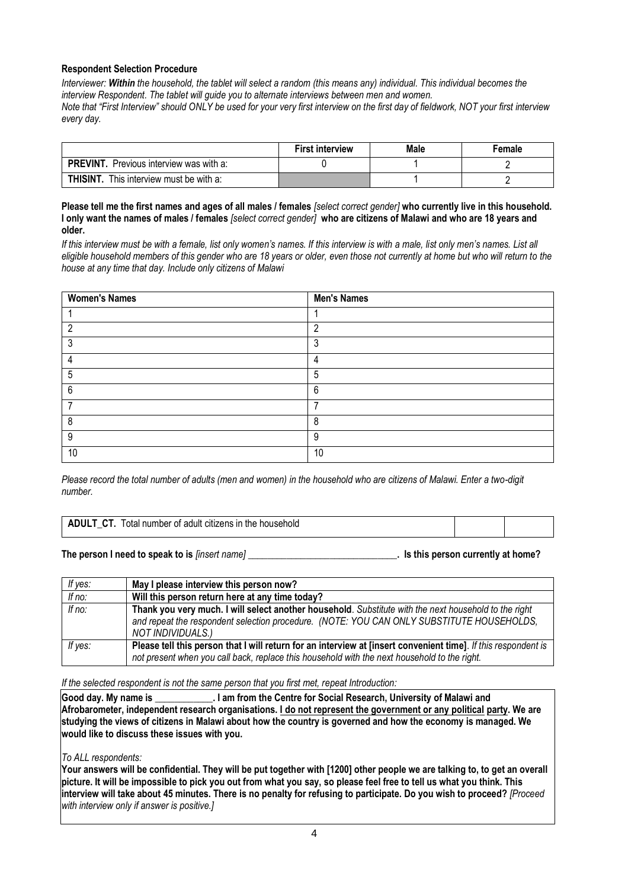## **Respondent Selection Procedure**

*Interviewer: Within the household, the tablet will select a random (this means any) individual. This individual becomes the interview Respondent. The tablet will guide you to alternate interviews between men and women. Note that "First Interview" should ONLY be used for your very first interview on the first day of fieldwork, NOT your first interview every day.*

|                                                   | <b>First interview</b> | Male | Female |
|---------------------------------------------------|------------------------|------|--------|
| PREVINT. Previous interview was with a:           |                        |      |        |
| <b>THISINT.</b><br>This interview must be with a: |                        |      |        |

### **Please tell me the first names and ages of all males / females** *[select correct gender]* **who currently live in this household. I only want the names of males / females** *[select correct gender]* **who are citizens of Malawi and who are 18 years and older.**

*If this interview must be with a female, list only women's names. If this interview is with a male, list only men's names. List all eligible household members of this gender who are 18 years or older, even those not currently at home but who will return to the house at any time that day. Include only citizens of Malawi*

| <b>Women's Names</b> | <b>Men's Names</b> |
|----------------------|--------------------|
|                      |                    |
| റ                    | c                  |
| 3                    | 3                  |
|                      | 4                  |
| 5                    | 5                  |
| 6                    | 6                  |
|                      |                    |
| 8                    | 8                  |
| 9                    | 9                  |
| 10                   | 10                 |

*Please record the total number of adults (men and women) in the household who are citizens of Malawi. Enter a two-digit number.*

|  | <b>ADULT CT.</b> Total number of adult citizens in the household |
|--|------------------------------------------------------------------|
|--|------------------------------------------------------------------|

### **The person I need to speak to is** *[insert name]* **\_\_\_\_\_\_\_\_\_\_\_\_\_\_\_\_\_\_\_\_\_\_\_\_\_\_\_\_\_\_\_. Is this person currently at home?**

| If yes: | May I please interview this person now?                                                                                                                                                                                 |
|---------|-------------------------------------------------------------------------------------------------------------------------------------------------------------------------------------------------------------------------|
| If no:  | Will this person return here at any time today?                                                                                                                                                                         |
| If no:  | Thank you very much. I will select another household. Substitute with the next household to the right<br>and repeat the respondent selection procedure. (NOTE: YOU CAN ONLY SUBSTITUTE HOUSEHOLDS,<br>NOT INDIVIDUALS.) |
| If yes: | Please tell this person that I will return for an interview at [insert convenient time]. If this respondent is<br>not present when you call back, replace this household with the next household to the right.          |

*If the selected respondent is not the same person that you first met, repeat Introduction:*

**Good day. My name is \_\_\_\_\_\_\_\_\_\_\_\_. I am from the Centre for Social Research, University of Malawi and Afrobarometer, independent research organisations. I do not represent the government or any political party. We are studying the views of citizens in Malawi about how the country is governed and how the economy is managed. We would like to discuss these issues with you.**

### *To ALL respondents:*

**Your answers will be confidential. They will be put together with [1200] other people we are talking to, to get an overall picture. It will be impossible to pick you out from what you say, so please feel free to tell us what you think. This interview will take about 45 minutes. There is no penalty for refusing to participate. Do you wish to proceed?** *[Proceed with interview only if answer is positive.]*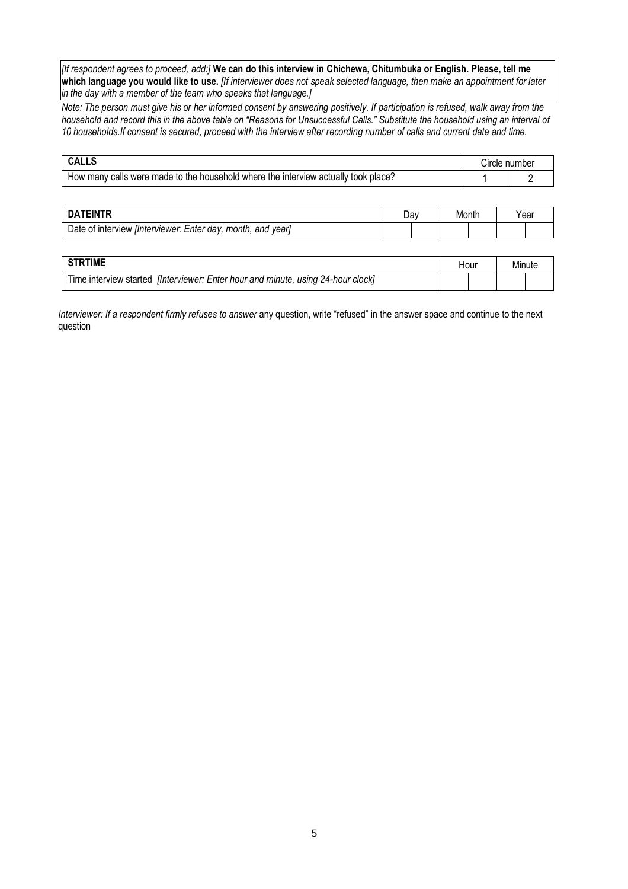*[If respondent agrees to proceed, add:]* **We can do this interview in Chichewa, Chitumbuka or English. Please, tell me which language you would like to use.** *[If interviewer does not speak selected language, then make an appointment for later in the day with a member of the team who speaks that language.]*

*Note: The person must give his or her informed consent by answering positively. If participation is refused, walk away from the household and record this in the above table on "Reasons for Unsuccessful Calls." Substitute the household using an interval of 10 households.If consent is secured, proceed with the interview after recording number of calls and current date and time.*

|                                                                                           | Circle number |
|-------------------------------------------------------------------------------------------|---------------|
| calls were made to the household where the interview actually took<br>How many<br>∵place? |               |

|                                                                                 | Jav | Montr | Yeaı |
|---------------------------------------------------------------------------------|-----|-------|------|
| vear<br>month.<br>and<br>. IInterviewer: Enter<br>dav.<br>∶interview<br>Date of |     |       |      |

| <b>RTIME</b>                                                                              | Hour | Minute |  |
|-------------------------------------------------------------------------------------------|------|--------|--|
| , using 24-hour clock]<br>lInterviewer: Enter hour and minute,<br>I ime interview started |      |        |  |

*Interviewer: If a respondent firmly refuses to answer* any question, write "refused" in the answer space and continue to the next question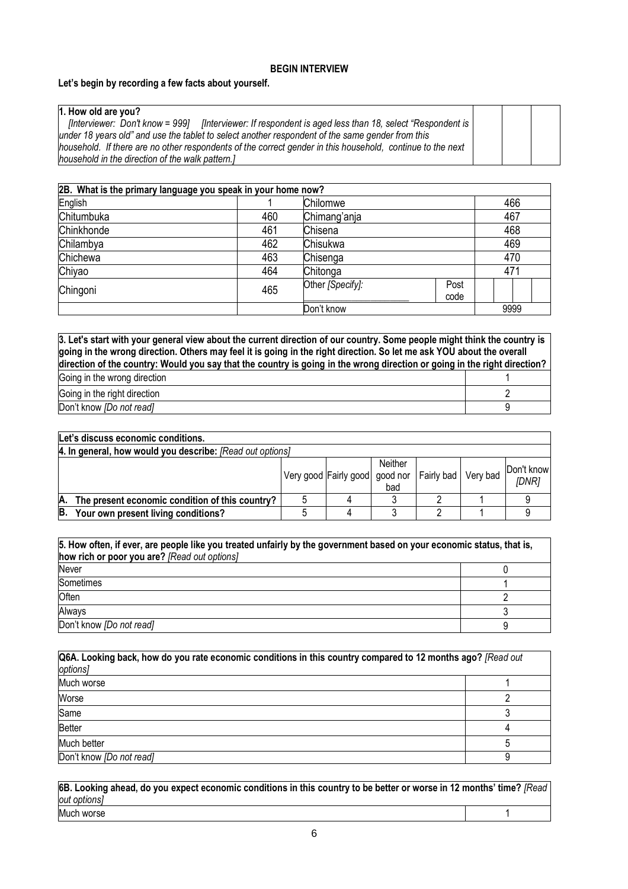### **BEGIN INTERVIEW**

### **Let's begin by recording a few facts about yourself.**

## **1. How old are you?**

 *[Interviewer: Don't know = 999] [Interviewer: If respondent is aged less than 18, select "Respondent is under 18 years old" and use the tablet to select another respondent of the same gender from this household. If there are no other respondents of the correct gender in this household, continue to the next household in the direction of the walk pattern.]*

| 2B. What is the primary language you speak in your home now? |                     |                                  |  |      |     |     |  |  |
|--------------------------------------------------------------|---------------------|----------------------------------|--|------|-----|-----|--|--|
| English                                                      | Chilomwe<br>466     |                                  |  |      |     |     |  |  |
| Chitumbuka                                                   | 460<br>Chimang'anja |                                  |  |      | 467 |     |  |  |
| Chinkhonde<br>461<br>Chisena                                 |                     |                                  |  |      | 468 |     |  |  |
| Chilambya                                                    | 462<br>Chisukwa     |                                  |  |      |     | 469 |  |  |
| Chichewa                                                     | 463                 | Chisenga                         |  |      |     | 470 |  |  |
| Chiyao                                                       | 464                 | Chitonga                         |  | 471  |     |     |  |  |
| Chingoni                                                     | 465                 | Post<br>Other [Specify]:<br>code |  |      |     |     |  |  |
| Don't know                                                   |                     |                                  |  | 9999 |     |     |  |  |

**3. Let's start with your general view about the current direction of our country. Some people might think the country is going in the wrong direction. Others may feel it is going in the right direction. So let me ask YOU about the overall direction of the country: Would you say that the country is going in the wrong direction or going in the right direction?**

| Going in the wrong direction |  |
|------------------------------|--|
| Going in the right direction |  |
| Don't know [Do not read]     |  |

|    | Let's discuss economic conditions.                        |  |                                                          |                |  |  |                     |  |  |
|----|-----------------------------------------------------------|--|----------------------------------------------------------|----------------|--|--|---------------------|--|--|
|    | 4. In general, how would you describe: [Read out options] |  |                                                          |                |  |  |                     |  |  |
|    |                                                           |  | Very good Fairly good   good nor   Fairly bad   Very bad | Neither<br>bad |  |  | Don't know<br>[DNR] |  |  |
| A. | The present economic condition of this country?           |  |                                                          |                |  |  |                     |  |  |
| B. | Your own present living conditions?                       |  |                                                          |                |  |  |                     |  |  |

| 5. How often, if ever, are people like you treated unfairly by the government based on your economic status, that is, |  |  |  |  |  |
|-----------------------------------------------------------------------------------------------------------------------|--|--|--|--|--|
| how rich or poor you are? [Read out options]                                                                          |  |  |  |  |  |
| Never                                                                                                                 |  |  |  |  |  |
| Sometimes                                                                                                             |  |  |  |  |  |
| Often                                                                                                                 |  |  |  |  |  |
| Always                                                                                                                |  |  |  |  |  |
| Don't know [Do not read]                                                                                              |  |  |  |  |  |

| Q6A. Looking back, how do you rate economic conditions in this country compared to 12 months ago? [Read out<br>options] |  |  |  |  |
|-------------------------------------------------------------------------------------------------------------------------|--|--|--|--|
| Much worse                                                                                                              |  |  |  |  |
| Worse                                                                                                                   |  |  |  |  |
| Same                                                                                                                    |  |  |  |  |
| Better                                                                                                                  |  |  |  |  |
| Much better                                                                                                             |  |  |  |  |
| Don't know [Do not read]                                                                                                |  |  |  |  |

**6B. Looking ahead, do you expect economic conditions in this country to be better or worse in 12 months' time?** *[Read out options]* Much worse 1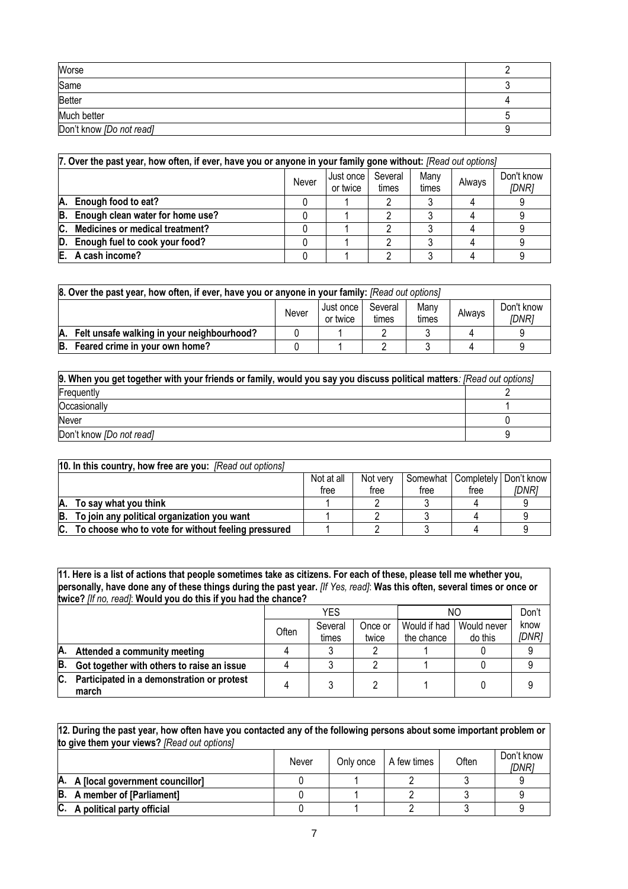| Worse                    |  |
|--------------------------|--|
| Same                     |  |
| <b>Better</b>            |  |
| Much better              |  |
| Don't know [Do not read] |  |

|    | 7. Over the past year, how often, if ever, have you or anyone in your family gone without: [Read out options] |       |                       |                  |               |        |                     |  |  |
|----|---------------------------------------------------------------------------------------------------------------|-------|-----------------------|------------------|---------------|--------|---------------------|--|--|
|    |                                                                                                               | Never | Just once<br>or twice | Several<br>times | Many<br>times | Always | Don't know<br>[DNR] |  |  |
| А. | Enough food to eat?                                                                                           |       |                       |                  |               |        |                     |  |  |
| B. | Enough clean water for home use?                                                                              |       |                       |                  |               |        |                     |  |  |
|    | C. Medicines or medical treatment?                                                                            |       |                       |                  |               |        |                     |  |  |
| D. | Enough fuel to cook your food?                                                                                |       |                       |                  |               |        |                     |  |  |
|    | E. A cash income?                                                                                             |       |                       |                  |               |        |                     |  |  |

| 8. Over the past year, how often, if ever, have you or anyone in your family: [Read out options] |       |                       |                  |               |        |                     |
|--------------------------------------------------------------------------------------------------|-------|-----------------------|------------------|---------------|--------|---------------------|
|                                                                                                  | Never | Just once<br>or twice | Several<br>times | Many<br>times | Always | Don't know<br>[DNR] |
| A. Felt unsafe walking in your neighbourhood?                                                    |       |                       |                  |               |        |                     |
| B. Feared crime in your own home?                                                                |       |                       |                  |               |        |                     |

| 9. When you get together with your friends or family, would you say you discuss political matters: [Read out options] |  |
|-----------------------------------------------------------------------------------------------------------------------|--|
| Frequently                                                                                                            |  |
| Occasionally                                                                                                          |  |
| Never                                                                                                                 |  |
| Don't know [Do not read]                                                                                              |  |

|    | 10. In this country, how free are you: [Read out options] |            |          |      |                       |            |
|----|-----------------------------------------------------------|------------|----------|------|-----------------------|------------|
|    |                                                           | Not at all | Not verv |      | Somewhat   Completely | Don't know |
|    |                                                           | free       | free     | tree | free                  | IDNR1      |
| А. | To say what you think                                     |            |          |      |                       |            |
|    | B. To join any political organization you want            |            |          |      |                       |            |
| C. | To choose who to vote for without feeling pressured       |            |          |      |                       |            |

**11. Here is a list of actions that people sometimes take as citizens. For each of these, please tell me whether you, personally, have done any of these things during the past year.** *[If Yes, read]*: **Was this often, several times or once or twice?** *[If no, read]*: **Would you do this if you had the chance?**

|    |                                                     |       | YES              |                  |                            | NΟ                     |               |  |
|----|-----------------------------------------------------|-------|------------------|------------------|----------------------------|------------------------|---------------|--|
|    |                                                     | Often | Several<br>times | Once or<br>twice | Would if had<br>the chance | Would never<br>do this | know<br>[DNR] |  |
|    |                                                     |       |                  |                  |                            |                        |               |  |
| A. | Attended a community meeting                        |       |                  |                  |                            |                        |               |  |
| B. | Got together with others to raise an issue          |       |                  |                  |                            |                        |               |  |
| C. | Participated in a demonstration or protest<br>march |       |                  |                  |                            |                        |               |  |

| 12. During the past year, how often have you contacted any of the following persons about some important problem or |       |           |             |       |                            |
|---------------------------------------------------------------------------------------------------------------------|-------|-----------|-------------|-------|----------------------------|
| to give them your views? [Read out options]                                                                         |       |           |             |       |                            |
|                                                                                                                     | Never | Only once | A few times | Often | Don't know<br><i>IDNR1</i> |
| A. A [local government councillor]                                                                                  |       |           |             |       |                            |
| <b>B.</b> A member of [Parliament]                                                                                  |       |           |             |       |                            |

**C. A political party official** 0 1 2 3 9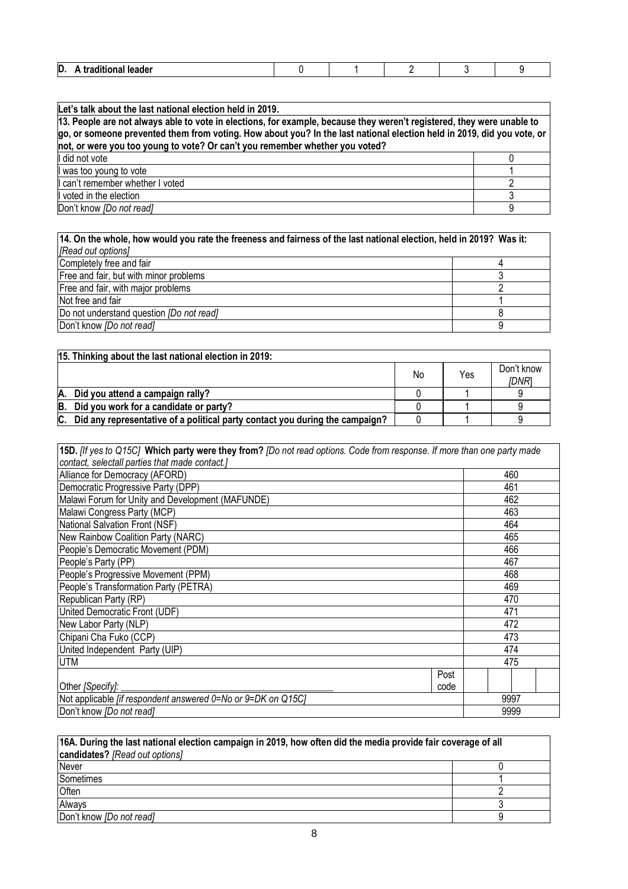| n<br>.<br>D<br>$-$<br>-- |  |  |  |
|--------------------------|--|--|--|
|                          |  |  |  |

| Let's talk about the last national election held in 2019.                                                                                                                                                                                                                                                                        |  |  |
|----------------------------------------------------------------------------------------------------------------------------------------------------------------------------------------------------------------------------------------------------------------------------------------------------------------------------------|--|--|
| 13. People are not always able to vote in elections, for example, because they weren't registered, they were unable to<br>go, or someone prevented them from voting. How about you? In the last national election held in 2019, did you vote, or<br>not, or were you too young to vote? Or can't you remember whether you voted? |  |  |
| I did not vote                                                                                                                                                                                                                                                                                                                   |  |  |
| was too young to vote                                                                                                                                                                                                                                                                                                            |  |  |
| can't remember whether I voted                                                                                                                                                                                                                                                                                                   |  |  |
| voted in the election                                                                                                                                                                                                                                                                                                            |  |  |
| Don't know [Do not read]                                                                                                                                                                                                                                                                                                         |  |  |

| 14. On the whole, how would you rate the freeness and fairness of the last national election, held in 2019? Was it: |  |  |
|---------------------------------------------------------------------------------------------------------------------|--|--|
| [Read out options]                                                                                                  |  |  |
| Completely free and fair                                                                                            |  |  |
| Free and fair, but with minor problems                                                                              |  |  |
| Free and fair, with major problems                                                                                  |  |  |
| Not free and fair                                                                                                   |  |  |
| Do not understand question [Do not read]                                                                            |  |  |
| Don't know [Do not read]                                                                                            |  |  |

| 15. Thinking about the last national election in 2019:                             |    |     |                     |
|------------------------------------------------------------------------------------|----|-----|---------------------|
|                                                                                    | No | Yes | Don't know<br>IDNR. |
| A. Did you attend a campaign rally?                                                |    |     |                     |
| B. Did you work for a candidate or party?                                          |    |     |                     |
| $ C.$ Did any representative of a political party contact you during the campaign? |    |     |                     |

| 15D. [If yes to Q15C] Which party were they from? [Do not read options. Code from response. If more than one party made |      |      |  |
|-------------------------------------------------------------------------------------------------------------------------|------|------|--|
| contact, selectall parties that made contact.]                                                                          |      |      |  |
| Alliance for Democracy (AFORD)                                                                                          |      | 460  |  |
| Democratic Progressive Party (DPP)                                                                                      |      | 461  |  |
| Malawi Forum for Unity and Development (MAFUNDE)                                                                        |      | 462  |  |
| Malawi Congress Party (MCP)                                                                                             |      | 463  |  |
| National Salvation Front (NSF)                                                                                          |      | 464  |  |
| New Rainbow Coalition Party (NARC)                                                                                      |      | 465  |  |
| People's Democratic Movement (PDM)                                                                                      |      | 466  |  |
| People's Party (PP)                                                                                                     |      | 467  |  |
| People's Progressive Movement (PPM)                                                                                     |      | 468  |  |
| People's Transformation Party (PETRA)                                                                                   |      | 469  |  |
| Republican Party (RP)                                                                                                   |      | 470  |  |
| United Democratic Front (UDF)                                                                                           |      | 471  |  |
| New Labor Party (NLP)                                                                                                   |      | 472  |  |
| Chipani Cha Fuko (CCP)                                                                                                  |      | 473  |  |
| United Independent Party (UIP)                                                                                          |      | 474  |  |
| UTM                                                                                                                     |      | 475  |  |
|                                                                                                                         | Post |      |  |
| Other [Specify]:                                                                                                        | code |      |  |
| Not applicable [if respondent answered 0=No or 9=DK on Q15C]                                                            |      | 9997 |  |
| Don't know [Do not read]                                                                                                |      | 9999 |  |

| 16A. During the last national election campaign in 2019, how often did the media provide fair coverage of all |  |  |  |
|---------------------------------------------------------------------------------------------------------------|--|--|--|
| candidates? [Read out options]                                                                                |  |  |  |
| <b>Never</b>                                                                                                  |  |  |  |
| Sometimes                                                                                                     |  |  |  |
| Often                                                                                                         |  |  |  |
| Always                                                                                                        |  |  |  |
| Don't know [Do not read]                                                                                      |  |  |  |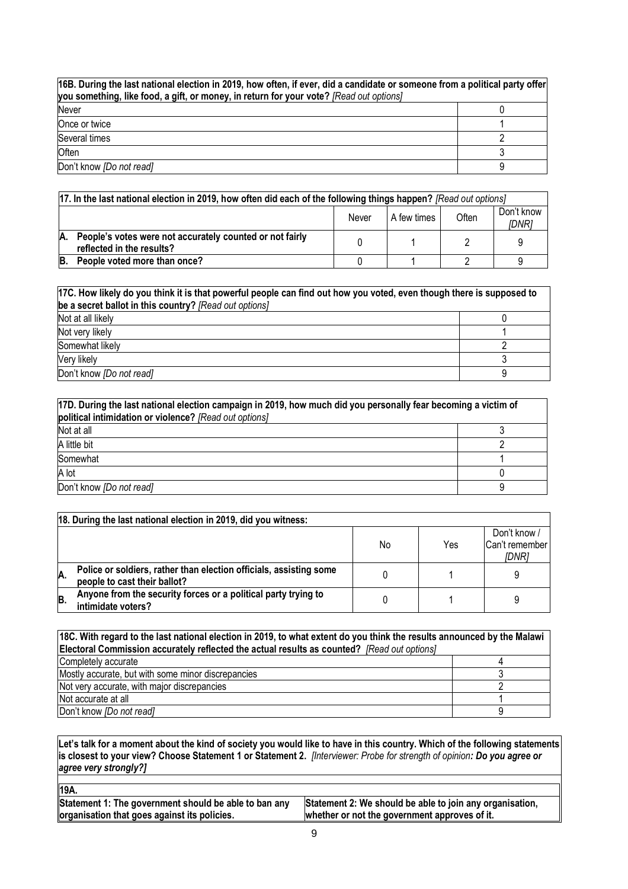| 16B. During the last national election in 2019, how often, if ever, did a candidate or someone from a political party offer<br>you something, like food, a gift, or money, in return for your vote? [Read out options] |  |  |  |
|------------------------------------------------------------------------------------------------------------------------------------------------------------------------------------------------------------------------|--|--|--|
| Never                                                                                                                                                                                                                  |  |  |  |
| Once or twice                                                                                                                                                                                                          |  |  |  |
| Several times                                                                                                                                                                                                          |  |  |  |
| Often                                                                                                                                                                                                                  |  |  |  |
| Don't know [Do not read]                                                                                                                                                                                               |  |  |  |

|    | [17. In the last national election in 2019, how often did each of the following things happen? [Read out options] |  |  |  |  |  |
|----|-------------------------------------------------------------------------------------------------------------------|--|--|--|--|--|
|    | Don't know<br>Often<br>A few times<br>Never<br>IDNRi                                                              |  |  |  |  |  |
| A. | People's votes were not accurately counted or not fairly<br>reflected in the results?                             |  |  |  |  |  |
| B. | People voted more than once?                                                                                      |  |  |  |  |  |

| 17C. How likely do you think it is that powerful people can find out how you voted, even though there is supposed to<br>be a secret ballot in this country? [Read out options] |  |  |
|--------------------------------------------------------------------------------------------------------------------------------------------------------------------------------|--|--|
| Not at all likely                                                                                                                                                              |  |  |
| Not very likely                                                                                                                                                                |  |  |
| Somewhat likely                                                                                                                                                                |  |  |
| Very likely                                                                                                                                                                    |  |  |
| Don't know [Do not read]                                                                                                                                                       |  |  |

| 17D. During the last national election campaign in 2019, how much did you personally fear becoming a victim of<br>political intimidation or violence? [Read out options] |  |  |
|--------------------------------------------------------------------------------------------------------------------------------------------------------------------------|--|--|
| Not at all                                                                                                                                                               |  |  |
| A little bit                                                                                                                                                             |  |  |
| Somewhat                                                                                                                                                                 |  |  |
| A lot                                                                                                                                                                    |  |  |
| Don't know <i>[Do not read]</i>                                                                                                                                          |  |  |

|    | 18. During the last national election in 2019, did you witness:                                    |    |     |                                         |  |  |
|----|----------------------------------------------------------------------------------------------------|----|-----|-----------------------------------------|--|--|
|    |                                                                                                    | No | Yes | Don't know /<br>Can't remember<br>[DNR] |  |  |
| Ά. | Police or soldiers, rather than election officials, assisting some<br>people to cast their ballot? |    |     | 9                                       |  |  |
| B. | Anyone from the security forces or a political party trying to<br>intimidate voters?               |    |     | 9                                       |  |  |

| 18C. With regard to the last national election in 2019, to what extent do you think the results announced by the Malawi |  |  |  |  |
|-------------------------------------------------------------------------------------------------------------------------|--|--|--|--|
| Electoral Commission accurately reflected the actual results as counted? [Read out options]                             |  |  |  |  |
| Completely accurate                                                                                                     |  |  |  |  |
| Mostly accurate, but with some minor discrepancies                                                                      |  |  |  |  |
| Not very accurate, with major discrepancies                                                                             |  |  |  |  |
| Not accurate at all                                                                                                     |  |  |  |  |
| Don't know <i>[Do not read]</i>                                                                                         |  |  |  |  |

**Let's talk for a moment about the kind of society you would like to have in this country. Which of the following statements is closest to your view? Choose Statement 1 or Statement 2.** *[Interviewer: Probe for strength of opinion: Do you agree or agree very strongly?]*

| Statement 2: We should be able to join any organisation, |
|----------------------------------------------------------|
| whether or not the government approves of it.            |
|                                                          |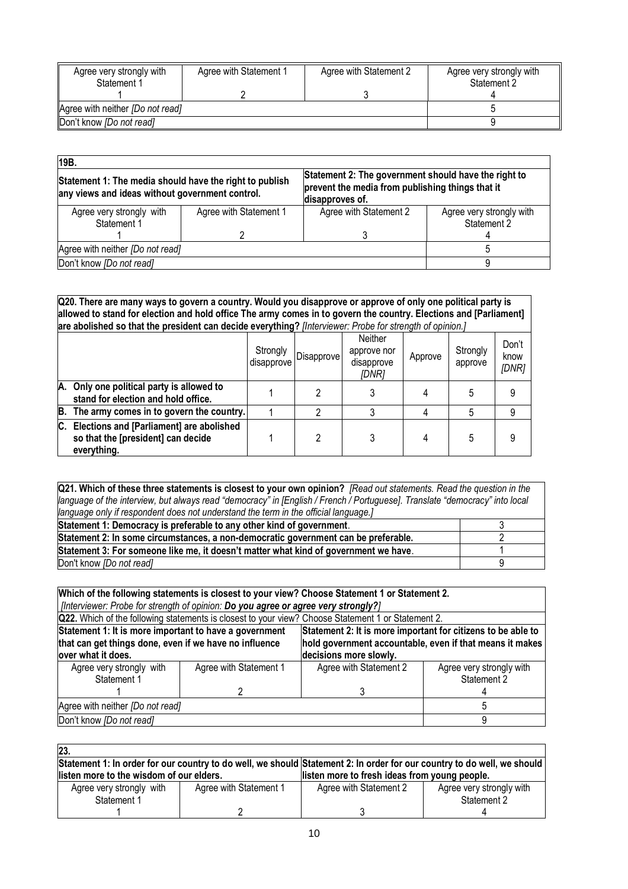| Agree very strongly with<br>Statement 1 | Agree with Statement 1 | Agree with Statement 2 | Agree very strongly with<br>Statement 2 |
|-----------------------------------------|------------------------|------------------------|-----------------------------------------|
|                                         |                        |                        |                                         |
| Agree with neither <i>[Do not read]</i> |                        |                        |                                         |
| Don't know [Do not read]                |                        |                        |                                         |

| 19B.                                                                                                       |                        |                                                                                                                             |                                         |  |
|------------------------------------------------------------------------------------------------------------|------------------------|-----------------------------------------------------------------------------------------------------------------------------|-----------------------------------------|--|
| Statement 1: The media should have the right to publish<br>any views and ideas without government control. |                        | Statement 2: The government should have the right to<br>prevent the media from publishing things that it<br>disapproves of. |                                         |  |
| Agree very strongly with<br>Statement 1                                                                    | Agree with Statement 1 | Agree with Statement 2                                                                                                      | Agree very strongly with<br>Statement 2 |  |
|                                                                                                            |                        |                                                                                                                             |                                         |  |
| Agree with neither [Do not read]                                                                           |                        |                                                                                                                             |                                         |  |
| Don't know <i>[Do not read]</i>                                                                            |                        |                                                                                                                             |                                         |  |

**Q20. There are many ways to govern a country. Would you disapprove or approve of only one political party is allowed to stand for election and hold office The army comes in to govern the country. Elections and [Parliament] are abolished so that the president can decide everything?** *[Interviewer: Probe for strength of opinion.]*

|    |                                                                                               | Strongly<br>disapprove | Disapprove | Neither<br>approve nor<br>disapprove<br>[DNR] | Approve | Strongly<br>approve | Don't<br>know<br>[DNR] |
|----|-----------------------------------------------------------------------------------------------|------------------------|------------|-----------------------------------------------|---------|---------------------|------------------------|
| А. | Only one political party is allowed to<br>stand for election and hold office.                 |                        |            |                                               |         |                     |                        |
| B. | The army comes in to govern the country.                                                      |                        |            |                                               |         |                     | 9                      |
| С. | Elections and [Parliament] are abolished<br>so that the [president] can decide<br>everything. |                        |            |                                               |         |                     | q                      |

**Q21. Which of these three statements is closest to your own opinion?** *[Read out statements. Read the question in the language of the interview, but always read "democracy" in [English / French / Portuguese]. Translate "democracy" into local language only if respondent does not understand the term in the official language.]*

| Statement 1: Democracy is preferable to any other kind of government.                |  |
|--------------------------------------------------------------------------------------|--|
| Statement 2: In some circumstances, a non-democratic government can be preferable.   |  |
| Statement 3: For someone like me, it doesn't matter what kind of government we have. |  |
| Don't know <i>[Do not read]</i>                                                      |  |

# **Which of the following statements is closest to your view? Choose Statement 1 or Statement 2.**  *[Interviewer: Probe for strength of opinion: Do you agree or agree very strongly?]*

| <b>Q22.</b> Which of the following statements is closest to your view? Choose Statement 1 or Statement 2. |                        |                                                              |                                                          |  |  |
|-----------------------------------------------------------------------------------------------------------|------------------------|--------------------------------------------------------------|----------------------------------------------------------|--|--|
| Statement 1: It is more important to have a government                                                    |                        | Statement 2: It is more important for citizens to be able to |                                                          |  |  |
| that can get things done, even if we have no influence                                                    |                        |                                                              | hold government accountable, even if that means it makes |  |  |
| over what it does.                                                                                        |                        | decisions more slowly.                                       |                                                          |  |  |
| Agree very strongly with                                                                                  | Agree with Statement 1 | Agree with Statement 2                                       | Agree very strongly with                                 |  |  |
| Statement 1                                                                                               |                        |                                                              | Statement 2                                              |  |  |
|                                                                                                           |                        |                                                              |                                                          |  |  |
| Agree with neither [Do not read]                                                                          |                        |                                                              |                                                          |  |  |
| Don't know [Do not read]                                                                                  |                        |                                                              |                                                          |  |  |

| 23.                                                                                                                     |                        |                                               |                          |  |
|-------------------------------------------------------------------------------------------------------------------------|------------------------|-----------------------------------------------|--------------------------|--|
| Statement 1: In order for our country to do well, we should Statement 2: In order for our country to do well, we should |                        |                                               |                          |  |
| listen more to the wisdom of our elders.                                                                                |                        | listen more to fresh ideas from young people. |                          |  |
| Agree very strongly with                                                                                                | Agree with Statement 1 | Agree with Statement 2                        | Agree very strongly with |  |
| Statement 1                                                                                                             |                        |                                               | Statement 2              |  |
|                                                                                                                         |                        |                                               |                          |  |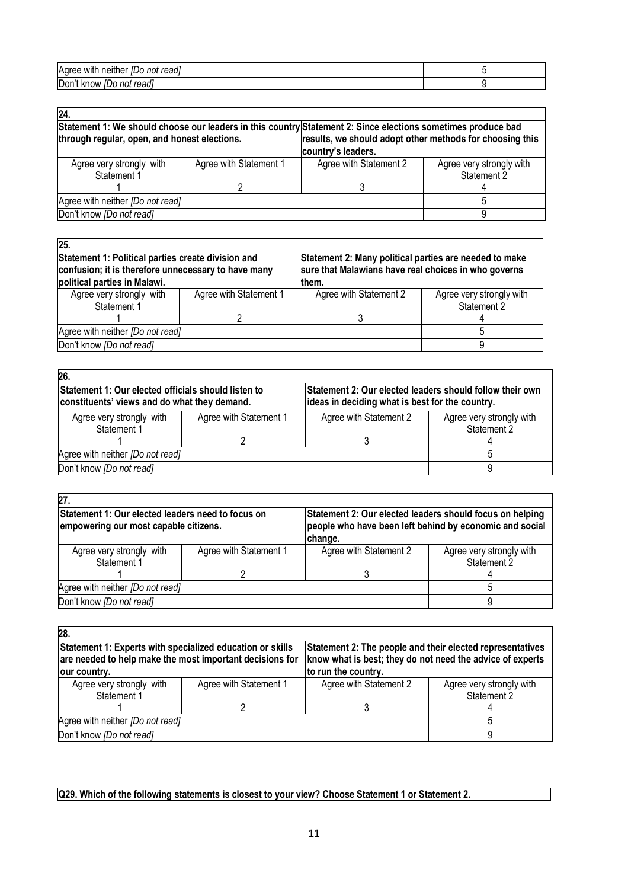| $-$<br>Agree<br>readl<br>with<br>neither<br>not<br>ם וו |  |
|---------------------------------------------------------|--|
| Don't<br>readı<br>know<br>not<br>IDO                    |  |

| 24.                                                                                                                                                                                                                                            |                        |                        |                                         |
|------------------------------------------------------------------------------------------------------------------------------------------------------------------------------------------------------------------------------------------------|------------------------|------------------------|-----------------------------------------|
| Statement 1: We should choose our leaders in this country Statement 2: Since elections sometimes produce bad<br>results, we should adopt other methods for choosing this<br>through regular, open, and honest elections.<br>country's leaders. |                        |                        |                                         |
| Agree very strongly with<br>Statement 1                                                                                                                                                                                                        | Agree with Statement 1 | Agree with Statement 2 | Agree very strongly with<br>Statement 2 |
|                                                                                                                                                                                                                                                |                        |                        |                                         |
| Agree with neither [Do not read]                                                                                                                                                                                                               |                        |                        |                                         |
| Don't know [Do not read]                                                                                                                                                                                                                       |                        |                        |                                         |

| $\overline{25}$ .                                   |                        |                                                        |                          |
|-----------------------------------------------------|------------------------|--------------------------------------------------------|--------------------------|
| Statement 1: Political parties create division and  |                        | Statement 2: Many political parties are needed to make |                          |
| confusion; it is therefore unnecessary to have many |                        | sure that Malawians have real choices in who governs   |                          |
| political parties in Malawi.                        |                        | them.                                                  |                          |
| Agree very strongly with                            | Agree with Statement 1 | Agree with Statement 2                                 | Agree very strongly with |
| Statement 1                                         |                        |                                                        | Statement 2              |
|                                                     |                        |                                                        |                          |
| Agree with neither [Do not read]                    |                        |                                                        |                          |
| Don't know [Do not read]                            |                        |                                                        |                          |

| Statement 1: Our elected officials should listen to<br>constituents' views and do what they demand. |                        | Statement 2: Our elected leaders should follow their own<br>ideas in deciding what is best for the country. |  |
|-----------------------------------------------------------------------------------------------------|------------------------|-------------------------------------------------------------------------------------------------------------|--|
| Agree with Statement 1                                                                              | Agree with Statement 2 | Agree very strongly with                                                                                    |  |
|                                                                                                     |                        | Statement 2                                                                                                 |  |
|                                                                                                     |                        |                                                                                                             |  |
| Agree with neither [Do not read]                                                                    |                        |                                                                                                             |  |
|                                                                                                     |                        |                                                                                                             |  |
|                                                                                                     |                        |                                                                                                             |  |

| 27.                                                                                        |                        |                                                                                                                                |                                         |
|--------------------------------------------------------------------------------------------|------------------------|--------------------------------------------------------------------------------------------------------------------------------|-----------------------------------------|
| Statement 1: Our elected leaders need to focus on<br>empowering our most capable citizens. |                        | Statement 2: Our elected leaders should focus on helping<br>people who have been left behind by economic and social<br>change. |                                         |
| Agree very strongly with<br>Statement 1                                                    | Agree with Statement 1 | Agree with Statement 2                                                                                                         | Agree very strongly with<br>Statement 2 |
|                                                                                            |                        |                                                                                                                                |                                         |
| Agree with neither [Do not read]                                                           |                        |                                                                                                                                |                                         |
| Don't know [Do not read]                                                                   |                        |                                                                                                                                |                                         |

| 28.                                                                                                                                   |                        |                                                                                                                                               |                                         |
|---------------------------------------------------------------------------------------------------------------------------------------|------------------------|-----------------------------------------------------------------------------------------------------------------------------------------------|-----------------------------------------|
| Statement 1: Experts with specialized education or skills<br>are needed to help make the most important decisions for<br>our country. |                        | Statement 2: The people and their elected representatives<br>know what is best; they do not need the advice of experts<br>to run the country. |                                         |
| Agree very strongly with<br>Statement 1                                                                                               | Agree with Statement 1 | Agree with Statement 2                                                                                                                        | Agree very strongly with<br>Statement 2 |
|                                                                                                                                       |                        |                                                                                                                                               |                                         |
| Agree with neither [Do not read]                                                                                                      |                        |                                                                                                                                               |                                         |
| Don't know [Do not read]                                                                                                              |                        |                                                                                                                                               |                                         |

# **Q29. Which of the following statements is closest to your view? Choose Statement 1 or Statement 2.**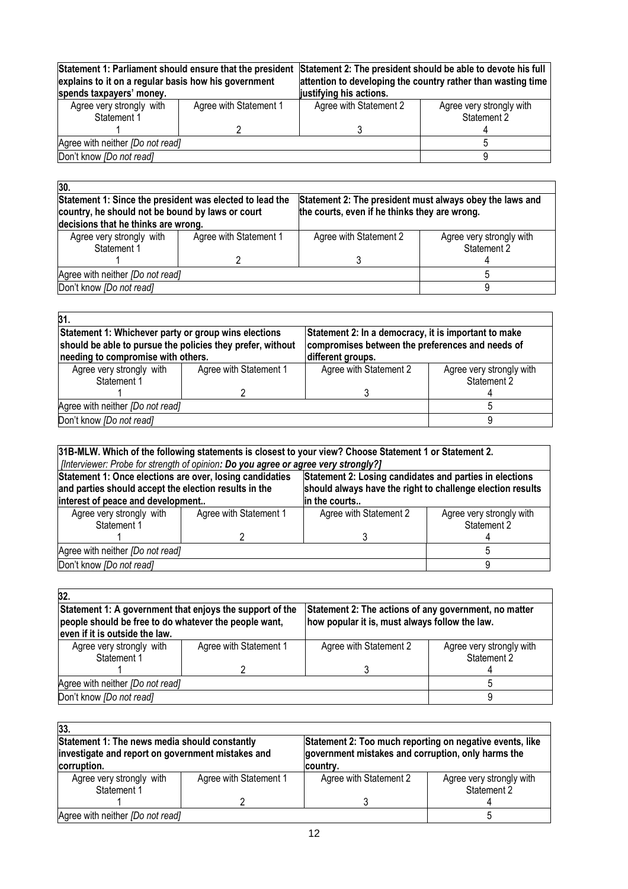| Statement 1: Parliament should ensure that the president<br>explains to it on a regular basis how his government<br>spends taxpayers' money. |                        | Statement 2: The president should be able to devote his full<br>attention to developing the country rather than wasting time<br>justifying his actions. |  |
|----------------------------------------------------------------------------------------------------------------------------------------------|------------------------|---------------------------------------------------------------------------------------------------------------------------------------------------------|--|
| Agree with Statement 1                                                                                                                       | Agree with Statement 2 | Agree very strongly with<br>Statement 2                                                                                                                 |  |
|                                                                                                                                              |                        |                                                                                                                                                         |  |
| Agree with neither [Do not read]                                                                                                             |                        |                                                                                                                                                         |  |
| Don't know [Do not read]                                                                                                                     |                        |                                                                                                                                                         |  |
|                                                                                                                                              |                        |                                                                                                                                                         |  |

| 30.                                                                                                          |                        |                                                                                                           |                                         |
|--------------------------------------------------------------------------------------------------------------|------------------------|-----------------------------------------------------------------------------------------------------------|-----------------------------------------|
| Statement 1: Since the president was elected to lead the<br>country, he should not be bound by laws or court |                        | Statement 2: The president must always obey the laws and<br>the courts, even if he thinks they are wrong. |                                         |
| decisions that he thinks are wrong.                                                                          |                        |                                                                                                           |                                         |
| Agree very strongly with<br>Statement 1                                                                      | Agree with Statement 1 | Agree with Statement 2                                                                                    | Agree very strongly with<br>Statement 2 |
|                                                                                                              |                        |                                                                                                           |                                         |
| Agree with neither [Do not read]                                                                             |                        |                                                                                                           |                                         |
| Don't know [Do not read]                                                                                     |                        |                                                                                                           |                                         |

| 31.                                                                                                                |                        |                                                      |                          |
|--------------------------------------------------------------------------------------------------------------------|------------------------|------------------------------------------------------|--------------------------|
| Statement 1: Whichever party or group wins elections<br>should be able to pursue the policies they prefer, without |                        | Statement 2: In a democracy, it is important to make |                          |
|                                                                                                                    |                        | compromises between the preferences and needs of     |                          |
| needing to compromise with others.                                                                                 |                        | different groups.                                    |                          |
| Agree very strongly with                                                                                           | Agree with Statement 1 | Agree with Statement 2                               | Agree very strongly with |
| Statement 1                                                                                                        |                        |                                                      | Statement 2              |
|                                                                                                                    |                        |                                                      |                          |
| Agree with neither [Do not read]                                                                                   |                        |                                                      |                          |
| Don't know [Do not read]                                                                                           |                        |                                                      |                          |

| 31B-MLW. Which of the following statements is closest to your view? Choose Statement 1 or Statement 2.              |                                                                                      |                                                         |                          |  |
|---------------------------------------------------------------------------------------------------------------------|--------------------------------------------------------------------------------------|---------------------------------------------------------|--------------------------|--|
|                                                                                                                     | [?[Interviewer: Probe for strength of opinion: Do you agree or agree very strongly?] |                                                         |                          |  |
| Statement 1: Once elections are over, losing candidaties                                                            |                                                                                      | Statement 2: Losing candidates and parties in elections |                          |  |
| should always have the right to challenge election results<br>and parties should accept the election results in the |                                                                                      |                                                         |                          |  |
| interest of peace and development<br>in the courts                                                                  |                                                                                      |                                                         |                          |  |
| Agree very strongly with                                                                                            | Agree with Statement 1                                                               | Agree with Statement 2                                  | Agree very strongly with |  |
| Statement 1                                                                                                         |                                                                                      |                                                         | Statement 2              |  |
|                                                                                                                     |                                                                                      |                                                         |                          |  |
| Agree with neither [Do not read]                                                                                    |                                                                                      |                                                         |                          |  |
| Don't know [Do not read]                                                                                            |                                                                                      |                                                         |                          |  |

| 32.                                                                                                                                                 |                        |                                                                                                         |                                         |
|-----------------------------------------------------------------------------------------------------------------------------------------------------|------------------------|---------------------------------------------------------------------------------------------------------|-----------------------------------------|
| Statement 1: A government that enjoys the support of the<br>people should be free to do whatever the people want,<br>even if it is outside the law. |                        | Statement 2: The actions of any government, no matter<br>how popular it is, must always follow the law. |                                         |
| Agree very strongly with<br>Statement 1                                                                                                             | Agree with Statement 1 | Agree with Statement 2                                                                                  | Agree very strongly with<br>Statement 2 |
|                                                                                                                                                     |                        |                                                                                                         |                                         |
| Agree with neither [Do not read]                                                                                                                    |                        |                                                                                                         |                                         |
| Don't know <i>[Do not read]</i>                                                                                                                     |                        |                                                                                                         |                                         |

| 33.                                               |                        |                                                          |                                         |
|---------------------------------------------------|------------------------|----------------------------------------------------------|-----------------------------------------|
| Statement 1: The news media should constantly     |                        | Statement 2: Too much reporting on negative events, like |                                         |
| investigate and report on government mistakes and |                        | government mistakes and corruption, only harms the       |                                         |
| corruption.                                       |                        | country.                                                 |                                         |
| Agree very strongly with<br>Statement 1           | Agree with Statement 1 | Agree with Statement 2                                   | Agree very strongly with<br>Statement 2 |
|                                                   |                        |                                                          |                                         |
| Agree with neither <i>[Do not read]</i>           |                        |                                                          |                                         |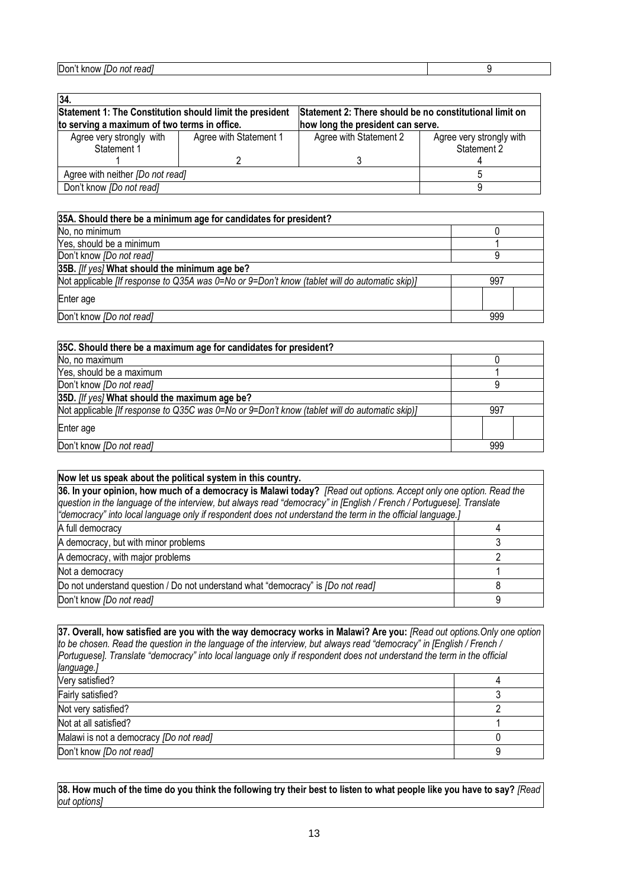| 34.                                                      |                        |                                                         |                                         |  |  |
|----------------------------------------------------------|------------------------|---------------------------------------------------------|-----------------------------------------|--|--|
| Statement 1: The Constitution should limit the president |                        | Statement 2: There should be no constitutional limit on |                                         |  |  |
| to serving a maximum of two terms in office.             |                        | how long the president can serve.                       |                                         |  |  |
| Agree very strongly with<br>Statement 1                  | Agree with Statement 1 | Agree with Statement 2                                  | Agree very strongly with<br>Statement 2 |  |  |
|                                                          |                        |                                                         |                                         |  |  |
| Agree with neither [Do not read]                         |                        |                                                         |                                         |  |  |
| Don't know [Do not read]                                 |                        |                                                         |                                         |  |  |

| 35A. Should there be a minimum age for candidates for president?                              |     |
|-----------------------------------------------------------------------------------------------|-----|
| No, no minimum                                                                                |     |
| Yes, should be a minimum                                                                      |     |
| Don't know [Do not read]                                                                      |     |
| 35B. [If yes] What should the minimum age be?                                                 |     |
| Not applicable [If response to Q35A was 0=No or 9=Don't know (tablet will do automatic skip)] | 997 |
| Enter age                                                                                     |     |
| Don't know <i>[Do not read]</i>                                                               | 999 |

| 35C. Should there be a maximum age for candidates for president?                              |     |  |  |  |  |
|-----------------------------------------------------------------------------------------------|-----|--|--|--|--|
| No, no maximum                                                                                |     |  |  |  |  |
| Yes, should be a maximum                                                                      |     |  |  |  |  |
| Don't know [Do not read]                                                                      | 9   |  |  |  |  |
| 35D. [If yes] What should the maximum age be?                                                 |     |  |  |  |  |
| Not applicable [If response to Q35C was 0=No or 9=Don't know (tablet will do automatic skip)] | 997 |  |  |  |  |
| Enter age                                                                                     |     |  |  |  |  |
| Don't know [Do not read]                                                                      | 999 |  |  |  |  |

| Now let us speak about the political system in this country.                                                                                                                                                                                                                                                                                            |   |  |  |
|---------------------------------------------------------------------------------------------------------------------------------------------------------------------------------------------------------------------------------------------------------------------------------------------------------------------------------------------------------|---|--|--|
| 36. In your opinion, how much of a democracy is Malawi today? [Read out options. Accept only one option. Read the<br>question in the language of the interview, but always read "democracy" in [English / French / Portuguese]. Translate<br>"democracy" into local language only if respondent does not understand the term in the official language.] |   |  |  |
| A full democracy                                                                                                                                                                                                                                                                                                                                        |   |  |  |
| A democracy, but with minor problems                                                                                                                                                                                                                                                                                                                    |   |  |  |
| A democracy, with major problems                                                                                                                                                                                                                                                                                                                        |   |  |  |
| Not a democracy                                                                                                                                                                                                                                                                                                                                         |   |  |  |
| Do not understand question / Do not understand what "democracy" is [Do not read]                                                                                                                                                                                                                                                                        |   |  |  |
| Don't know [Do not read]                                                                                                                                                                                                                                                                                                                                | a |  |  |

**37. Overall, how satisfied are you with the way democracy works in Malawi? Are you:** *[Read out options.Only one option to be chosen. Read the question in the language of the interview, but always read "democracy" in [English / French / Portuguese]. Translate "democracy" into local language only if respondent does not understand the term in the official language.]* Very satisfied? 4 Fairly satisfied? 3 Not very satisfied? 2 Not at all satisfied? 1 Malawi is not a democracy *[Do not read]* 0 Don't know *[Do not read]* 9

**38. How much of the time do you think the following try their best to listen to what people like you have to say?** *[Read out options]*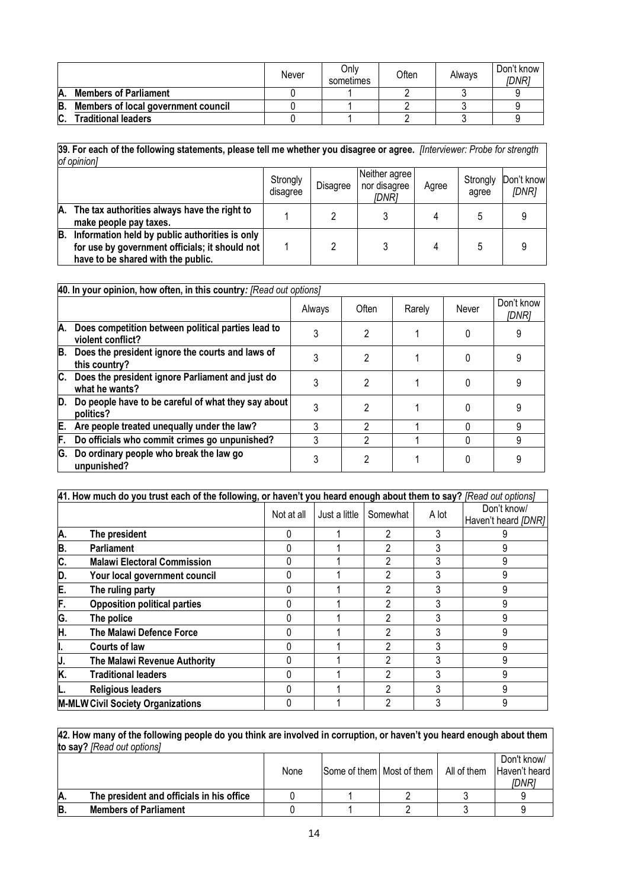|         |                                     | Never | Onlv<br>sometimes | <b>Often</b> | Always | Don't know<br>IDNRi |
|---------|-------------------------------------|-------|-------------------|--------------|--------|---------------------|
| А.      | <b>Members of Parliament</b>        |       |                   |              |        |                     |
| B.      | Members of local government council |       |                   |              |        |                     |
| r<br>u. | <b>Traditional leaders</b>          |       |                   |              |        |                     |

**39. For each of the following statements, please tell me whether you disagree or agree.** *[Interviewer: Probe for strength of opinion]* 

|    |                                                                                                                                        | Strongly<br>disagree | <b>Disagree</b> | Neither agree<br>nor disagree<br>IDNR1 | Agree | Strongly<br>agree | Don't know<br>[DNR] |
|----|----------------------------------------------------------------------------------------------------------------------------------------|----------------------|-----------------|----------------------------------------|-------|-------------------|---------------------|
| А. | The tax authorities always have the right to<br>make people pay taxes.                                                                 |                      |                 |                                        |       |                   |                     |
| B. | Information held by public authorities is only<br>for use by government officials; it should not<br>have to be shared with the public. |                      |                 |                                        |       |                   |                     |

|    | 40. In your opinion, how often, in this country: [Read out options]     |        |       |        |       |                     |  |  |
|----|-------------------------------------------------------------------------|--------|-------|--------|-------|---------------------|--|--|
|    |                                                                         | Always | Often | Rarely | Never | Don't know<br>IDNR1 |  |  |
| А. | Does competition between political parties lead to<br>violent conflict? |        | 2     |        |       |                     |  |  |
| В. | Does the president ignore the courts and laws of<br>this country?       |        |       |        |       |                     |  |  |
| С. | Does the president ignore Parliament and just do<br>what he wants?      |        | 2     |        |       |                     |  |  |
| D. | Do people have to be careful of what they say about<br>politics?        |        | 2     |        |       |                     |  |  |
| Ε. | Are people treated unequally under the law?                             | 3      | າ     |        |       |                     |  |  |
| F. | Do officials who commit crimes go unpunished?                           | 3      | 2     |        |       |                     |  |  |
| G. | Do ordinary people who break the law go<br>unpunished?                  |        | 2     |        |       |                     |  |  |

|    | 41. How much do you trust each of the following, or haven't you heard enough about them to say? [Read out options] |            |               |          |       |                                    |  |  |
|----|--------------------------------------------------------------------------------------------------------------------|------------|---------------|----------|-------|------------------------------------|--|--|
|    |                                                                                                                    | Not at all | Just a little | Somewhat | A lot | Don't know/<br>Haven't heard [DNR] |  |  |
| A. | The president                                                                                                      |            |               | 2        | 3     |                                    |  |  |
| B. | <b>Parliament</b>                                                                                                  |            |               | 2        | 3     | 9                                  |  |  |
| C. | <b>Malawi Electoral Commission</b>                                                                                 |            |               | 2        |       | 9                                  |  |  |
| D. | Your local government council                                                                                      |            |               | 2        |       | 9                                  |  |  |
| E. | The ruling party                                                                                                   |            |               | 2        |       |                                    |  |  |
| F. | <b>Opposition political parties</b>                                                                                |            |               | 2        |       |                                    |  |  |
| G. | The police                                                                                                         |            |               | 2        |       | g                                  |  |  |
| H. | The Malawi Defence Force                                                                                           |            |               | 2        |       | 9                                  |  |  |
| ı. | <b>Courts of law</b>                                                                                               |            |               | 2        |       | 9                                  |  |  |
| J. | The Malawi Revenue Authority                                                                                       |            |               | 2        | 3     | 9                                  |  |  |
| K. | <b>Traditional leaders</b>                                                                                         |            |               | 2        |       | 9                                  |  |  |
|    | <b>Religious leaders</b>                                                                                           |            |               | 2        | 3     | 9                                  |  |  |
|    | <b>M-MLW Civil Society Organizations</b>                                                                           |            |               | າ        |       | 9                                  |  |  |

**42. How many of the following people do you think are involved in corruption, or haven't you heard enough about them to say?** *[Read out options]*

|    |                                           | None | Some of them   Most of them | All of them | Don't know/<br>Haven't heard<br>IDNR1 |
|----|-------------------------------------------|------|-----------------------------|-------------|---------------------------------------|
| Ά. | The president and officials in his office |      |                             |             |                                       |
| B  | <b>Members of Parliament</b>              |      |                             |             |                                       |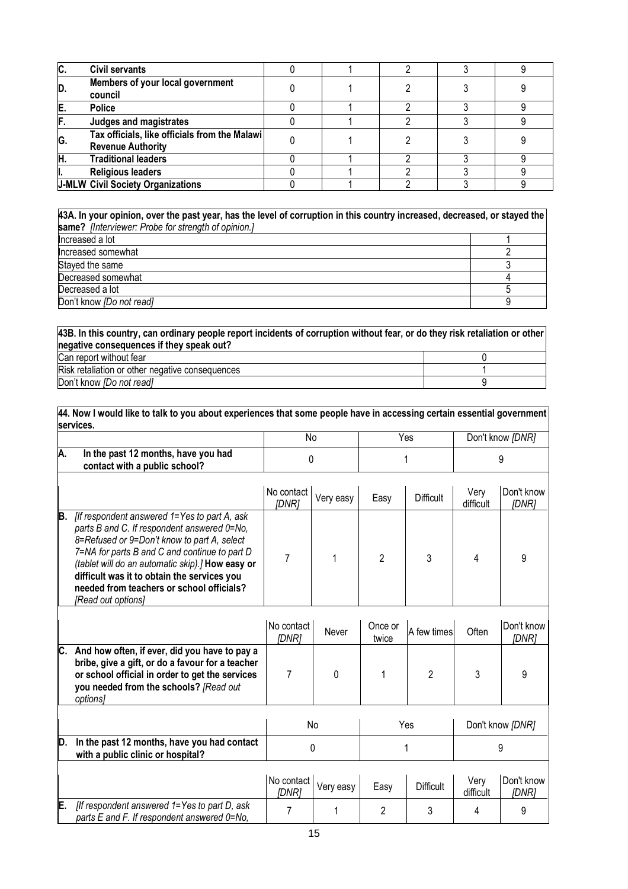| C. | <b>Civil servants</b>                                                     |  |  |  |
|----|---------------------------------------------------------------------------|--|--|--|
| D. | Members of your local government<br>council                               |  |  |  |
| E. | <b>Police</b>                                                             |  |  |  |
|    | Judges and magistrates                                                    |  |  |  |
| G. | Tax officials, like officials from the Malawi<br><b>Revenue Authority</b> |  |  |  |
| Η  | <b>Traditional leaders</b>                                                |  |  |  |
|    | <b>Religious leaders</b>                                                  |  |  |  |
|    | <b>J-MLW Civil Society Organizations</b>                                  |  |  |  |

**43A. In your opinion, over the past year, has the level of corruption in this country increased, decreased, or stayed the same?** *[Interviewer: Probe for strength of opinion.]* Increased a lot 1<br>
Increased somewhat 2 Increased somewhat 2<br>Stayed the same 3 Stayed the same 3<br>Decreased somewhat 4 Pecreased somewhat 4<br>Decreased a lot 5 Decreased a lot 5 Don't know *[Do not read]* 9

| 43B. In this country, can ordinary people report incidents of corruption without fear, or do they risk retaliation or other<br>negative consequences if they speak out? |  |
|-------------------------------------------------------------------------------------------------------------------------------------------------------------------------|--|
| Can report without fear                                                                                                                                                 |  |
| Risk retaliation or other negative consequences                                                                                                                         |  |
| Don't know [Do not read]                                                                                                                                                |  |

**44. Now I would like to talk to you about experiences that some people have in accessing certain essential government services.** 

|    |                                                                      | Νo | Yes | Don't know [DNR] |
|----|----------------------------------------------------------------------|----|-----|------------------|
| A. | In the past 12 months, have you had<br>contact with a public school? |    |     |                  |
|    |                                                                      |    |     |                  |

|     |                                                                                                                                                                                                                                                                                                                                                                   | No contact<br>IDNR1 | Very easy | Easy | <b>Difficult</b> | Verv<br>difficult | Don't know<br>[DNR] |
|-----|-------------------------------------------------------------------------------------------------------------------------------------------------------------------------------------------------------------------------------------------------------------------------------------------------------------------------------------------------------------------|---------------------|-----------|------|------------------|-------------------|---------------------|
| IB. | [If respondent answered 1=Yes to part A, ask<br>parts B and C. If respondent answered 0=No,<br>8=Refused or 9=Don't know to part A, select<br>7=NA for parts B and C and continue to part D<br>(tablet will do an automatic skip).] How easy or<br>difficult was it to obtain the services you<br>needed from teachers or school officials?<br>[Read out options] |                     |           |      |                  |                   |                     |

|     |                                                                                                                                                                                                            | No contact<br>[DNR] | Never     | Once or<br>twice | A few times      | Often             | Don't know<br>[DNR] |
|-----|------------------------------------------------------------------------------------------------------------------------------------------------------------------------------------------------------------|---------------------|-----------|------------------|------------------|-------------------|---------------------|
| IC. | And how often, if ever, did you have to pay a<br>bribe, give a gift, or do a favour for a teacher<br>or school official in order to get the services<br>you needed from the schools? [Read out<br>options] |                     | 0         |                  |                  |                   | 9                   |
|     |                                                                                                                                                                                                            |                     | No        |                  | Yes              |                   | Don't know [DNR]    |
| ID. | In the past 12 months, have you had contact<br>with a public clinic or hospital?                                                                                                                           | 0                   |           |                  |                  | 9                 |                     |
|     |                                                                                                                                                                                                            | No contact<br>[DNR] | Very easy | Easy             | <b>Difficult</b> | Very<br>difficult | Don't know<br>[DNR] |
| E.  | [If respondent answered 1=Yes to part D, ask<br>parts E and F. If respondent answered 0=No,                                                                                                                |                     |           | 2                | 3                | 4                 | 9                   |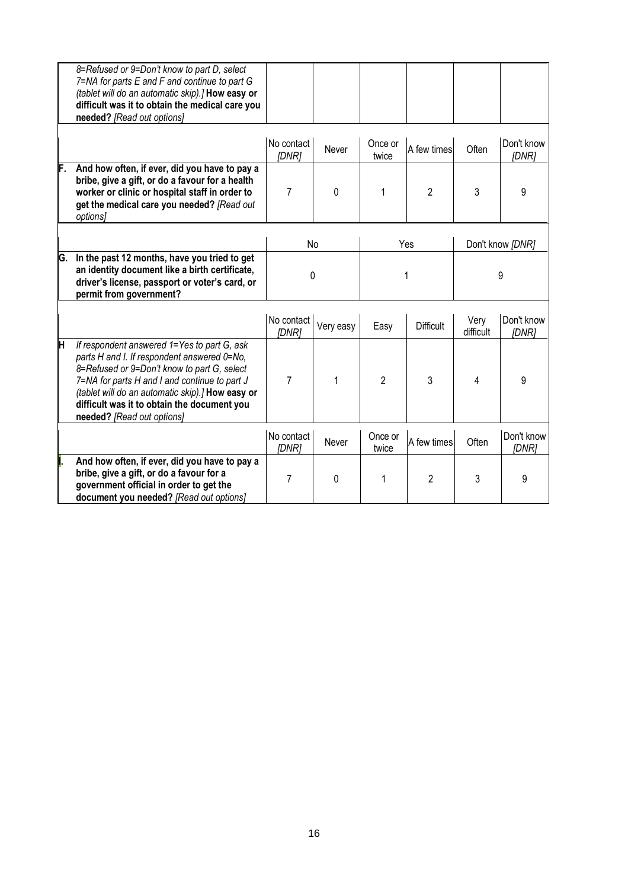|    | 8=Refused or 9=Don't know to part D, select<br>7=NA for parts E and F and continue to part G<br>(tablet will do an automatic skip).] How easy or<br>difficult was it to obtain the medical care you<br>needed? [Read out options]                                                                                           |                     |           |                  |                  |                   |                     |
|----|-----------------------------------------------------------------------------------------------------------------------------------------------------------------------------------------------------------------------------------------------------------------------------------------------------------------------------|---------------------|-----------|------------------|------------------|-------------------|---------------------|
|    |                                                                                                                                                                                                                                                                                                                             | No contact<br>[DNR] | Never     | Once or<br>twice | A few times      | Often             | Don't know<br>[DNR] |
| F. | And how often, if ever, did you have to pay a<br>bribe, give a gift, or do a favour for a health<br>worker or clinic or hospital staff in order to<br>get the medical care you needed? [Read out<br>options]                                                                                                                | 7                   | $\Omega$  | 1                | 2                | 3                 | 9                   |
|    |                                                                                                                                                                                                                                                                                                                             |                     | No        |                  | Yes              | Don't know [DNR]  |                     |
| G. | In the past 12 months, have you tried to get<br>an identity document like a birth certificate,<br>driver's license, passport or voter's card, or<br>permit from government?                                                                                                                                                 | 0                   |           | 1                |                  | 9                 |                     |
|    |                                                                                                                                                                                                                                                                                                                             | No contact<br>[DNR] | Very easy | Easy             | <b>Difficult</b> | Very<br>difficult | Don't know<br>[DNR] |
| H  | If respondent answered 1=Yes to part G, ask<br>parts H and I. If respondent answered 0=No,<br>8=Refused or 9=Don't know to part G, select<br>7=NA for parts H and I and continue to part J<br>(tablet will do an automatic skip).] How easy or<br>difficult was it to obtain the document you<br>needed? [Read out options] | $\overline{7}$      | 1         | $\overline{2}$   | 3                | 4                 | 9                   |
|    |                                                                                                                                                                                                                                                                                                                             | No contact<br>[DNR] | Never     | Once or<br>twice | A few times      | Often             | Don't know<br>[DNR] |
|    | And how often, if ever, did you have to pay a<br>bribe, give a gift, or do a favour for a<br>government official in order to get the<br>document you needed? [Read out options]                                                                                                                                             | $\overline{7}$      | 0         | 1                | $\overline{2}$   | 3                 | 9                   |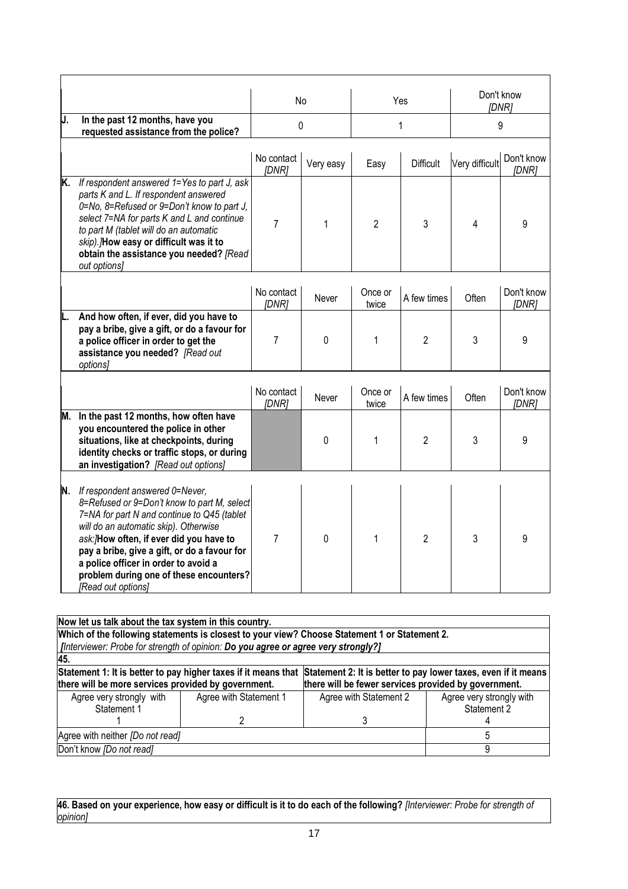|    |                                                                                                                                                                                                                                                                                                                                                                               | No                  |             | Yes              |                  | Don't know<br>[DNR] |                     |
|----|-------------------------------------------------------------------------------------------------------------------------------------------------------------------------------------------------------------------------------------------------------------------------------------------------------------------------------------------------------------------------------|---------------------|-------------|------------------|------------------|---------------------|---------------------|
| J. | In the past 12 months, have you<br>requested assistance from the police?                                                                                                                                                                                                                                                                                                      |                     | 0           | 1                |                  | 9                   |                     |
|    |                                                                                                                                                                                                                                                                                                                                                                               | No contact<br>[DNR] | Very easy   | Easy             | <b>Difficult</b> | Very difficult      | Don't know<br>[DNR] |
| K. | If respondent answered 1=Yes to part J, ask<br>parts K and L. If respondent answered<br>0=No, 8=Refused or 9=Don't know to part J,<br>select 7=NA for parts K and L and continue<br>to part M (tablet will do an automatic<br>skip). /How easy or difficult was it to<br>obtain the assistance you needed? [Read<br>out options]                                              | $\overline{7}$      | $\mathbf 1$ | $\overline{2}$   | 3                | 4                   | 9                   |
|    |                                                                                                                                                                                                                                                                                                                                                                               | No contact<br>[DNR] | Never       | Once or<br>twice | A few times      | Often               | Don't know<br>[DNR] |
|    | And how often, if ever, did you have to<br>pay a bribe, give a gift, or do a favour for<br>a police officer in order to get the<br>assistance you needed? [Read out<br>options]                                                                                                                                                                                               | 7                   | 0           | 1                | 2                | 3                   | 9                   |
|    |                                                                                                                                                                                                                                                                                                                                                                               | No contact<br>[DNR] | Never       | Once or<br>twice | A few times      | Often               | Don't know<br>[DNR] |
| М. | In the past 12 months, how often have<br>you encountered the police in other<br>situations, like at checkpoints, during<br>identity checks or traffic stops, or during<br>an investigation? [Read out options]                                                                                                                                                                |                     | $\mathbf 0$ | 1                | $\overline{2}$   | 3                   | 9                   |
|    | N. If respondent answered 0=Never,<br>8=Refused or 9=Don't know to part M, select<br>7=NA for part N and continue to Q45 (tablet<br>will do an automatic skip). Otherwise<br>ask:/How often, if ever did you have to<br>pay a bribe, give a gift, or do a favour for<br>a police officer in order to avoid a<br>problem during one of these encounters?<br>[Read out options] | $\overline{7}$      | $\Omega$    | 1                | 2                | 3                   | 9                   |

| Now let us talk about the tax system in this country.                                                                         |                                                                                    |                                                      |                          |  |  |  |  |
|-------------------------------------------------------------------------------------------------------------------------------|------------------------------------------------------------------------------------|------------------------------------------------------|--------------------------|--|--|--|--|
| Which of the following statements is closest to your view? Choose Statement 1 or Statement 2.                                 |                                                                                    |                                                      |                          |  |  |  |  |
|                                                                                                                               | [Interviewer: Probe for strength of opinion: Do you agree or agree very strongly?] |                                                      |                          |  |  |  |  |
| 45.                                                                                                                           |                                                                                    |                                                      |                          |  |  |  |  |
| Statement 1: It is better to pay higher taxes if it means that Statement 2: It is better to pay lower taxes, even if it means |                                                                                    |                                                      |                          |  |  |  |  |
| there will be more services provided by government.                                                                           |                                                                                    | there will be fewer services provided by government. |                          |  |  |  |  |
| Agree very strongly with                                                                                                      | Agree with Statement 1                                                             | Agree with Statement 2                               | Agree very strongly with |  |  |  |  |
| Statement 1                                                                                                                   |                                                                                    |                                                      | Statement 2              |  |  |  |  |
|                                                                                                                               |                                                                                    |                                                      |                          |  |  |  |  |
| Agree with neither [Do not read]                                                                                              |                                                                                    |                                                      |                          |  |  |  |  |
| Don't know [Do not read]                                                                                                      |                                                                                    |                                                      |                          |  |  |  |  |

**46. Based on your experience, how easy or difficult is it to do each of the following?** *[Interviewer: Probe for strength of opinion]*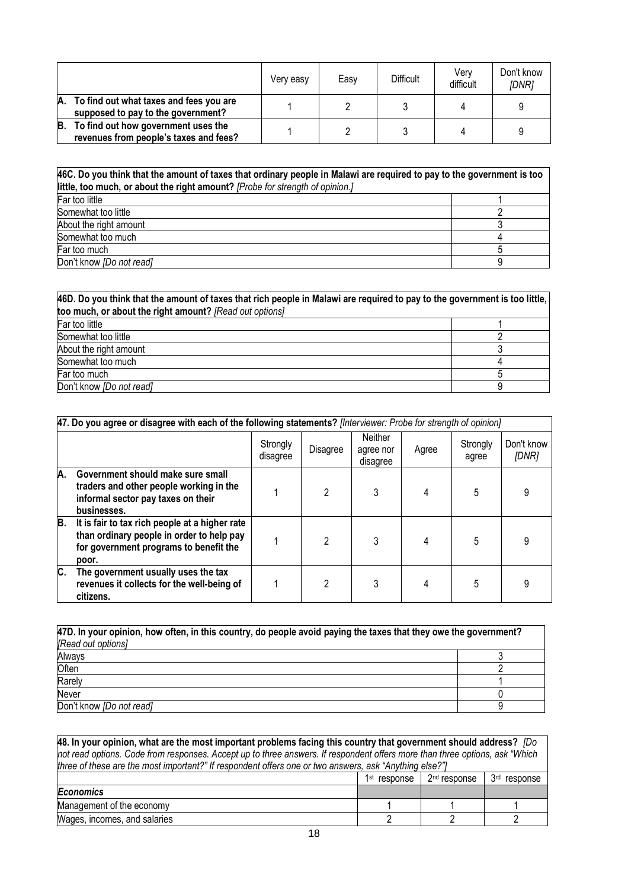|    |                                                                                  | Very easy | Easy | <b>Difficult</b> | Verv<br>difficult | Don't know<br>[DNR] |
|----|----------------------------------------------------------------------------------|-----------|------|------------------|-------------------|---------------------|
|    | A. To find out what taxes and fees you are<br>supposed to pay to the government? |           |      |                  |                   |                     |
| B. | To find out how government uses the<br>revenues from people's taxes and fees?    |           |      |                  |                   |                     |

| 46C. Do you think that the amount of taxes that ordinary people in Malawi are required to pay to the government is too<br>little, too much, or about the right amount? [Probe for strength of opinion.] |  |  |  |  |
|---------------------------------------------------------------------------------------------------------------------------------------------------------------------------------------------------------|--|--|--|--|
| Far too little                                                                                                                                                                                          |  |  |  |  |
| Somewhat too little                                                                                                                                                                                     |  |  |  |  |
| About the right amount                                                                                                                                                                                  |  |  |  |  |
| Somewhat too much                                                                                                                                                                                       |  |  |  |  |
| Far too much                                                                                                                                                                                            |  |  |  |  |
| Don't know <i>[Do not read]</i>                                                                                                                                                                         |  |  |  |  |

| 46D. Do you think that the amount of taxes that rich people in Malawi are required to pay to the government is too little, |  |  |  |  |  |
|----------------------------------------------------------------------------------------------------------------------------|--|--|--|--|--|
| too much, or about the right amount? [Read out options]                                                                    |  |  |  |  |  |
| Far too little                                                                                                             |  |  |  |  |  |
| Somewhat too little                                                                                                        |  |  |  |  |  |
| About the right amount                                                                                                     |  |  |  |  |  |
| Somewhat too much                                                                                                          |  |  |  |  |  |
| Far too much                                                                                                               |  |  |  |  |  |
| Don't know [Do not read]                                                                                                   |  |  |  |  |  |

|    | 47. Do you agree or disagree with each of the following statements? [Interviewer: Probe for strength of opinion]                               |                      |          |                                         |       |                   |                     |  |
|----|------------------------------------------------------------------------------------------------------------------------------------------------|----------------------|----------|-----------------------------------------|-------|-------------------|---------------------|--|
|    |                                                                                                                                                | Strongly<br>disagree | Disagree | <b>Neither</b><br>agree nor<br>disagree | Agree | Strongly<br>agree | Don't know<br>[DNR] |  |
| A. | Government should make sure small<br>traders and other people working in the<br>informal sector pay taxes on their<br>businesses.              |                      | 2        | 3                                       |       | 5                 |                     |  |
| B. | It is fair to tax rich people at a higher rate<br>than ordinary people in order to help pay<br>for government programs to benefit the<br>poor. |                      |          | 3                                       |       | 5                 |                     |  |
| C. | The government usually uses the tax<br>revenues it collects for the well-being of<br>citizens.                                                 |                      | 2        |                                         | 4     | 5                 |                     |  |

| 47D. In your opinion, how often, in this country, do people avoid paying the taxes that they owe the government? |  |  |  |  |  |
|------------------------------------------------------------------------------------------------------------------|--|--|--|--|--|
| [Read out options]                                                                                               |  |  |  |  |  |
| Always                                                                                                           |  |  |  |  |  |
| Often                                                                                                            |  |  |  |  |  |
| Rarely                                                                                                           |  |  |  |  |  |
| Never                                                                                                            |  |  |  |  |  |
| Don't know [Do not read]                                                                                         |  |  |  |  |  |

| 48. In your opinion, what are the most important problems facing this country that government should address? $ Do$         |                          |                          |                             |  |  |  |
|-----------------------------------------------------------------------------------------------------------------------------|--------------------------|--------------------------|-----------------------------|--|--|--|
| not read options. Code from responses. Accept up to three answers. If respondent offers more than three options, ask "Which |                          |                          |                             |  |  |  |
| three of these are the most important?" If respondent offers one or two answers, ask "Anything else?"]                      |                          |                          |                             |  |  |  |
|                                                                                                                             | 1 <sup>st</sup> response | 2 <sup>nd</sup> response | 3 <sup>rd</sup><br>response |  |  |  |
| <b>Economics</b>                                                                                                            |                          |                          |                             |  |  |  |
| Management of the economy                                                                                                   |                          |                          |                             |  |  |  |
| Wages, incomes, and salaries                                                                                                |                          |                          |                             |  |  |  |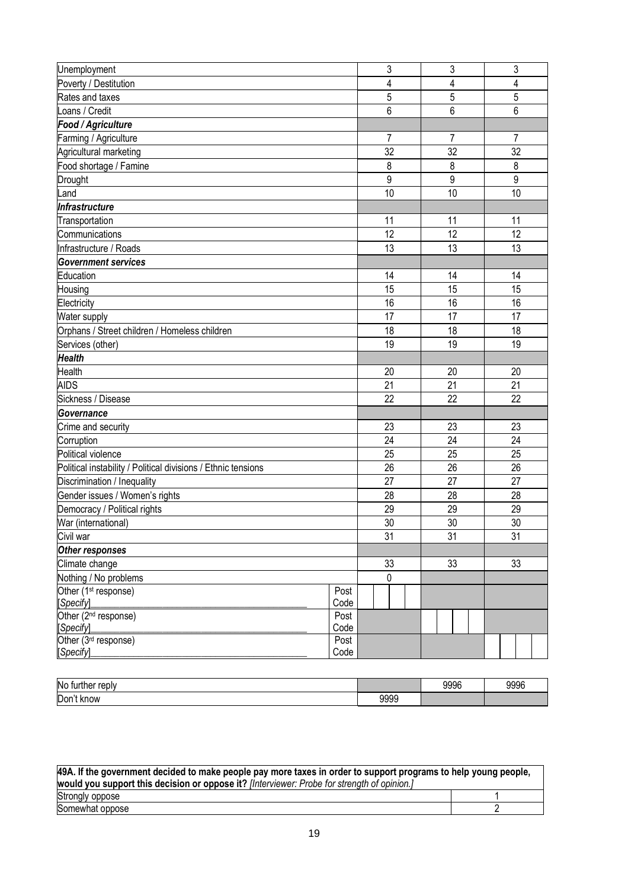| Unemployment                                                  |              | 3  | 3  | 3               |
|---------------------------------------------------------------|--------------|----|----|-----------------|
| Poverty / Destitution                                         |              | 4  | 4  | 4               |
| Rates and taxes                                               |              | 5  | 5  | 5               |
| Loans / Credit                                                |              | 6  | 6  | 6               |
| Food / Agriculture                                            |              |    |    |                 |
| Farming / Agriculture                                         |              | 7  | 7  | 7               |
| Agricultural marketing                                        |              | 32 | 32 | 32              |
| Food shortage / Famine                                        |              | 8  | 8  | 8               |
| <b>Drought</b>                                                |              | 9  | 9  | 9               |
| Land                                                          |              | 10 | 10 | 10              |
| Infrastructure                                                |              |    |    |                 |
| Transportation                                                |              | 11 | 11 | 11              |
| Communications                                                |              | 12 | 12 | 12              |
| Infrastructure / Roads                                        |              | 13 | 13 | 13              |
| <b>Government services</b>                                    |              |    |    |                 |
| Education                                                     |              | 14 | 14 | 14              |
| Housing                                                       |              | 15 | 15 | 15              |
| Electricity                                                   |              | 16 | 16 | 16              |
| Water supply                                                  |              | 17 | 17 | 17              |
| Orphans / Street children / Homeless children                 |              | 18 | 18 | 18              |
| Services (other)                                              |              | 19 | 19 | 19              |
| <b>Health</b>                                                 |              |    |    |                 |
| <b>Health</b>                                                 |              | 20 | 20 | 20              |
| <b>AIDS</b>                                                   |              | 21 | 21 | 21              |
| Sickness / Disease                                            |              | 22 | 22 | 22              |
| <b>Governance</b>                                             |              |    |    |                 |
| Crime and security                                            |              | 23 | 23 | 23              |
| Corruption                                                    |              | 24 | 24 | 24              |
| Political violence                                            |              | 25 | 25 | 25              |
| Political instability / Political divisions / Ethnic tensions |              | 26 | 26 | 26              |
| Discrimination / Inequality                                   |              | 27 | 27 | 27              |
| Gender issues / Women's rights                                |              | 28 | 28 | 28              |
| Democracy / Political rights                                  |              | 29 | 29 | 29              |
| War (international)                                           |              | 30 | 30 | 30              |
| Civil war                                                     |              | 31 | 31 | $\overline{31}$ |
| Other responses                                               |              |    |    |                 |
| Climate change                                                |              | 33 | 33 | 33              |
| Nothing / No problems                                         |              | 0  |    |                 |
| Other (1 <sup>st</sup> response)                              | Post         |    |    |                 |
| [Specify]                                                     | Code         |    |    |                 |
| Other (2 <sup>nd</sup> response)                              | Post         |    |    |                 |
| [Specify]<br>Other (3rd response)                             | Code<br>Post |    |    |                 |
| [Specify]                                                     | Code         |    |    |                 |
|                                                               |              |    |    |                 |

| No<br>turther reply |      | aaar<br>ວວວບ | 9996 |
|---------------------|------|--------------|------|
| Don't<br>know       | 9999 |              |      |

| 49A. If the government decided to make people pay more taxes in order to support programs to help young people, |  |  |  |  |
|-----------------------------------------------------------------------------------------------------------------|--|--|--|--|
| would you support this decision or oppose it? [Interviewer: Probe for strength of opinion.]                     |  |  |  |  |
| Strongly oppose                                                                                                 |  |  |  |  |
| Somewhat oppose                                                                                                 |  |  |  |  |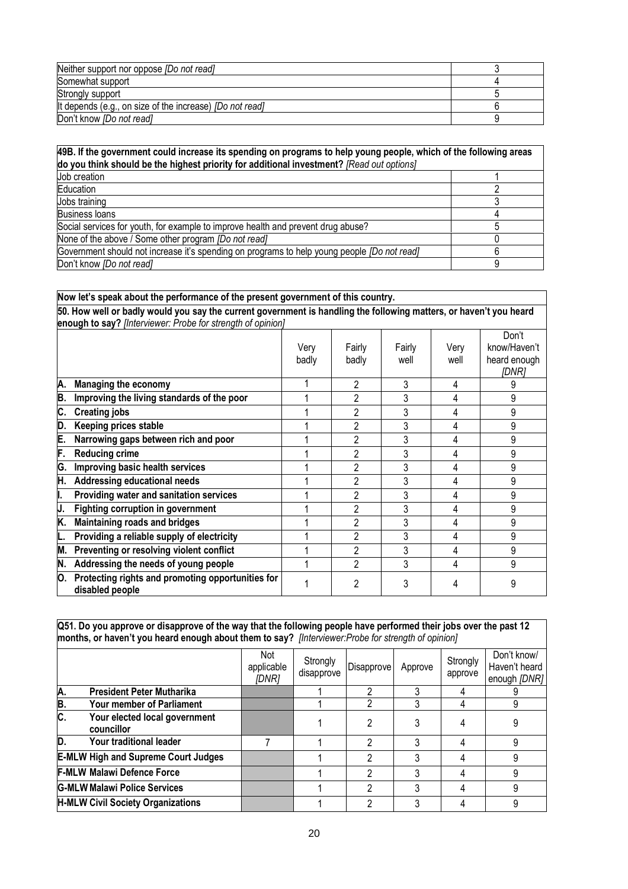| Neither support nor oppose [Do not read]                        |  |
|-----------------------------------------------------------------|--|
| Somewhat support                                                |  |
| Strongly support                                                |  |
| It depends (e.g., on size of the increase) <i>[Do not read]</i> |  |
| Don't know <i>[Do not read]</i>                                 |  |

| 49B. If the government could increase its spending on programs to help young people, which of the following areas<br>do you think should be the highest priority for additional investment? [Read out options] |   |  |  |  |
|----------------------------------------------------------------------------------------------------------------------------------------------------------------------------------------------------------------|---|--|--|--|
| Job creation                                                                                                                                                                                                   |   |  |  |  |
| Education                                                                                                                                                                                                      |   |  |  |  |
| Jobs training                                                                                                                                                                                                  |   |  |  |  |
| <b>Business loans</b>                                                                                                                                                                                          |   |  |  |  |
| Social services for youth, for example to improve health and prevent drug abuse?                                                                                                                               |   |  |  |  |
| None of the above / Some other program <i>[Do not read]</i>                                                                                                                                                    |   |  |  |  |
| Government should not increase it's spending on programs to help young people (Do not read)                                                                                                                    |   |  |  |  |
| Don't know <i>[Do not read]</i>                                                                                                                                                                                | a |  |  |  |

|    | Now let's speak about the performance of the present government of this country.                                                                                                  |               |                 |                |              |                                                |  |  |  |
|----|-----------------------------------------------------------------------------------------------------------------------------------------------------------------------------------|---------------|-----------------|----------------|--------------|------------------------------------------------|--|--|--|
|    | 50. How well or badly would you say the current government is handling the following matters, or haven't you heard<br>enough to say? [Interviewer: Probe for strength of opinion] |               |                 |                |              |                                                |  |  |  |
|    |                                                                                                                                                                                   | Very<br>badly | Fairly<br>badly | Fairly<br>well | Very<br>well | Don't<br>know/Haven't<br>heard enough<br>[DNR] |  |  |  |
| Α. | <b>Managing the economy</b>                                                                                                                                                       |               | 2               | 3              | 4            |                                                |  |  |  |
| Β. | Improving the living standards of the poor                                                                                                                                        |               | 2               | 3              | 4            | 9                                              |  |  |  |
| C. | <b>Creating jobs</b>                                                                                                                                                              |               | 2               | 3              | 4            | 9                                              |  |  |  |
| D. | Keeping prices stable                                                                                                                                                             |               | $\overline{2}$  | 3              | 4            | 9                                              |  |  |  |
| Ε. | Narrowing gaps between rich and poor                                                                                                                                              |               | 2               | 3              | 4            | 9                                              |  |  |  |
| F. | <b>Reducing crime</b>                                                                                                                                                             |               | 2               | 3              | 4            | 9                                              |  |  |  |
| G. | Improving basic health services                                                                                                                                                   |               | 2               | 3              | 4            | 9                                              |  |  |  |
| H. | Addressing educational needs                                                                                                                                                      |               | 2               | 3              | 4            | 9                                              |  |  |  |
|    | Providing water and sanitation services                                                                                                                                           |               | 2               | 3              | 4            | 9                                              |  |  |  |
|    | <b>Fighting corruption in government</b>                                                                                                                                          |               | 2               | 3              | 4            | 9                                              |  |  |  |
| K. | <b>Maintaining roads and bridges</b>                                                                                                                                              |               | $\overline{2}$  | 3              | 4            | 9                                              |  |  |  |
|    | Providing a reliable supply of electricity                                                                                                                                        |               | $\overline{2}$  | 3              | 4            | 9                                              |  |  |  |
| М. | Preventing or resolving violent conflict                                                                                                                                          |               | $\overline{2}$  | 3              | 4            | 9                                              |  |  |  |
| N. | Addressing the needs of young people                                                                                                                                              |               | 2               | 3              | 4            | 9                                              |  |  |  |
| О. | Protecting rights and promoting opportunities for<br>disabled people                                                                                                              |               | 2               | 3              |              | 9                                              |  |  |  |

**Q51. Do you approve or disapprove of the way that the following people have performed their jobs over the past 12 months, or haven't you heard enough about them to say?** *[Interviewer:Probe for strength of opinion]* 

|                           |                                             | Not<br>applicable<br>[DNR] | Strongly<br>disapprove | Disapprove | Approve | Strongly<br>approve | Don't know/<br>Haven't heard<br>enough [DNR] |
|---------------------------|---------------------------------------------|----------------------------|------------------------|------------|---------|---------------------|----------------------------------------------|
| Α                         | <b>President Peter Mutharika</b>            |                            |                        |            |         |                     |                                              |
| B.                        | <b>Your member of Parliament</b>            |                            |                        |            |         |                     |                                              |
| $\overline{\mathsf{c}}$ . | Your elected local government<br>councillor |                            |                        |            |         |                     |                                              |
| D.                        | Your traditional leader                     |                            |                        | 2          |         |                     |                                              |
|                           | <b>E-MLW High and Supreme Court Judges</b>  |                            |                        | C          |         |                     |                                              |
|                           | <b>F-MLW Malawi Defence Force</b>           |                            |                        | っ          |         |                     | 9                                            |
|                           | <b>G-MLW Malawi Police Services</b>         |                            |                        | っ          |         |                     |                                              |
|                           | <b>H-MLW Civil Society Organizations</b>    |                            |                        |            |         |                     |                                              |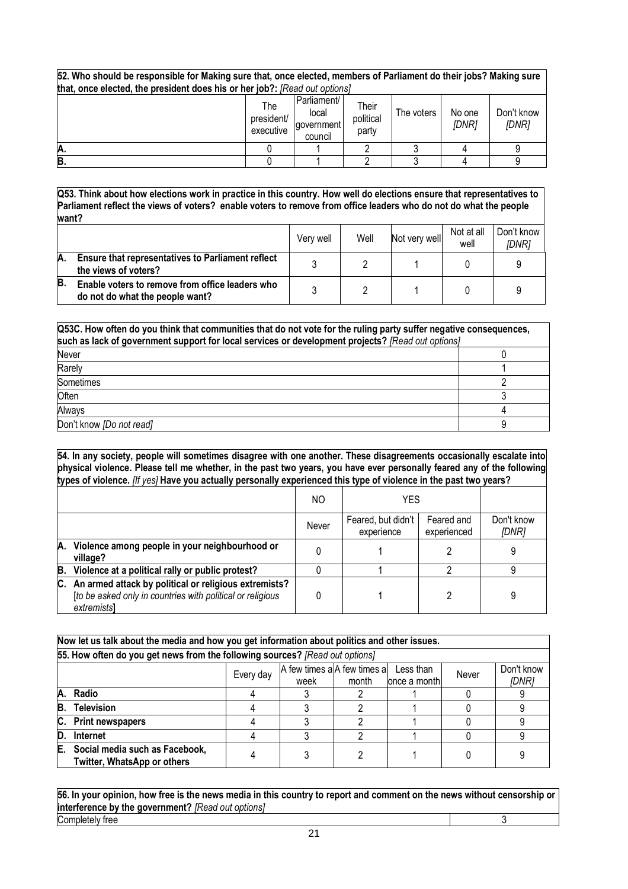**52. Who should be responsible for Making sure that, once elected, members of Parliament do their jobs? Making sure that, once elected, the president does his or her job?:** *[Read out options]*

| .  | .                              |                                               |                             |            |                 |                     |
|----|--------------------------------|-----------------------------------------------|-----------------------------|------------|-----------------|---------------------|
|    | The<br>president/<br>executive | Parliament/<br>local<br>sovernment<br>council | Their<br>political<br>party | The voters | No one<br>[DNR] | Don't know<br>[DNR] |
| A. |                                |                                               |                             |            |                 |                     |
| B. |                                |                                               |                             |            |                 |                     |

**Q53. Think about how elections work in practice in this country. How well do elections ensure that representatives to Parliament reflect the views of voters? enable voters to remove from office leaders who do not do what the people want?**

|    |                                                                                    | Verv well | Well | Not very well | Not at all<br>well | Don't know<br>IDNR1 |
|----|------------------------------------------------------------------------------------|-----------|------|---------------|--------------------|---------------------|
| A. | <b>Ensure that representatives to Parliament reflect</b><br>the views of voters?   |           |      |               |                    |                     |
| в  | Enable voters to remove from office leaders who<br>do not do what the people want? |           |      |               |                    |                     |

| Q53C. How often do you think that communities that do not vote for the ruling party suffer negative consequences,<br>such as lack of government support for local services or development projects? [Read out options] |  |  |  |  |  |
|------------------------------------------------------------------------------------------------------------------------------------------------------------------------------------------------------------------------|--|--|--|--|--|
| <b>Never</b>                                                                                                                                                                                                           |  |  |  |  |  |
| Rarely                                                                                                                                                                                                                 |  |  |  |  |  |
| Sometimes                                                                                                                                                                                                              |  |  |  |  |  |
| Often                                                                                                                                                                                                                  |  |  |  |  |  |
| Always                                                                                                                                                                                                                 |  |  |  |  |  |
| Don't know [Do not read]                                                                                                                                                                                               |  |  |  |  |  |

**54. In any society, people will sometimes disagree with one another. These disagreements occasionally escalate into physical violence. Please tell me whether, in the past two years, you have ever personally feared any of the following types of violence.** *[If yes]* **Have you actually personally experienced this type of violence in the past two years?** 

|    |                                                                                                                                      | NO.   | YES                              |                           |                     |
|----|--------------------------------------------------------------------------------------------------------------------------------------|-------|----------------------------------|---------------------------|---------------------|
|    |                                                                                                                                      | Never | Feared, but didn't<br>experience | Feared and<br>experienced | Don't know<br>[DNR] |
| А. | Violence among people in your neighbourhood or<br>village?                                                                           |       |                                  |                           |                     |
| B. | Violence at a political rally or public protest?                                                                                     |       |                                  |                           | a                   |
|    | C. An armed attack by political or religious extremists?<br>[to be asked only in countries with political or religious<br>extremists |       |                                  |                           | 9                   |

|                                                                                                                        | Now let us talk about the media and how you get information about politics and other issues. |  |  |  |  |  |  |  |  |  |
|------------------------------------------------------------------------------------------------------------------------|----------------------------------------------------------------------------------------------|--|--|--|--|--|--|--|--|--|
|                                                                                                                        | 55. How often do you get news from the following sources? [Read out options]                 |  |  |  |  |  |  |  |  |  |
| A few times a A few times a<br>Don't know<br>Less than<br>Every day<br>Never<br>[DNR]<br>month<br>once a month<br>week |                                                                                              |  |  |  |  |  |  |  |  |  |
| Α.                                                                                                                     | Radio                                                                                        |  |  |  |  |  |  |  |  |  |
| В.                                                                                                                     | <b>Television</b>                                                                            |  |  |  |  |  |  |  |  |  |
| C.                                                                                                                     | <b>Print newspapers</b>                                                                      |  |  |  |  |  |  |  |  |  |
| D.                                                                                                                     | Internet                                                                                     |  |  |  |  |  |  |  |  |  |
| E.                                                                                                                     | Social media such as Facebook,<br><b>Twitter, WhatsApp or others</b>                         |  |  |  |  |  |  |  |  |  |

**56. In your opinion, how free is the news media in this country to report and comment on the news without censorship or interference by the government?** *[Read out options]* Completely free 3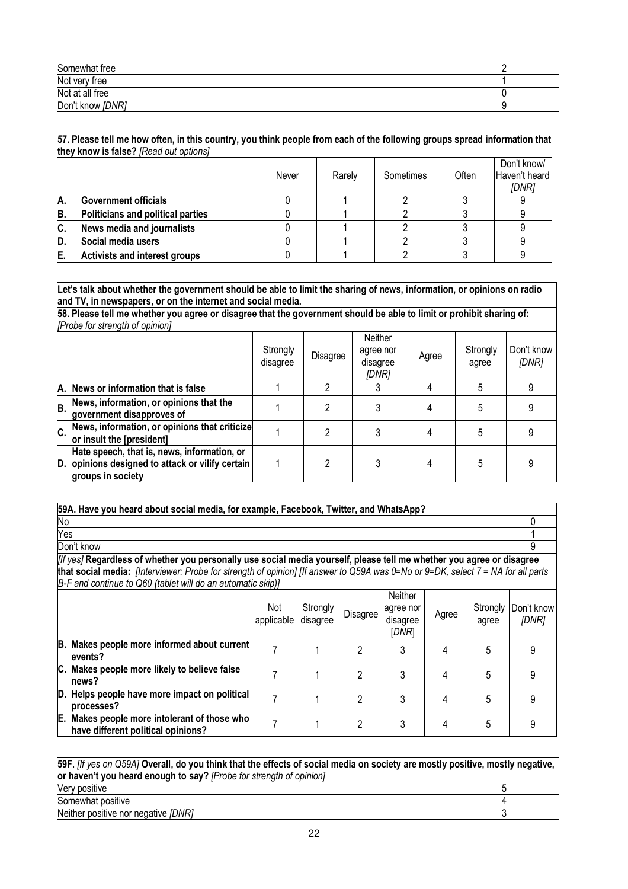| Somewhat free    |  |
|------------------|--|
| Not very free    |  |
| Not at all free  |  |
| Don't know [DNR] |  |

| 57. Please tell me how often, in this country, you think people from each of the following groups spread information that |  |
|---------------------------------------------------------------------------------------------------------------------------|--|
| they know is false? [Read out options]                                                                                    |  |

|     |                                          | Never | Rarely | Sometimes | Often | Don't know/<br>Haven't heard<br>[DNR] |
|-----|------------------------------------------|-------|--------|-----------|-------|---------------------------------------|
| А.  | <b>Government officials</b>              |       |        |           |       |                                       |
| В   | <b>Politicians and political parties</b> |       |        |           |       |                                       |
| IC. | News media and journalists               |       |        |           |       |                                       |
| D   | Social media users                       |       |        |           |       |                                       |
|     | <b>Activists and interest groups</b>     |       |        |           |       |                                       |

**Let's talk about whether the government should be able to limit the sharing of news, information, or opinions on radio and TV, in newspapers, or on the internet and social media.**

**58. Please tell me whether you agree or disagree that the government should be able to limit or prohibit sharing of:**  *[Probe for strength of opinion]*

|    |                                                                                                                      | Strongly<br>disagree | Disagree | Neither<br>agree nor<br>disagree<br>IDNR1 | Agree | Strongly<br>agree | Don't know<br>[DNR] |
|----|----------------------------------------------------------------------------------------------------------------------|----------------------|----------|-------------------------------------------|-------|-------------------|---------------------|
|    | A. News or information that is false                                                                                 |                      | າ        |                                           |       |                   |                     |
| В. | News, information, or opinions that the<br>government disapproves of                                                 |                      | າ        |                                           |       |                   |                     |
| C. | News, information, or opinions that criticize<br>or insult the [president]                                           |                      | റ        |                                           |       |                   |                     |
|    | Hate speech, that is, news, information, or<br>D. opinions designed to attack or vilify certain<br>groups in society |                      | 2        |                                           |       |                   |                     |

| 59A. Have you heard about social media, for example, Facebook, Twitter, and WhatsApp?                                                                                                                                                                                                                                    |                   |                      |                |                                           |       |                   |                     |
|--------------------------------------------------------------------------------------------------------------------------------------------------------------------------------------------------------------------------------------------------------------------------------------------------------------------------|-------------------|----------------------|----------------|-------------------------------------------|-------|-------------------|---------------------|
|                                                                                                                                                                                                                                                                                                                          |                   |                      |                |                                           |       |                   | O                   |
|                                                                                                                                                                                                                                                                                                                          |                   |                      |                |                                           |       |                   |                     |
| Don't know                                                                                                                                                                                                                                                                                                               |                   |                      |                |                                           |       |                   |                     |
| [If yes] Regardless of whether you personally use social media yourself, please tell me whether you agree or disagree<br>that social media: [Interviewer: Probe for strength of opinion] [If answer to Q59A was 0=No or 9=DK, select 7 = NA for all parts<br>B-F and continue to Q60 (tablet will do an automatic skip)] |                   |                      |                |                                           |       |                   |                     |
|                                                                                                                                                                                                                                                                                                                          | Not<br>applicable | Strongly<br>disagree | Disagree       | Neither<br>agree nor<br>disagree<br>idnri | Agree | Strongly<br>agree | Don't know<br>[DNR] |
| B. Makes people more informed about current<br>events?                                                                                                                                                                                                                                                                   | 7                 |                      | 2              | 3                                         | 4     | 5                 | 9                   |
| C. Makes people more likely to believe false<br>news?                                                                                                                                                                                                                                                                    | 7                 |                      | 2              | 3                                         | 4     | 5                 | 9                   |
| D. Helps people have more impact on political<br>processes?                                                                                                                                                                                                                                                              |                   |                      | $\mathfrak{p}$ | 3                                         | 4     | 5                 | 9                   |
| E. Makes people more intolerant of those who<br>have different political opinions?                                                                                                                                                                                                                                       | 7                 |                      | 2              | 3                                         | 4     | 5                 | 9                   |

| 59F. <i>Iff yes on Q59A]</i> Overall, do you think that the effects of social media on society are mostly positive, mostly negative, l |  |  |  |  |  |
|----------------------------------------------------------------------------------------------------------------------------------------|--|--|--|--|--|
| or haven't you heard enough to say? [Probe for strength of opinion]                                                                    |  |  |  |  |  |
| Very positive                                                                                                                          |  |  |  |  |  |
| Somewhat positive                                                                                                                      |  |  |  |  |  |
| Neither positive nor negative [DNR]                                                                                                    |  |  |  |  |  |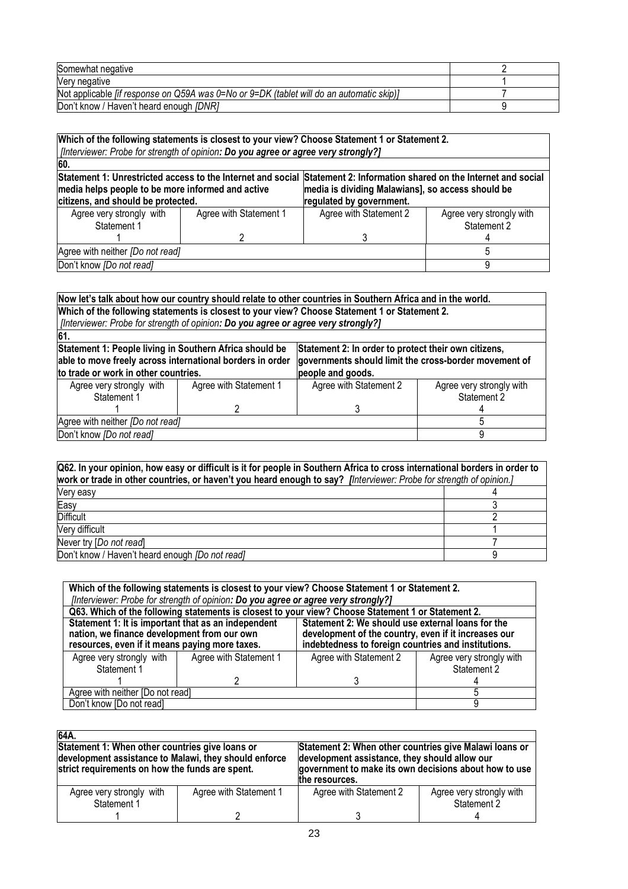| Somewhat negative                                                                                  |  |
|----------------------------------------------------------------------------------------------------|--|
| Very negative                                                                                      |  |
| Not applicable <i>fif response on Q59A was 0</i> =No or $9=DK$ (tablet will do an automatic skip)] |  |
| Don't know / Haven't heard enough [DNR]                                                            |  |

| Which of the following statements is closest to your view? Choose Statement 1 or Statement 2.<br>[?Interviewer: Probe for strength of opinion: Do you agree or agree very strongly                                                  |                        |                          |                          |  |  |  |
|-------------------------------------------------------------------------------------------------------------------------------------------------------------------------------------------------------------------------------------|------------------------|--------------------------|--------------------------|--|--|--|
| 60.                                                                                                                                                                                                                                 |                        |                          |                          |  |  |  |
| Statement 1: Unrestricted access to the Internet and social<br>Statement 2: Information shared on the Internet and social<br>media helps people to be more informed and active<br>media is dividing Malawians], so access should be |                        |                          |                          |  |  |  |
| citizens, and should be protected.                                                                                                                                                                                                  |                        | regulated by government. |                          |  |  |  |
| Agree very strongly with                                                                                                                                                                                                            | Agree with Statement 1 | Agree with Statement 2   | Agree very strongly with |  |  |  |
| Statement 1                                                                                                                                                                                                                         |                        |                          | Statement 2              |  |  |  |
|                                                                                                                                                                                                                                     |                        |                          |                          |  |  |  |
| Agree with neither [Do not read]                                                                                                                                                                                                    |                        |                          |                          |  |  |  |
| Don't know [Do not read]                                                                                                                                                                                                            |                        |                          |                          |  |  |  |

|                                                                                    | Now let's talk about how our country should relate to other countries in Southern Africa and in the world.      |                        |                                                       |  |  |  |  |
|------------------------------------------------------------------------------------|-----------------------------------------------------------------------------------------------------------------|------------------------|-------------------------------------------------------|--|--|--|--|
|                                                                                    | Which of the following statements is closest to your view? Choose Statement 1 or Statement 2.                   |                        |                                                       |  |  |  |  |
| [Interviewer: Probe for strength of opinion: Do you agree or agree very strongly?] |                                                                                                                 |                        |                                                       |  |  |  |  |
| 61.                                                                                |                                                                                                                 |                        |                                                       |  |  |  |  |
|                                                                                    | Statement 1: People living in Southern Africa should be<br>Statement 2: In order to protect their own citizens, |                        |                                                       |  |  |  |  |
| able to move freely across international borders in order                          |                                                                                                                 |                        | governments should limit the cross-border movement of |  |  |  |  |
| to trade or work in other countries.                                               |                                                                                                                 | people and goods.      |                                                       |  |  |  |  |
| Agree very strongly with                                                           | Agree with Statement 1                                                                                          | Agree with Statement 2 | Agree very strongly with                              |  |  |  |  |
| Statement 1                                                                        |                                                                                                                 |                        | Statement 2                                           |  |  |  |  |
|                                                                                    |                                                                                                                 |                        |                                                       |  |  |  |  |
| Agree with neither [Do not read]                                                   |                                                                                                                 |                        |                                                       |  |  |  |  |
| Don't know [Do not read]                                                           |                                                                                                                 |                        |                                                       |  |  |  |  |

| Q62. In your opinion, how easy or difficult is it for people in Southern Africa to cross international borders in order to<br>work or trade in other countries, or haven't you heard enough to say? [Interviewer: Probe for strength of opinion.] |  |  |  |  |
|---------------------------------------------------------------------------------------------------------------------------------------------------------------------------------------------------------------------------------------------------|--|--|--|--|
| Very easy                                                                                                                                                                                                                                         |  |  |  |  |
| Easy                                                                                                                                                                                                                                              |  |  |  |  |
| <b>Difficult</b>                                                                                                                                                                                                                                  |  |  |  |  |
| Very difficult                                                                                                                                                                                                                                    |  |  |  |  |
| Never try [Do not read]                                                                                                                                                                                                                           |  |  |  |  |
| Don't know / Haven't heard enough <i>[Do not read]</i>                                                                                                                                                                                            |  |  |  |  |

| Which of the following statements is closest to your view? Choose Statement 1 or Statement 2.                                                        |                                                                                    |                                                                                                                                                                  |                          |  |  |  |  |  |
|------------------------------------------------------------------------------------------------------------------------------------------------------|------------------------------------------------------------------------------------|------------------------------------------------------------------------------------------------------------------------------------------------------------------|--------------------------|--|--|--|--|--|
|                                                                                                                                                      | [Interviewer: Probe for strength of opinion: Do you agree or agree very strongly?] |                                                                                                                                                                  |                          |  |  |  |  |  |
|                                                                                                                                                      |                                                                                    | Q63. Which of the following statements is closest to your view? Choose Statement 1 or Statement 2.                                                               |                          |  |  |  |  |  |
| Statement 1: It is important that as an independent<br>nation, we finance development from our own<br>resources, even if it means paying more taxes. |                                                                                    | Statement 2: We should use external loans for the<br>development of the country, even if it increases our<br>indebtedness to foreign countries and institutions. |                          |  |  |  |  |  |
| Agree very strongly with                                                                                                                             | Agree with Statement 1                                                             | Agree with Statement 2                                                                                                                                           | Agree very strongly with |  |  |  |  |  |
| Statement 1                                                                                                                                          |                                                                                    |                                                                                                                                                                  | Statement 2              |  |  |  |  |  |
|                                                                                                                                                      |                                                                                    |                                                                                                                                                                  |                          |  |  |  |  |  |
| Agree with neither [Do not read]                                                                                                                     |                                                                                    |                                                                                                                                                                  |                          |  |  |  |  |  |
| Don't know [Do not read]                                                                                                                             |                                                                                    |                                                                                                                                                                  |                          |  |  |  |  |  |

| 64A.                                                                                                                                                        |                        |                                                                                                                                                                                    |                                         |  |
|-------------------------------------------------------------------------------------------------------------------------------------------------------------|------------------------|------------------------------------------------------------------------------------------------------------------------------------------------------------------------------------|-----------------------------------------|--|
| Statement 1: When other countries give loans or<br>development assistance to Malawi, they should enforce<br>strict requirements on how the funds are spent. |                        | Statement 2: When other countries give Malawi Ioans or<br>development assistance, they should allow our<br>government to make its own decisions about how to use<br>the resources. |                                         |  |
| Agree very strongly<br>with<br>Statement 1                                                                                                                  | Agree with Statement 1 | Agree with Statement 2                                                                                                                                                             | Agree very strongly with<br>Statement 2 |  |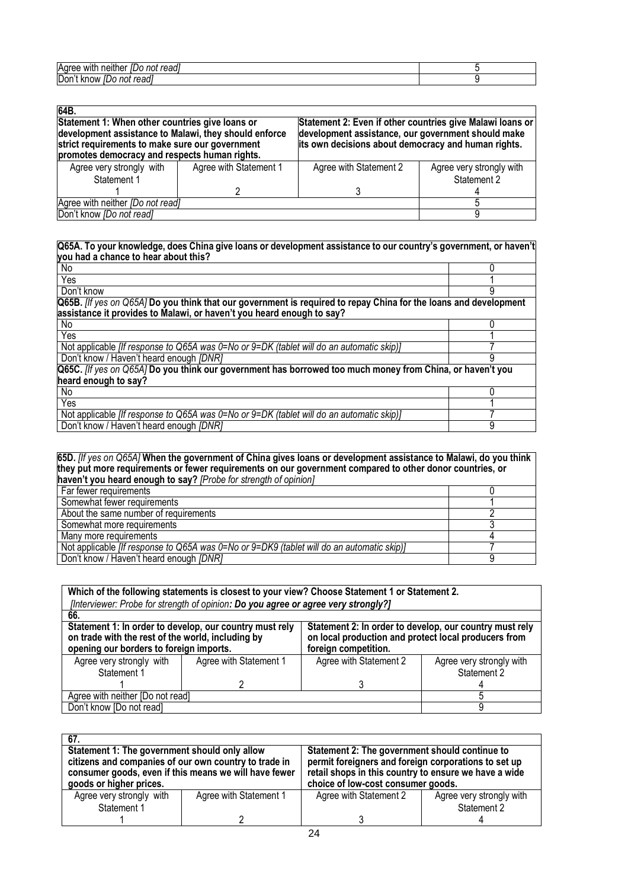| Aaree<br>read.<br>neitr<br>WIT<br>not<br>æ |  |
|--------------------------------------------|--|
| <b>Don</b><br>read<br>know<br>not<br>л     |  |

| 64B.                                                                                                                                                                                                         |                        |                                                                                                                                                                        |                          |  |  |
|--------------------------------------------------------------------------------------------------------------------------------------------------------------------------------------------------------------|------------------------|------------------------------------------------------------------------------------------------------------------------------------------------------------------------|--------------------------|--|--|
| Statement 1: When other countries give loans or<br>development assistance to Malawi, they should enforce<br>strict requirements to make sure our government<br>promotes democracy and respects human rights. |                        | Statement 2: Even if other countries give Malawi loans or<br>development assistance, our government should make<br>its own decisions about democracy and human rights. |                          |  |  |
| Agree very strongly with                                                                                                                                                                                     | Agree with Statement 1 | Agree with Statement 2                                                                                                                                                 | Agree very strongly with |  |  |
| Statement 1                                                                                                                                                                                                  |                        |                                                                                                                                                                        | Statement 2              |  |  |
|                                                                                                                                                                                                              |                        |                                                                                                                                                                        |                          |  |  |
| Agree with neither [Do not read]                                                                                                                                                                             |                        |                                                                                                                                                                        |                          |  |  |
| Don't know <i>[Do not read]</i>                                                                                                                                                                              |                        |                                                                                                                                                                        |                          |  |  |

#### **Q65A. To your knowledge, does China give loans or development assistance to our country's government, or haven't you had a chance to hear about this?**

| $\overline{N_{0}}$                                                                                               |   |
|------------------------------------------------------------------------------------------------------------------|---|
| Yes                                                                                                              |   |
| Don't know                                                                                                       | 9 |
| Q65B. [If yes on Q65A] Do you think that our government is required to repay China for the loans and development |   |
| assistance it provides to Malawi, or haven't you heard enough to say?                                            |   |
| No                                                                                                               |   |
| Yes                                                                                                              |   |
| Not applicable <i>[If response to Q65A was 0</i> =No or 9=DK (tablet will do an automatic skip)]                 |   |
| Don't know / Haven't heard enough [DNR]                                                                          |   |
| Q65C. [If yes on Q65A] Do you think our government has borrowed too much money from China, or haven't you        |   |
| heard enough to say?                                                                                             |   |
| No                                                                                                               |   |
| Yes                                                                                                              |   |
| Not applicable <i>[If response to Q65A was 0</i> =No or $9=DK$ (tablet will do an automatic skip)]               |   |
| Don't know / Haven't heard enough [DNR]                                                                          | 9 |
|                                                                                                                  |   |

#### **65D.** *[If yes on Q65A]* **When the government of China gives loans or development assistance to Malawi, do you think they put more requirements or fewer requirements on our government compared to other donor countries, or haven't you heard enough to say?** *[Probe for strength of opinion]* Far fewer requirements **1.1 Constant of the Constant of Constant Constant Constant Constant Constant Constant Constant Constant Constant Constant Constant Constant Constant Constant Constant Constant Constant Constant Cons** Somewhat fewer requirements 1<br>About the same number of requirements 2 About the same number of requirements 2<br>
Somewhat more requirements 3 Somewhat more requirements 3 Many more requirements 4 Not applicable *[If response to Q65A was 0=No or 9=DK9 (tablet will do an automatic skip)]* 7 Don't know / Haven't heard enough *[DNR]* 9

| Which of the following statements is closest to your view? Choose Statement 1 or Statement 2.<br>[Interviewer: Probe for strength of opinion: Do you agree or agree very strongly?]                                                                                                                |                        |                        |                                         |  |  |  |  |
|----------------------------------------------------------------------------------------------------------------------------------------------------------------------------------------------------------------------------------------------------------------------------------------------------|------------------------|------------------------|-----------------------------------------|--|--|--|--|
| 66.                                                                                                                                                                                                                                                                                                |                        |                        |                                         |  |  |  |  |
| Statement 1: In order to develop, our country must rely<br>Statement 2: In order to develop, our country must rely<br>on trade with the rest of the world, including by<br>on local production and protect local producers from<br>opening our borders to foreign imports.<br>foreign competition. |                        |                        |                                         |  |  |  |  |
| Agree very strongly with<br>Statement 1                                                                                                                                                                                                                                                            | Agree with Statement 1 | Agree with Statement 2 | Agree very strongly with<br>Statement 2 |  |  |  |  |
|                                                                                                                                                                                                                                                                                                    |                        |                        |                                         |  |  |  |  |
| Agree with neither [Do not read]                                                                                                                                                                                                                                                                   |                        |                        |                                         |  |  |  |  |
| Don't know [Do not read]                                                                                                                                                                                                                                                                           |                        |                        |                                         |  |  |  |  |

| 67.                                                                                                                                       |                        |                                                                                                                                                     |  |  |
|-------------------------------------------------------------------------------------------------------------------------------------------|------------------------|-----------------------------------------------------------------------------------------------------------------------------------------------------|--|--|
| Statement 1: The government should only allow                                                                                             |                        | Statement 2: The government should continue to                                                                                                      |  |  |
| citizens and companies of our own country to trade in<br>consumer goods, even if this means we will have fewer<br>goods or higher prices. |                        | permit foreigners and foreign corporations to set up<br>retail shops in this country to ensure we have a wide<br>choice of low-cost consumer goods. |  |  |
| Agree very strongly with                                                                                                                  | Agree with Statement 1 | Agree with Statement 2<br>Agree very strongly with                                                                                                  |  |  |
| Statement 1                                                                                                                               |                        | Statement 2                                                                                                                                         |  |  |
|                                                                                                                                           |                        |                                                                                                                                                     |  |  |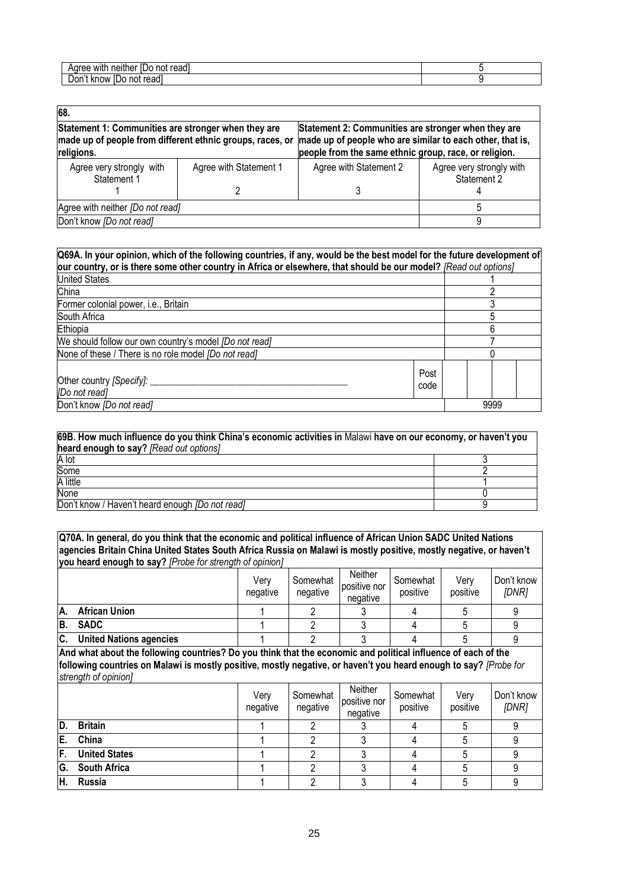| with<br>read<br>nn<br>aemer<br>и |  |
|----------------------------------|--|
| --<br>reau<br>. Know             |  |

| 68.                                                                                                                            |                        |                                                                                                                                                                           |                                         |  |  |  |
|--------------------------------------------------------------------------------------------------------------------------------|------------------------|---------------------------------------------------------------------------------------------------------------------------------------------------------------------------|-----------------------------------------|--|--|--|
| Statement 1: Communities are stronger when they are<br>made up of people from different ethnic groups, races, or<br>religions. |                        | Statement 2: Communities are stronger when they are<br>made up of people who are similar to each other, that is,<br>people from the same ethnic group, race, or religion. |                                         |  |  |  |
| Agree very strongly with<br>Statement 1                                                                                        | Agree with Statement 1 | Agree with Statement 2                                                                                                                                                    | Agree very strongly with<br>Statement 2 |  |  |  |
|                                                                                                                                |                        |                                                                                                                                                                           |                                         |  |  |  |
| Agree with neither [Do not read]                                                                                               |                        |                                                                                                                                                                           |                                         |  |  |  |
| Don't know [Do not read]                                                                                                       |                        |                                                                                                                                                                           |                                         |  |  |  |

| Q69A. In your opinion, which of the following countries, if any, would be the best model for the future development of |              |  |      |  |  |
|------------------------------------------------------------------------------------------------------------------------|--------------|--|------|--|--|
| our country, or is there some other country in Africa or elsewhere, that should be our model? [Read out options]       |              |  |      |  |  |
| <b>United States</b>                                                                                                   |              |  |      |  |  |
| China                                                                                                                  |              |  |      |  |  |
| Former colonial power, i.e., Britain                                                                                   |              |  |      |  |  |
| South Africa                                                                                                           |              |  |      |  |  |
| Ethiopia                                                                                                               |              |  |      |  |  |
| We should follow our own country's model <i>[Do not read]</i>                                                          |              |  |      |  |  |
| None of these / There is no role model <i>[Do not read]</i>                                                            |              |  |      |  |  |
| Other country [Specify]: __<br>[Do not read]                                                                           | Post<br>code |  |      |  |  |
| Don't know <i>[Do not read]</i>                                                                                        |              |  | 9999 |  |  |

| 69B. How much influence do you think China's economic activities in Malawi have on our economy, or haven't you<br>heard enough to say? [Read out options] |  |  |  |  |
|-----------------------------------------------------------------------------------------------------------------------------------------------------------|--|--|--|--|
| A lot                                                                                                                                                     |  |  |  |  |
| Some                                                                                                                                                      |  |  |  |  |
| A little                                                                                                                                                  |  |  |  |  |
| None                                                                                                                                                      |  |  |  |  |
| Don't know / Haven't heard enough [Do not read]                                                                                                           |  |  |  |  |

**Q70A. In general, do you think that the economic and political influence of African Union SADC United Nations agencies Britain China United States South Africa Russia on Malawi is mostly positive, mostly negative, or haven't you heard enough to say?** *[Probe for strength of opinion]*

|     |                                | Verv<br>negative | Somewhat<br>negative | Neither<br>positive nor<br>negative | Somewhat<br>positive | Verv<br>positive | Don't know<br>[DNR] |
|-----|--------------------------------|------------------|----------------------|-------------------------------------|----------------------|------------------|---------------------|
| IA. | <b>African Union</b>           |                  |                      |                                     |                      |                  |                     |
| IB. | <b>SADC</b>                    |                  |                      |                                     |                      |                  |                     |
| IC. | <b>United Nations agencies</b> |                  |                      |                                     |                      |                  |                     |

**And what about the following countries? Do you think that the economic and political influence of each of the following countries on Malawi is mostly positive, mostly negative, or haven't you heard enough to say?** *[Probe for strength of opinion]*

|     |                      | Very<br>negative | Somewhat<br>negative | Neither<br>positive nor<br>negative | Somewhat<br>positive | Verv<br>positive | Don't know<br>[DNR] |
|-----|----------------------|------------------|----------------------|-------------------------------------|----------------------|------------------|---------------------|
| ID. | <b>Britain</b>       |                  |                      |                                     |                      |                  |                     |
| E.  | China                |                  |                      |                                     |                      |                  |                     |
| IF. | <b>United States</b> |                  |                      |                                     |                      |                  |                     |
| G.  | <b>South Africa</b>  |                  |                      |                                     |                      |                  |                     |
| IH. | Russia               |                  |                      |                                     |                      |                  |                     |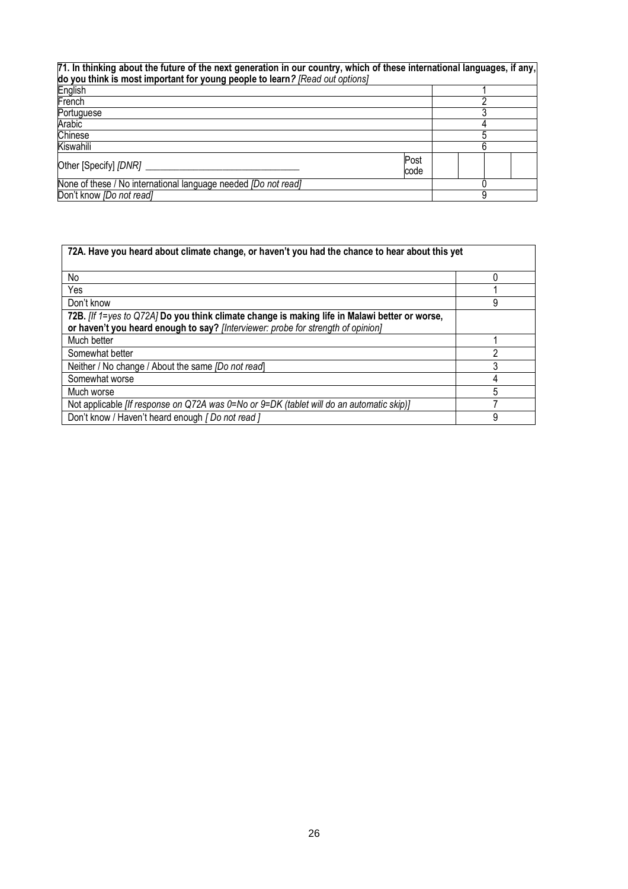| 71. In thinking about the future of the next generation in our country, which of these international languages, if any,<br>do you think is most important for young people to learn? [Read out options] |              |  |  |  |  |
|---------------------------------------------------------------------------------------------------------------------------------------------------------------------------------------------------------|--------------|--|--|--|--|
| English                                                                                                                                                                                                 |              |  |  |  |  |
| French                                                                                                                                                                                                  |              |  |  |  |  |
| Portuguese                                                                                                                                                                                              |              |  |  |  |  |
| Arabic                                                                                                                                                                                                  |              |  |  |  |  |
| Chinese                                                                                                                                                                                                 |              |  |  |  |  |
| Kiswahili                                                                                                                                                                                               |              |  |  |  |  |
| Other [Specify] [DNR] _                                                                                                                                                                                 | Post<br>code |  |  |  |  |
| None of these / No international language needed [Do not read]                                                                                                                                          |              |  |  |  |  |
| Don't know <i>[Do not read]</i>                                                                                                                                                                         |              |  |  |  |  |

| 72A. Have you heard about climate change, or haven't you had the chance to hear about this yet                                                                                    |   |
|-----------------------------------------------------------------------------------------------------------------------------------------------------------------------------------|---|
| No                                                                                                                                                                                |   |
| Yes                                                                                                                                                                               |   |
| Don't know                                                                                                                                                                        | 9 |
| 72B. Iff 1=yes to Q72A] Do you think climate change is making life in Malawi better or worse,<br>or haven't you heard enough to say? [Interviewer: probe for strength of opinion] |   |
| Much better                                                                                                                                                                       |   |
| Somewhat better                                                                                                                                                                   | っ |
| Neither / No change / About the same <i>[Do not read</i> ]                                                                                                                        |   |
| Somewhat worse                                                                                                                                                                    |   |
| Much worse                                                                                                                                                                        | 5 |
| Not applicable [If response on Q72A was 0=No or 9=DK (tablet will do an automatic skip)]                                                                                          |   |
| Don't know / Haven't heard enough [ Do not read ]                                                                                                                                 | 9 |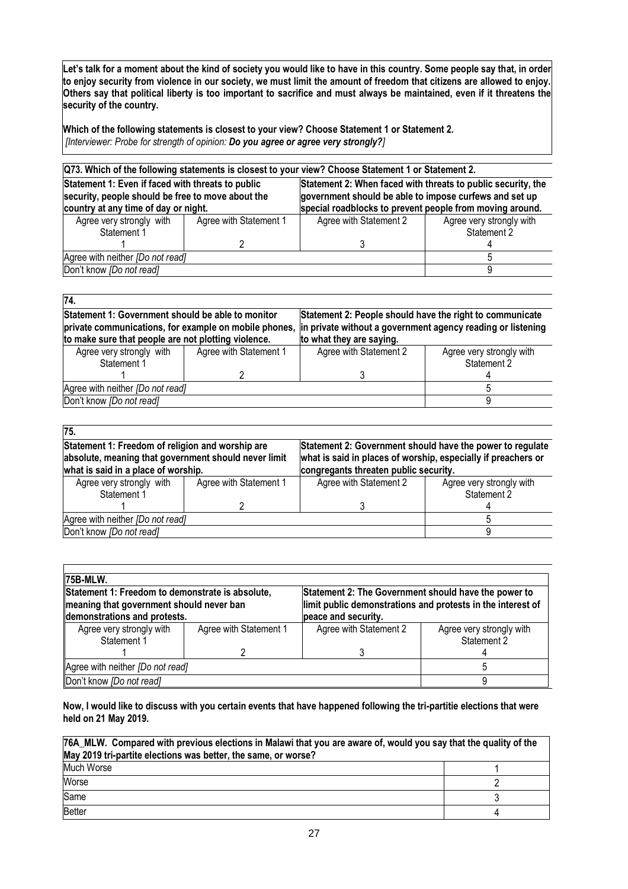**Let's talk for a moment about the kind of society you would like to have in this country. Some people say that, in order to enjoy security from violence in our society, we must limit the amount of freedom that citizens are allowed to enjoy. Others say that political liberty is too important to sacrifice and must always be maintained, even if it threatens the security of the country.**

**Which of the following statements is closest to your view? Choose Statement 1 or Statement 2.**  *[Interviewer: Probe for strength of opinion: Do you agree or agree very strongly?]*

| Q73. Which of the following statements is closest to your view? Choose Statement 1 or Statement 2.     |                        |                                                                                                                        |                          |  |  |  |
|--------------------------------------------------------------------------------------------------------|------------------------|------------------------------------------------------------------------------------------------------------------------|--------------------------|--|--|--|
| Statement 1: Even if faced with threats to public<br>security, people should be free to move about the |                        | Statement 2: When faced with threats to public security, the<br>government should be able to impose curfews and set up |                          |  |  |  |
| country at any time of day or night.                                                                   |                        | special roadblocks to prevent people from moving around.                                                               |                          |  |  |  |
| Agree very strongly with                                                                               | Agree with Statement 1 | Agree with Statement 2                                                                                                 | Agree very strongly with |  |  |  |
| Statement 1                                                                                            |                        |                                                                                                                        | Statement 2              |  |  |  |
|                                                                                                        |                        |                                                                                                                        |                          |  |  |  |
| Agree with neither [Do not read]                                                                       |                        |                                                                                                                        |                          |  |  |  |
| Don't know [Do not read]                                                                               |                        |                                                                                                                        |                          |  |  |  |

| 74.                                                                                                                                                               |  |                                                                                                                                                     |                          |  |  |
|-------------------------------------------------------------------------------------------------------------------------------------------------------------------|--|-----------------------------------------------------------------------------------------------------------------------------------------------------|--------------------------|--|--|
| Statement 1: Government should be able to monitor<br>private communications, for example on mobile phones,<br>to make sure that people are not plotting violence. |  | Statement 2: People should have the right to communicate<br>in private without a government agency reading or listening<br>to what they are saying. |                          |  |  |
| Agree with Statement 1<br>Agree very strongly with                                                                                                                |  | Agree with Statement 2                                                                                                                              | Agree very strongly with |  |  |
| Statement 1                                                                                                                                                       |  |                                                                                                                                                     | Statement 2              |  |  |
|                                                                                                                                                                   |  |                                                                                                                                                     |                          |  |  |
| Agree with neither [Do not read]                                                                                                                                  |  |                                                                                                                                                     |                          |  |  |
| Don't know <i>[Do not read]</i>                                                                                                                                   |  |                                                                                                                                                     |                          |  |  |

| 75.                                                                                                                                             |                        |                                                                                                                                                                     |                                         |  |  |
|-------------------------------------------------------------------------------------------------------------------------------------------------|------------------------|---------------------------------------------------------------------------------------------------------------------------------------------------------------------|-----------------------------------------|--|--|
| Statement 1: Freedom of religion and worship are<br>absolute, meaning that government should never limit<br>what is said in a place of worship. |                        | Statement 2: Government should have the power to regulate<br>what is said in places of worship, especially if preachers or<br>congregants threaten public security. |                                         |  |  |
| Agree very strongly with<br>Statement 1                                                                                                         | Agree with Statement 1 | Agree with Statement 2                                                                                                                                              | Agree very strongly with<br>Statement 2 |  |  |
|                                                                                                                                                 |                        |                                                                                                                                                                     |                                         |  |  |
| Agree with neither [Do not read]                                                                                                                |                        |                                                                                                                                                                     |                                         |  |  |
| Don't know [Do not read]                                                                                                                        |                        |                                                                                                                                                                     |                                         |  |  |

| 75B-MLW.                                                                                                                                                                                          |  |                                                                                                                                            |                                         |  |  |  |  |
|---------------------------------------------------------------------------------------------------------------------------------------------------------------------------------------------------|--|--------------------------------------------------------------------------------------------------------------------------------------------|-----------------------------------------|--|--|--|--|
| Statement 1: Freedom to demonstrate is absolute,<br>meaning that government should never ban<br>demonstrations and protests.<br>Agree very strongly with<br>Agree with Statement 1<br>Statement 1 |  | Statement 2: The Government should have the power to<br>limit public demonstrations and protests in the interest of<br>peace and security. |                                         |  |  |  |  |
|                                                                                                                                                                                                   |  | Agree with Statement 2                                                                                                                     | Agree very strongly with<br>Statement 2 |  |  |  |  |
|                                                                                                                                                                                                   |  |                                                                                                                                            |                                         |  |  |  |  |
| Agree with neither [Do not read]                                                                                                                                                                  |  |                                                                                                                                            |                                         |  |  |  |  |
| Don't know [Do not read]                                                                                                                                                                          |  |                                                                                                                                            |                                         |  |  |  |  |

**Now, I would like to discuss with you certain events that have happened following the tri-partitie elections that were held on 21 May 2019.**

| 76A_MLW. Compared with previous elections in Malawi that you are aware of, would you say that the quality of the<br>May 2019 tri-partite elections was better, the same, or worse? |  |  |  |  |
|------------------------------------------------------------------------------------------------------------------------------------------------------------------------------------|--|--|--|--|
| Much Worse                                                                                                                                                                         |  |  |  |  |
| Worse                                                                                                                                                                              |  |  |  |  |
| Same                                                                                                                                                                               |  |  |  |  |
| <b>Better</b>                                                                                                                                                                      |  |  |  |  |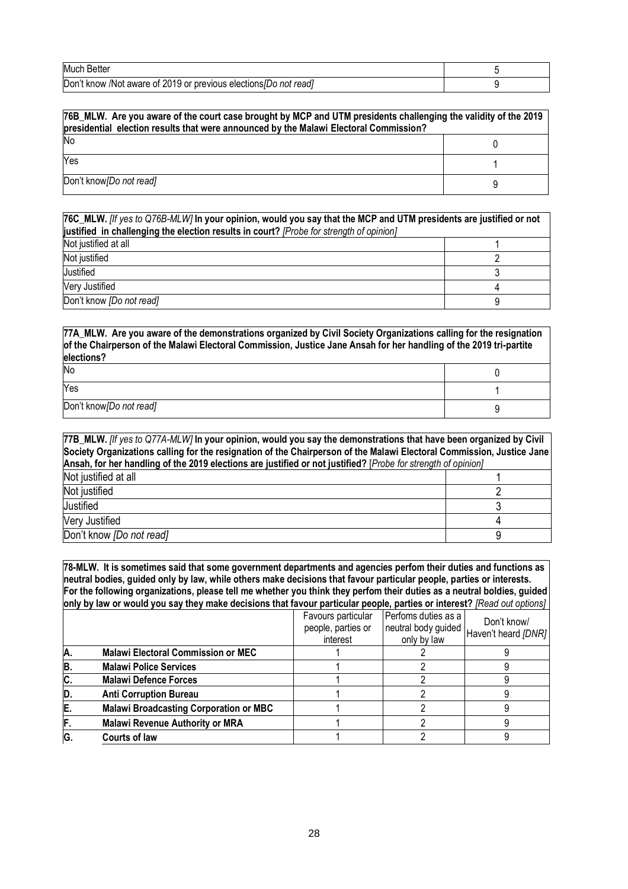| <b>Much Better</b>                                               |  |
|------------------------------------------------------------------|--|
| Don't know /Not aware of 2019 or previous elections/Do not read] |  |

| 76B_MLW. Are you aware of the court case brought by MCP and UTM presidents challenging the validity of the 2019<br>presidential election results that were announced by the Malawi Electoral Commission? |  |  |  |
|----------------------------------------------------------------------------------------------------------------------------------------------------------------------------------------------------------|--|--|--|
| No                                                                                                                                                                                                       |  |  |  |
| Yes                                                                                                                                                                                                      |  |  |  |
| Don't know [Do not read]                                                                                                                                                                                 |  |  |  |

| 76C_MLW. [If yes to Q76B-MLW] In your opinion, would you say that the MCP and UTM presidents are justified or not |  |  |  |  |
|-------------------------------------------------------------------------------------------------------------------|--|--|--|--|
| justified in challenging the election results in court? [Probe for strength of opinion]                           |  |  |  |  |
| Not justified at all                                                                                              |  |  |  |  |
| Not justified                                                                                                     |  |  |  |  |
| Justified                                                                                                         |  |  |  |  |
| Very Justified                                                                                                    |  |  |  |  |
| Don't know <i>[Do not read]</i>                                                                                   |  |  |  |  |

## **77A\_MLW. Are you aware of the demonstrations organized by Civil Society Organizations calling for the resignation of the Chairperson of the Malawi Electoral Commission, Justice Jane Ansah for her handling of the 2019 tri-partite elections?**

| No                       |  |  |
|--------------------------|--|--|
| Yes                      |  |  |
| Don't know [Do not read] |  |  |

| 77B_MLW. [If yes to Q77A-MLW] In your opinion, would you say the demonstrations that have been organized by Civil     |  |  |  |  |
|-----------------------------------------------------------------------------------------------------------------------|--|--|--|--|
| Society Organizations calling for the resignation of the Chairperson of the Malawi Electoral Commission, Justice Jane |  |  |  |  |
| Ansah, for her handling of the 2019 elections are justified or not justified? [Probe for strength of opinion]         |  |  |  |  |
| Not justified at all                                                                                                  |  |  |  |  |
| Not justified                                                                                                         |  |  |  |  |
| Justified                                                                                                             |  |  |  |  |
| Very Justified                                                                                                        |  |  |  |  |
| Don't know <i>[Do not read]</i>                                                                                       |  |  |  |  |

**78-MLW. It is sometimes said that some government departments and agencies perfom their duties and functions as neutral bodies, guided only by law, while others make decisions that favour particular people, parties or interests. For the following organizations, please tell me whether you think they perfom their duties as a neutral boldies, guided only by law or would you say they make decisions that favour particular people, parties or interest?** *[Read out options]*

|    |                                               | Favours particular<br>people, parties or<br>interest | Perfoms duties as a<br>neutral body guided<br>only by law | Don't know/<br>Haven't heard [DNR] |
|----|-----------------------------------------------|------------------------------------------------------|-----------------------------------------------------------|------------------------------------|
|    | <b>Malawi Electoral Commission or MEC</b>     |                                                      |                                                           |                                    |
| B. | <b>Malawi Police Services</b>                 |                                                      |                                                           |                                    |
| C. | <b>Malawi Defence Forces</b>                  |                                                      |                                                           |                                    |
| D. | <b>Anti Corruption Bureau</b>                 |                                                      |                                                           |                                    |
| E. | <b>Malawi Broadcasting Corporation or MBC</b> |                                                      |                                                           |                                    |
| F. | <b>Malawi Revenue Authority or MRA</b>        |                                                      |                                                           |                                    |
| G. | Courts of law                                 |                                                      |                                                           |                                    |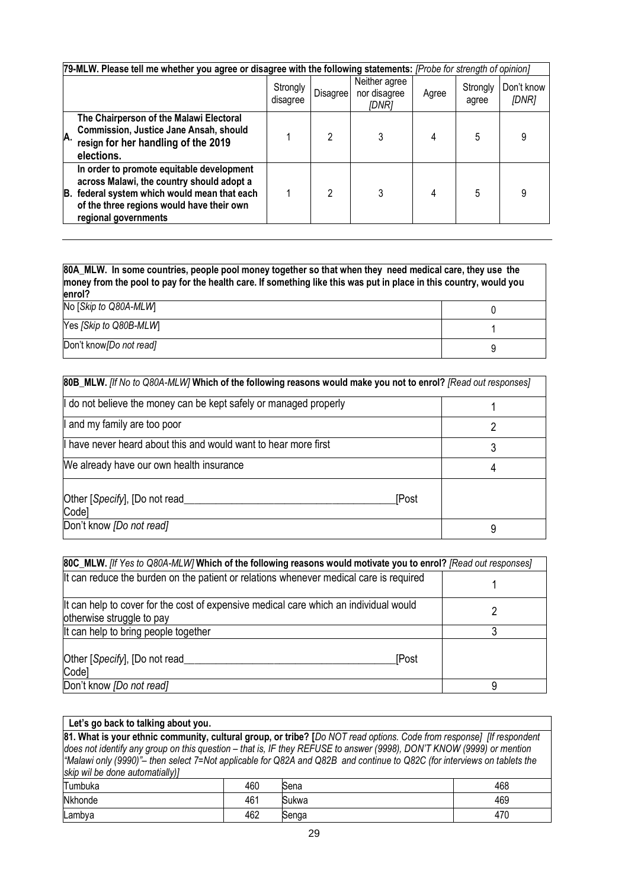|    | [79-MLW. Please tell me whether you agree or disagree with the following statements: [Probe for strength of opinion]                                                                                     |                      |                 |                                        |       |                   |                     |  |
|----|----------------------------------------------------------------------------------------------------------------------------------------------------------------------------------------------------------|----------------------|-----------------|----------------------------------------|-------|-------------------|---------------------|--|
|    |                                                                                                                                                                                                          | Strongly<br>disagree | <b>Disagree</b> | Neither agree<br>nor disagree<br>[DNR] | Agree | Strongly<br>agree | Don't know<br>[DNR] |  |
| А. | The Chairperson of the Malawi Electoral<br>Commission, Justice Jane Ansah, should<br>resign for her handling of the 2019<br>elections.                                                                   |                      | 2               |                                        |       |                   | 9                   |  |
| B. | In order to promote equitable development<br>across Malawi, the country should adopt a<br>federal system which would mean that each<br>of the three regions would have their own<br>regional governments |                      | 2               | 3                                      | 4     | 5                 | 9                   |  |

| 80A_MLW. In some countries, people pool money together so that when they need medical care, they use the<br>money from the pool to pay for the health care. If something like this was put in place in this country, would you<br>enrol? |  |  |  |  |  |
|------------------------------------------------------------------------------------------------------------------------------------------------------------------------------------------------------------------------------------------|--|--|--|--|--|
| No [Skip to Q80A-MLW]                                                                                                                                                                                                                    |  |  |  |  |  |
| Yes [Skip to Q80B-MLW]                                                                                                                                                                                                                   |  |  |  |  |  |
| Don't know [Do not read]                                                                                                                                                                                                                 |  |  |  |  |  |

| 80B_MLW. [If No to Q80A-MLW] Which of the following reasons would make you not to enrol? [Read out responses] |   |  |  |  |  |
|---------------------------------------------------------------------------------------------------------------|---|--|--|--|--|
| If do not believe the money can be kept safely or managed properly                                            |   |  |  |  |  |
| I and my family are too poor                                                                                  |   |  |  |  |  |
| If have never heard about this and would want to hear more first                                              |   |  |  |  |  |
| We already have our own health insurance                                                                      | 4 |  |  |  |  |
| Other [Specify], [Do not read<br><b>[Post</b><br>Code]                                                        |   |  |  |  |  |
| Don't know <i>[Do not read]</i>                                                                               |   |  |  |  |  |

| 80C_MLW. [If Yes to Q80A-MLW] Which of the following reasons would motivate you to enrol? [Read out responses]     |   |  |  |  |  |
|--------------------------------------------------------------------------------------------------------------------|---|--|--|--|--|
| It can reduce the burden on the patient or relations whenever medical care is required                             |   |  |  |  |  |
| It can help to cover for the cost of expensive medical care which an individual would<br>otherwise struggle to pay |   |  |  |  |  |
| It can help to bring people together                                                                               | ર |  |  |  |  |
| Other [Specify], [Do not read<br>[Post<br>Code]                                                                    |   |  |  |  |  |
| Don't know [Do not read]                                                                                           |   |  |  |  |  |

| Let's go back to talking about you.                                                                                   |     |                                                                                                                          |     |  |  |  |  |  |
|-----------------------------------------------------------------------------------------------------------------------|-----|--------------------------------------------------------------------------------------------------------------------------|-----|--|--|--|--|--|
| 81. What is your ethnic community, cultural group, or tribe? [Do NOT read options. Code from response] [If respondent |     |                                                                                                                          |     |  |  |  |  |  |
|                                                                                                                       |     | does not identify any group on this question - that is, IF they REFUSE to answer (9998), DON'T KNOW (9999) or mention    |     |  |  |  |  |  |
|                                                                                                                       |     | "Malawi only (9990)"- then select 7=Not applicable for Q82A and Q82B and continue to Q82C (for interviews on tablets the |     |  |  |  |  |  |
| skip wil be done automatially)]                                                                                       |     |                                                                                                                          |     |  |  |  |  |  |
| Tumbuka                                                                                                               | 460 | Sena                                                                                                                     | 468 |  |  |  |  |  |
| 461<br><b>Nkhonde</b><br>469<br>Sukwa                                                                                 |     |                                                                                                                          |     |  |  |  |  |  |
| Lambya                                                                                                                | 462 | Senga                                                                                                                    | 470 |  |  |  |  |  |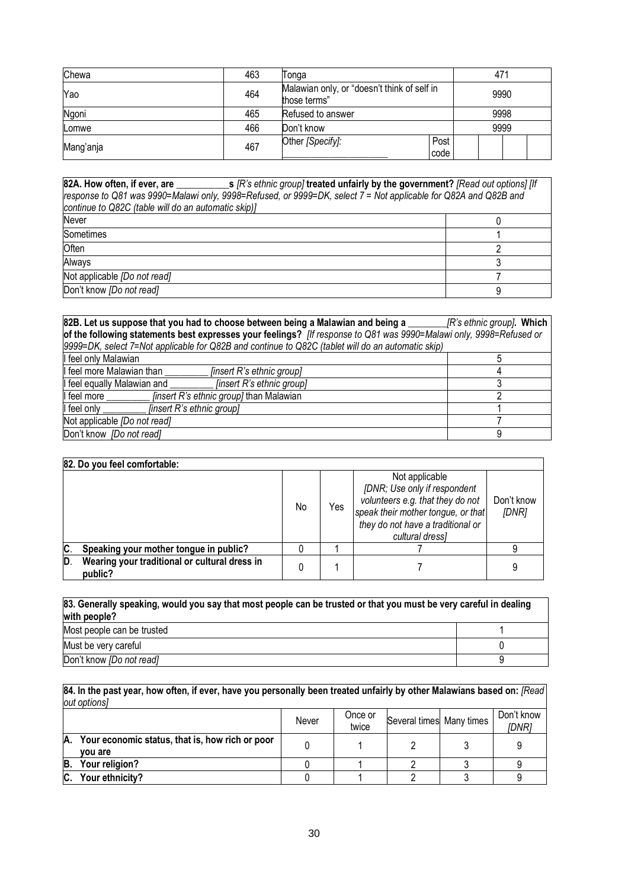| Chewa     | 463 | Tonga                                                       | 471  |      |  |  |  |
|-----------|-----|-------------------------------------------------------------|------|------|--|--|--|
| Yao       | 464 | Malawian only, or "doesn't think of self in<br>those terms" | 9990 |      |  |  |  |
| Ngoni     | 465 | Refused to answer                                           | 9998 |      |  |  |  |
| Lomwe     | 466 | Don't know                                                  |      | 9999 |  |  |  |
| Mang'anja | 467 | Other [Specify]:<br>Post<br>code                            |      |      |  |  |  |

**82A. How often, if ever, are \_\_\_\_\_\_\_\_\_\_\_s** *[R's ethnic group]* **treated unfairly by the government?** *[Read out options] [If response to Q81 was 9990=Malawi only, 9998=Refused, or 9999=DK, select 7 = Not applicable for Q82A and Q82B and continue to Q82C (table will do an automatic skip)]*  Never and the contract of the contract of the contract of the contract of the contract of the contract of the contract of the contract of the contract of the contract of the contract of the contract of the contract of the Sometimes and the state of the state of the state of the state of the state of the state of the state of the state of the state of the state of the state of the state of the state of the state of the state of the state of Often 2016 - 2022 - 2022 - 2022 - 2022 - 2022 - 2022 - 2022 - 2023 - 2023 - 2023 - 2023 - 2023 - 2023 - 2023 -Always 3. In the contract of the contract of the contract of the contract of the contract of the contract of the contract of the contract of the contract of the contract of the contract of the contract of the contract of t Not applicable *[Do not read]* 7 Don't know *[Do not read]* 9

| 82B. Let us suppose that you had to choose between being a Malawian and being a                                     | [R's ethnic group]. Which |
|---------------------------------------------------------------------------------------------------------------------|---------------------------|
| of the following statements best expresses your feelings? [If response to Q81 was 9990=Malawi only, 9998=Refused or |                           |
| 9999=DK, select 7=Not applicable for Q82B and continue to Q82C (tablet will do an automatic skip)                   |                           |
| I feel only Malawian                                                                                                |                           |
| I feel more Malawian than<br>[insert R's ethnic group]                                                              |                           |
| [insert R's ethnic group]<br>I feel equally Malawian and                                                            |                           |
| I feel more<br><i>finsert R's ethnic group]</i> than Malawian                                                       |                           |
| I feel only<br>[insert R's ethnic group]                                                                            |                           |
| Not applicable [Do not read]                                                                                        |                           |
| Don't know [Do not read]                                                                                            |                           |

|   | 82. Do you feel comfortable:                             |    |     |                                                                                                                                                                                  |                     |  |  |  |  |
|---|----------------------------------------------------------|----|-----|----------------------------------------------------------------------------------------------------------------------------------------------------------------------------------|---------------------|--|--|--|--|
|   |                                                          | No | Yes | Not applicable<br>[DNR; Use only if respondent<br>volunteers e.g. that they do not<br>speak their mother tongue, or that<br>they do not have a traditional or<br>cultural dressl | Don't know<br>[DNR] |  |  |  |  |
|   | Speaking your mother tongue in public?                   |    |     |                                                                                                                                                                                  |                     |  |  |  |  |
| D | Wearing your traditional or cultural dress in<br>public? |    |     |                                                                                                                                                                                  | 9                   |  |  |  |  |

| 83. Generally speaking, would you say that most people can be trusted or that you must be very careful in dealing<br>with people? |  |  |  |  |  |
|-----------------------------------------------------------------------------------------------------------------------------------|--|--|--|--|--|
| Most people can be trusted                                                                                                        |  |  |  |  |  |
| Must be very careful                                                                                                              |  |  |  |  |  |
| Don't know [Do not read]                                                                                                          |  |  |  |  |  |

**84. In the past year, how often, if ever, have you personally been treated unfairly by other Malawians based on:** *[Read out options]*

|    |                                                            | Never | Once or<br>twice | Several times Many times | Don't know<br><i>IDNR1</i> |
|----|------------------------------------------------------------|-------|------------------|--------------------------|----------------------------|
| A. | Your economic status, that is, how rich or poor<br>vou are |       |                  |                          |                            |
| B. | Your religion?                                             |       |                  |                          |                            |
| C. | Your ethnicity?                                            |       |                  |                          |                            |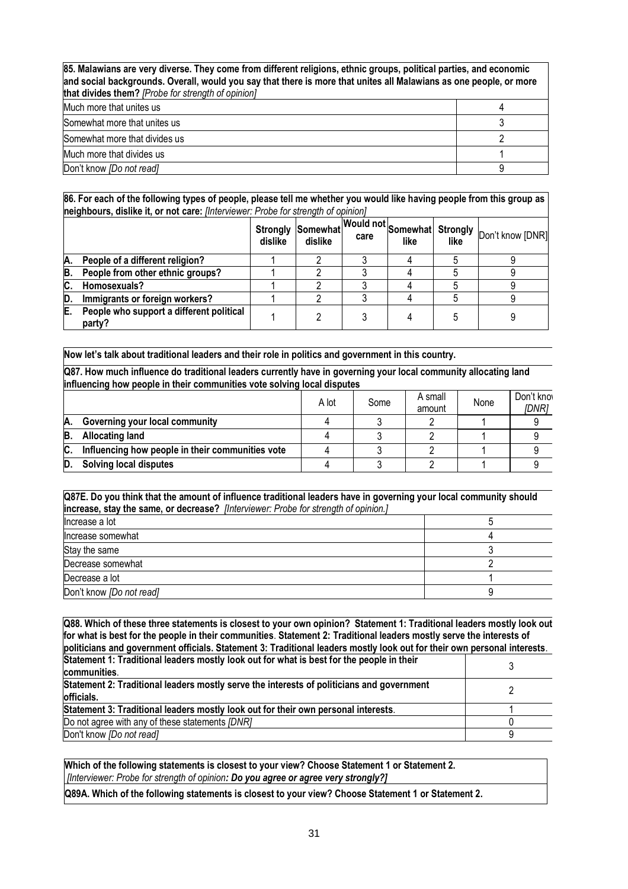| 85. Malawians are very diverse. They come from different religions, ethnic groups, political parties, and economic<br>and social backgrounds. Overall, would you say that there is more that unites all Malawians as one people, or more<br>that divides them? [Probe for strength of opinion] |  |  |  |  |  |
|------------------------------------------------------------------------------------------------------------------------------------------------------------------------------------------------------------------------------------------------------------------------------------------------|--|--|--|--|--|
| Much more that unites us                                                                                                                                                                                                                                                                       |  |  |  |  |  |
| Somewhat more that unites us                                                                                                                                                                                                                                                                   |  |  |  |  |  |
| Somewhat more that divides us                                                                                                                                                                                                                                                                  |  |  |  |  |  |
| Much more that divides us                                                                                                                                                                                                                                                                      |  |  |  |  |  |
| Don't know [Do not read]                                                                                                                                                                                                                                                                       |  |  |  |  |  |

### **86. For each of the following types of people, please tell me whether you would like having people from this group as neighbours, dislike it, or not care:** *[Interviewer: Probe for strength of opinion]*

|    |                                                    | dislike | dislike | like | like | Strongly Somewhat Would not Somewhat Strongly Don't know [DNR] |
|----|----------------------------------------------------|---------|---------|------|------|----------------------------------------------------------------|
| А. | People of a different religion?                    |         |         |      |      |                                                                |
| В. | People from other ethnic groups?                   |         |         |      |      |                                                                |
| C. | Homosexuals?                                       |         |         |      |      |                                                                |
| D. | Immigrants or foreign workers?                     |         |         |      |      |                                                                |
| E. | People who support a different political<br>party? |         |         |      |      |                                                                |

**Now let's talk about traditional leaders and their role in politics and government in this country.**

**Q87. How much influence do traditional leaders currently have in governing your local community allocating land influencing how people in their communities vote solving local disputes**

|     |                                                  | A lot | Some | A small<br>amount | None | Don't kno<br>[DNR] |
|-----|--------------------------------------------------|-------|------|-------------------|------|--------------------|
| Α.  | Governing your local community                   |       |      |                   |      |                    |
| B.  | <b>Allocating land</b>                           |       |      |                   |      |                    |
| IC. | Influencing how people in their communities vote |       |      |                   |      |                    |
|     | <b>Solving local disputes</b>                    |       |      |                   |      |                    |

**Q87E. Do you think that the amount of influence traditional leaders have in governing your local community should increase, stay the same, or decrease?** *[Interviewer: Probe for strength of opinion.]*

| Increase a lot           |  |
|--------------------------|--|
| Increase somewhat        |  |
| Stay the same            |  |
| Decrease somewhat        |  |
| Decrease a lot           |  |
| Don't know [Do not read] |  |

**Q88. Which of these three statements is closest to your own opinion? Statement 1: Traditional leaders mostly look out for what is best for the people in their communities**. **Statement 2: Traditional leaders mostly serve the interests of politicians and government officials. Statement 3: Traditional leaders mostly look out for their own personal interests**. **Statement 1: Traditional leaders mostly look out for what is best for the people in their communities**. 3 **Statement 2: Traditional leaders mostly serve the interests of politicians and government officials.** <sup>2</sup> **Statement 3: Traditional leaders mostly look out for their own personal interests**. 1 Do not agree with any of these statements *[DNR]* 0 Don't know *[Do not read]* 9

**Which of the following statements is closest to your view? Choose Statement 1 or Statement 2.** *[Interviewer: Probe for strength of opinion: Do you agree or agree very strongly?]*

**Q89A. Which of the following statements is closest to your view? Choose Statement 1 or Statement 2.**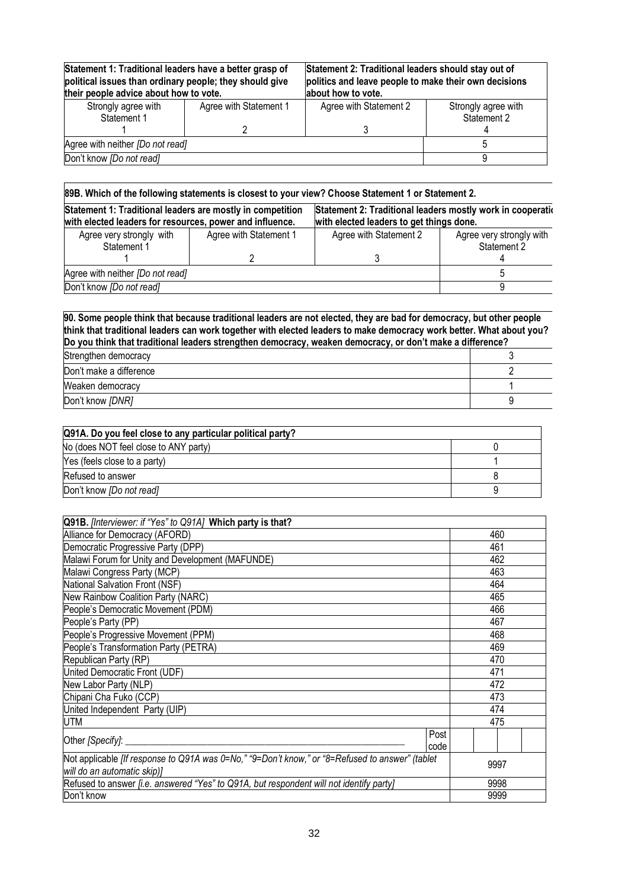| Statement 1: Traditional leaders have a better grasp of<br>political issues than ordinary people; they should give<br>their people advice about how to vote. |                        | Statement 2: Traditional leaders should stay out of<br>politics and leave people to make their own decisions<br>about how to vote. |                                    |  |
|--------------------------------------------------------------------------------------------------------------------------------------------------------------|------------------------|------------------------------------------------------------------------------------------------------------------------------------|------------------------------------|--|
| Strongly agree with<br>Statement 1                                                                                                                           | Agree with Statement 1 | Agree with Statement 2                                                                                                             | Strongly agree with<br>Statement 2 |  |
|                                                                                                                                                              |                        |                                                                                                                                    |                                    |  |
| Agree with neither [Do not read]                                                                                                                             |                        |                                                                                                                                    |                                    |  |
| Don't know [Do not read]                                                                                                                                     |                        |                                                                                                                                    |                                    |  |
|                                                                                                                                                              |                        |                                                                                                                                    |                                    |  |

|  | 89B. Which of the following statements is closest to your view? Choose Statement 1 or Statement 2. |  |
|--|----------------------------------------------------------------------------------------------------|--|
|  |                                                                                                    |  |

| Statement 1: Traditional leaders are mostly in competition<br>with elected leaders for resources, power and influence. |                        | Statement 2: Traditional leaders mostly work in cooperation<br>with elected leaders to get things done. |                                         |  |
|------------------------------------------------------------------------------------------------------------------------|------------------------|---------------------------------------------------------------------------------------------------------|-----------------------------------------|--|
| Agree very strongly with<br>Statement 1                                                                                | Agree with Statement 1 | Agree with Statement 2                                                                                  | Agree very strongly with<br>Statement 2 |  |
|                                                                                                                        |                        |                                                                                                         |                                         |  |
| Agree with neither [Do not read]                                                                                       |                        |                                                                                                         |                                         |  |
| Don't know [Do not read]                                                                                               |                        |                                                                                                         |                                         |  |

**90. Some people think that because traditional leaders are not elected, they are bad for democracy, but other people think that traditional leaders can work together with elected leaders to make democracy work better. What about you? Do you think that traditional leaders strengthen democracy, weaken democracy, or don't make a difference?**

| Strengthen democracy    |  |
|-------------------------|--|
| Don't make a difference |  |
| Weaken democracy        |  |
| Don't know [DNR]        |  |

| Q91A. Do you feel close to any particular political party? |  |
|------------------------------------------------------------|--|
| No (does NOT feel close to ANY party)                      |  |
| Yes (feels close to a party)                               |  |
| Refused to answer                                          |  |
| Don't know [Do not read]                                   |  |

| Q91B. <i>[Interviewer: if "Yes" to Q91A]</i> Which party is that?                               |      |      |      |  |  |
|-------------------------------------------------------------------------------------------------|------|------|------|--|--|
| Alliance for Democracy (AFORD)                                                                  |      |      | 460  |  |  |
| Democratic Progressive Party (DPP)                                                              |      |      | 461  |  |  |
| Malawi Forum for Unity and Development (MAFUNDE)                                                |      |      | 462  |  |  |
| Malawi Congress Party (MCP)                                                                     |      |      | 463  |  |  |
| National Salvation Front (NSF)                                                                  |      |      | 464  |  |  |
| New Rainbow Coalition Party (NARC)                                                              |      |      | 465  |  |  |
| People's Democratic Movement (PDM)                                                              |      |      | 466  |  |  |
| People's Party (PP)                                                                             |      |      | 467  |  |  |
| People's Progressive Movement (PPM)                                                             |      |      | 468  |  |  |
| People's Transformation Party (PETRA)                                                           |      |      | 469  |  |  |
| Republican Party (RP)                                                                           |      |      | 470  |  |  |
| United Democratic Front (UDF)                                                                   |      |      | 471  |  |  |
| New Labor Party (NLP)                                                                           |      |      | 472  |  |  |
| Chipani Cha Fuko (CCP)                                                                          |      |      | 473  |  |  |
| United Independent Party (UIP)                                                                  |      |      | 474  |  |  |
| UTM                                                                                             |      |      | 475  |  |  |
| Other [Specify]: _                                                                              | Post |      |      |  |  |
|                                                                                                 | code |      |      |  |  |
| Not applicable [If response to Q91A was 0=No," "9=Don't know," or "8=Refused to answer" (tablet |      |      | 9997 |  |  |
| will do an automatic skip)]                                                                     |      |      |      |  |  |
| Refused to answer <i>[i.e. answered "Yes" to Q91A, but respondent will not identify party]</i>  |      | 9998 |      |  |  |
| Don't know                                                                                      |      | 9999 |      |  |  |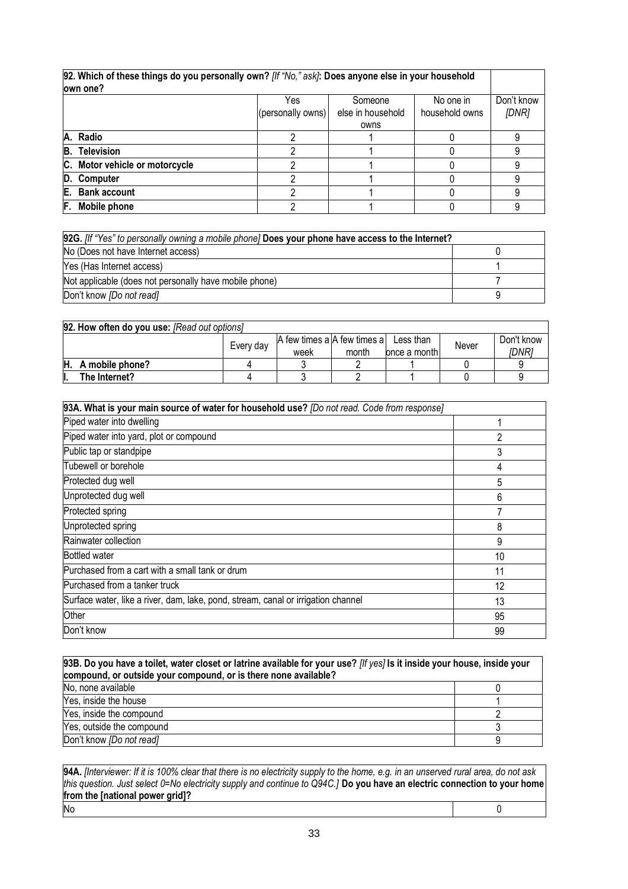| 92. Which of these things do you personally own? [If "No," ask]: Does anyone else in your household<br>lown one? |                   |                   |                |            |
|------------------------------------------------------------------------------------------------------------------|-------------------|-------------------|----------------|------------|
|                                                                                                                  | Yes               | Someone           | No one in      | Don't know |
|                                                                                                                  | (personally owns) | else in household | household owns | [DNR]      |
|                                                                                                                  |                   | owns              |                |            |
| A. Radio                                                                                                         |                   |                   |                |            |
| <b>Television</b><br>B.                                                                                          |                   |                   |                |            |
| C. Motor vehicle or motorcycle                                                                                   |                   |                   |                |            |
| D. Computer                                                                                                      |                   |                   |                |            |
| <b>Bank account</b><br>E.                                                                                        |                   |                   |                |            |
| F.<br>Mobile phone                                                                                               |                   |                   |                |            |

| 92G. [If "Yes" to personally owning a mobile phone] Does your phone have access to the Internet? |  |  |
|--------------------------------------------------------------------------------------------------|--|--|
| No (Does not have Internet access)                                                               |  |  |
| Yes (Has Internet access)                                                                        |  |  |
| Not applicable (does not personally have mobile phone)                                           |  |  |
| Don't know <i>[Do not read]</i>                                                                  |  |  |

| 92. How often do you use: [Read out options] |           |                                     |       |                            |       |                     |
|----------------------------------------------|-----------|-------------------------------------|-------|----------------------------|-------|---------------------|
|                                              | Every day | A few times a A few times a<br>week | month | Less than<br>once a monthl | Never | Don't know<br>IDNR1 |
| $H.$ A mobile phone?                         |           |                                     |       |                            |       |                     |
| The Internet?                                |           |                                     |       |                            |       |                     |

| 93A. What is your main source of water for household use? [Do not read. Code from response] |    |  |
|---------------------------------------------------------------------------------------------|----|--|
| Piped water into dwelling                                                                   |    |  |
| Piped water into yard, plot or compound                                                     | 2  |  |
| Public tap or standpipe                                                                     | 3  |  |
| Tubewell or borehole                                                                        | 4  |  |
| Protected dug well                                                                          | 5  |  |
| Unprotected dug well                                                                        | 6  |  |
| Protected spring                                                                            | 7  |  |
| Unprotected spring                                                                          | 8  |  |
| Rainwater collection                                                                        | 9  |  |
| <b>Bottled water</b>                                                                        | 10 |  |
| Purchased from a cart with a small tank or drum                                             | 11 |  |
| Purchased from a tanker truck                                                               | 12 |  |
| Surface water, like a river, dam, lake, pond, stream, canal or irrigation channel           | 13 |  |
| Other                                                                                       | 95 |  |
| Don't know                                                                                  | 99 |  |

| 93B. Do you have a toilet, water closet or latrine available for your use? [If yes] Is it inside your house, inside your<br>compound, or outside your compound, or is there none available? |   |  |
|---------------------------------------------------------------------------------------------------------------------------------------------------------------------------------------------|---|--|
| No, none available                                                                                                                                                                          |   |  |
| Yes, inside the house                                                                                                                                                                       |   |  |
| Yes, inside the compound                                                                                                                                                                    |   |  |
| Yes, outside the compound                                                                                                                                                                   |   |  |
| Don't know [Do not read]                                                                                                                                                                    | a |  |

**94A.** *[Interviewer: If it is 100% clear that there is no electricity supply to the home, e.g. in an unserved rural area, do not ask this question. Just select 0=No electricity supply and continue to Q94C.]* **Do you have an electric connection to your home from the [national power grid]?** No 0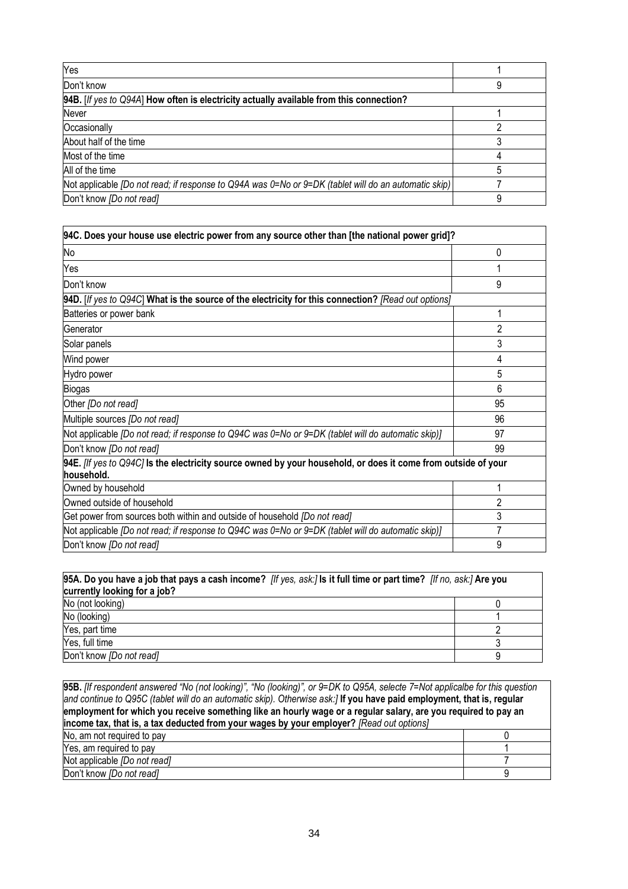| Yes                                                                                                    |   |
|--------------------------------------------------------------------------------------------------------|---|
| Don't know                                                                                             | 9 |
| 94B. [If yes to Q94A] How often is electricity actually available from this connection?                |   |
| Never                                                                                                  |   |
| Occasionally                                                                                           |   |
| About half of the time                                                                                 |   |
| Most of the time                                                                                       |   |
| All of the time                                                                                        |   |
| Not applicable [Do not read; if response to Q94A was 0=No or $9=DK$ (tablet will do an automatic skip) |   |
| Don't know [Do not read]                                                                               | 9 |

| 94C. Does your house use electric power from any source other than [the national power grid]?                               |                |
|-----------------------------------------------------------------------------------------------------------------------------|----------------|
| No                                                                                                                          | 0              |
| Yes                                                                                                                         |                |
| Don't know                                                                                                                  | 9              |
| 94D. [If yes to Q94C] What is the source of the electricity for this connection? [Read out options]                         |                |
| Batteries or power bank                                                                                                     |                |
| <b>Generator</b>                                                                                                            | $\overline{2}$ |
| Solar panels                                                                                                                | 3              |
| Wind power                                                                                                                  | 4              |
| Hydro power                                                                                                                 | 5              |
| <b>Biogas</b>                                                                                                               | 6              |
| Other [Do not read]                                                                                                         | 95             |
| Multiple sources [Do not read]                                                                                              | 96             |
| Not applicable <i>[Do not read; if response to Q94C was 0</i> =No or 9=DK (tablet will do automatic skip)]                  | 97             |
| Don't know [Do not read]                                                                                                    | 99             |
| 94E. [If yes to Q94C] Is the electricity source owned by your household, or does it come from outside of your<br>household. |                |
| Owned by household                                                                                                          |                |
| Owned outside of household                                                                                                  | 2              |
| Get power from sources both within and outside of household <i>[Do not read]</i>                                            | 3              |
| Not applicable [Do not read; if response to Q94C was 0=No or 9=DK (tablet will do automatic skip)]                          | 7              |
| Don't know [Do not read]                                                                                                    | 9              |

| 95A. Do you have a job that pays a cash income? [If yes, ask:] Is it full time or part time? [If no, ask:] Are you<br>currently looking for a job? |  |  |
|----------------------------------------------------------------------------------------------------------------------------------------------------|--|--|
| No (not looking)                                                                                                                                   |  |  |
| No (looking)                                                                                                                                       |  |  |
| Yes, part time                                                                                                                                     |  |  |
| Yes, full time                                                                                                                                     |  |  |
| Don't know [Do not read]                                                                                                                           |  |  |

| 95B. [If respondent answered "No (not looking)", "No (looking)", or 9=DK to Q95A, selecte 7=Not applicalbe for this question<br>and continue to Q95C (tablet will do an automatic skip). Otherwise ask:] If you have paid employment, that is, regular<br>employment for which you receive something like an hourly wage or a regular salary, are you required to pay an |  |  |
|--------------------------------------------------------------------------------------------------------------------------------------------------------------------------------------------------------------------------------------------------------------------------------------------------------------------------------------------------------------------------|--|--|
| income tax, that is, a tax deducted from your wages by your employer? [Read out options]                                                                                                                                                                                                                                                                                 |  |  |
| No, am not required to pay                                                                                                                                                                                                                                                                                                                                               |  |  |
| Yes, am required to pay                                                                                                                                                                                                                                                                                                                                                  |  |  |
| Not applicable <i>[Do not read]</i>                                                                                                                                                                                                                                                                                                                                      |  |  |
| Don't know <i>[Do not read]</i>                                                                                                                                                                                                                                                                                                                                          |  |  |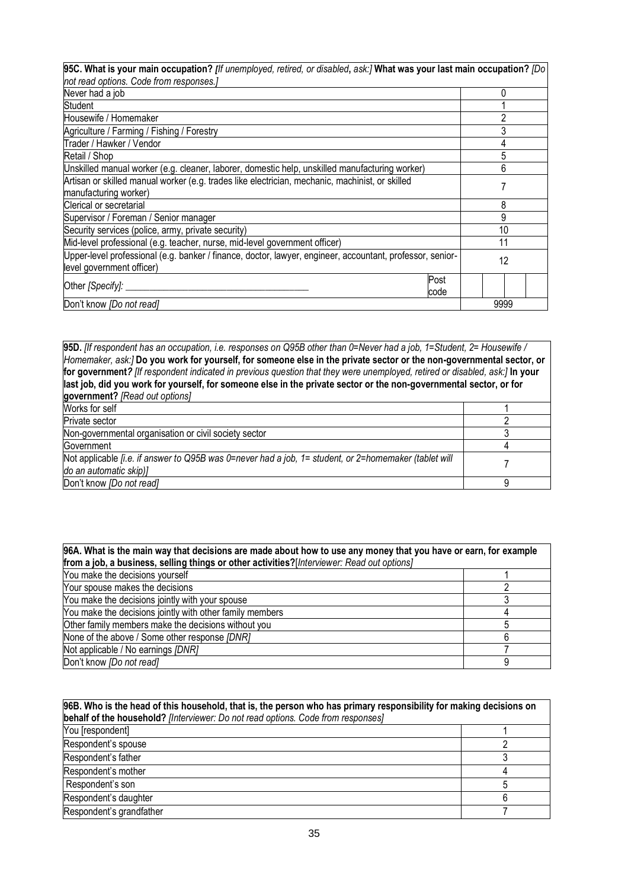| 95C. What is your main occupation? [If unemployed, retired, or disabled, ask:] What was your last main occupation? [Do |      |
|------------------------------------------------------------------------------------------------------------------------|------|
| not read options. Code from responses.]                                                                                |      |
| Never had a job                                                                                                        |      |
| Student                                                                                                                |      |
| Housewife / Homemaker                                                                                                  | ∩    |
| Agriculture / Farming / Fishing / Forestry                                                                             | 3    |
| Trader / Hawker / Vendor                                                                                               |      |
| Retail / Shop                                                                                                          | 5    |
| Unskilled manual worker (e.g. cleaner, laborer, domestic help, unskilled manufacturing worker)                         | 6    |
| Artisan or skilled manual worker (e.g. trades like electrician, mechanic, machinist, or skilled                        |      |
| manufacturing worker)                                                                                                  |      |
| Clerical or secretarial                                                                                                | 8    |
| Supervisor / Foreman / Senior manager                                                                                  | 9    |
| Security services (police, army, private security)                                                                     | 10   |
| Mid-level professional (e.g. teacher, nurse, mid-level government officer)                                             | 11   |
| Upper-level professional (e.g. banker / finance, doctor, lawyer, engineer, accountant, professor, senior-              | 12   |
| level government officer)                                                                                              |      |
| Post<br>Other [Specify]: ______<br>code                                                                                |      |
| Don't know [Do not read]                                                                                               | 9999 |

**95D.** *[If respondent has an occupation, i.e. responses on Q95B other than 0=Never had a job, 1=Student, 2= Housewife / Homemaker, ask:]* **Do you work for yourself, for someone else in the private sector or the non-governmental sector, or for government***? [If respondent indicated in previous question that they were unemployed, retired or disabled, ask:]* **In your last job, did you work for yourself, for someone else in the private sector or the non-governmental sector, or for government?** *[Read out options]*  Works for self 2008 and 2008 and 2008 and 2008 and 2008 and 2008 and 2008 and 2008 and 2008 and 2008 and 2008 and 2008 and 2008 and 2008 and 2008 and 2008 and 2008 and 2008 and 2008 and 2008 and 2008 and 2008 and 2008 and Private sector<br>Non-governmental organisation or civil society sector<br>3 Non-governmental organisation or civil society sector 3<br>Government<br>4 Government 4 and 2008 and 2009 and 2009 and 2009 and 2009 and 2009 and 2009 and 2009 and 2009 and 2009 and 200 Not applicable *[i.e. if answer to Q95B was 0=never had a job, 1= student, or 2=homemaker (tablet will do an automatic skip)]* <sup>7</sup> Don't know *[Do not read]* 9

| 96A. What is the main way that decisions are made about how to use any money that you have or earn, for example<br>from a job, a business, selling things or other activities?[Interviewer: Read out options] |  |  |
|---------------------------------------------------------------------------------------------------------------------------------------------------------------------------------------------------------------|--|--|
| You make the decisions yourself                                                                                                                                                                               |  |  |
| Your spouse makes the decisions                                                                                                                                                                               |  |  |
| You make the decisions jointly with your spouse                                                                                                                                                               |  |  |
| You make the decisions jointly with other family members                                                                                                                                                      |  |  |
| Other family members make the decisions without you                                                                                                                                                           |  |  |
| None of the above / Some other response [DNR]                                                                                                                                                                 |  |  |
| Not applicable / No earnings [DNR]                                                                                                                                                                            |  |  |
| Don't know [Do not read]                                                                                                                                                                                      |  |  |

| 96B. Who is the head of this household, that is, the person who has primary responsibility for making decisions on |  |  |
|--------------------------------------------------------------------------------------------------------------------|--|--|
| behalf of the household? [Interviewer: Do not read options. Code from responses]                                   |  |  |
| You [respondent]                                                                                                   |  |  |
| Respondent's spouse                                                                                                |  |  |
| Respondent's father                                                                                                |  |  |
| Respondent's mother                                                                                                |  |  |
| Respondent's son                                                                                                   |  |  |
| Respondent's daughter                                                                                              |  |  |
| Respondent's grandfather                                                                                           |  |  |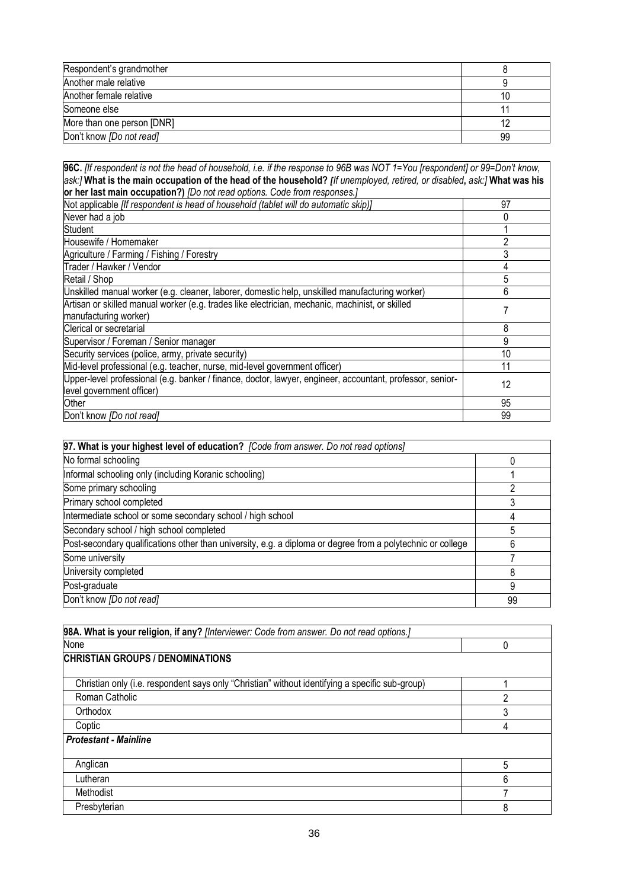| Respondent's grandmother   |    |
|----------------------------|----|
| Another male relative      |    |
| Another female relative    |    |
| Someone else               |    |
| More than one person [DNR] |    |
| Don't know [Do not read]   | 99 |

**96C.** *[If respondent is not the head of household, i.e. if the response to 96B was NOT 1=You [respondent] or 99=Don't know, ask:]* **What is the main occupation of the head of the household?** *[If unemployed, retired, or disabled***,** *ask:]* **What was his** 

| or her last main occupation?) [Do not read options. Code from responses.]                                 |    |  |
|-----------------------------------------------------------------------------------------------------------|----|--|
| Not applicable [If respondent is head of household (tablet will do automatic skip)]                       | 97 |  |
| Never had a job                                                                                           |    |  |
| <b>Student</b>                                                                                            |    |  |
| Housewife / Homemaker                                                                                     | 2  |  |
| Agriculture / Farming / Fishing / Forestry                                                                | 3  |  |
| Trader / Hawker / Vendor                                                                                  | 4  |  |
| Retail / Shop                                                                                             | 5  |  |
| Unskilled manual worker (e.g. cleaner, laborer, domestic help, unskilled manufacturing worker)            | 6  |  |
| Artisan or skilled manual worker (e.g. trades like electrician, mechanic, machinist, or skilled           |    |  |
| manufacturing worker)                                                                                     |    |  |
| Clerical or secretarial                                                                                   | 8  |  |
| Supervisor / Foreman / Senior manager                                                                     | 9  |  |
| Security services (police, army, private security)                                                        | 10 |  |
| Mid-level professional (e.g. teacher, nurse, mid-level government officer)                                | 11 |  |
| Upper-level professional (e.g. banker / finance, doctor, lawyer, engineer, accountant, professor, senior- | 12 |  |
| level government officer)                                                                                 |    |  |
| Other                                                                                                     | 95 |  |
| Don't know [Do not read]                                                                                  | 99 |  |

| 97. What is your highest level of education? [Code from answer. Do not read options]                        |    |  |
|-------------------------------------------------------------------------------------------------------------|----|--|
| No formal schooling                                                                                         |    |  |
| Informal schooling only (including Koranic schooling)                                                       |    |  |
| Some primary schooling                                                                                      |    |  |
| Primary school completed                                                                                    |    |  |
| Intermediate school or some secondary school / high school                                                  |    |  |
| Secondary school / high school completed                                                                    |    |  |
| Post-secondary qualifications other than university, e.g. a diploma or degree from a polytechnic or college |    |  |
| Some university                                                                                             |    |  |
| University completed                                                                                        |    |  |
| Post-graduate                                                                                               | 9  |  |
| Don't know [Do not read]                                                                                    | 99 |  |

| 98A. What is your religion, if any? [Interviewer: Code from answer. Do not read options.]       |   |  |
|-------------------------------------------------------------------------------------------------|---|--|
| None                                                                                            | 0 |  |
| <b>CHRISTIAN GROUPS / DENOMINATIONS</b>                                                         |   |  |
| Christian only (i.e. respondent says only "Christian" without identifying a specific sub-group) |   |  |
| Roman Catholic                                                                                  | 2 |  |
| Orthodox                                                                                        | 3 |  |
| Coptic                                                                                          | 4 |  |
| <b>Protestant - Mainline</b>                                                                    |   |  |
| Anglican                                                                                        | 5 |  |
| Lutheran                                                                                        | 6 |  |
| Methodist                                                                                       |   |  |
| Presbyterian                                                                                    | 8 |  |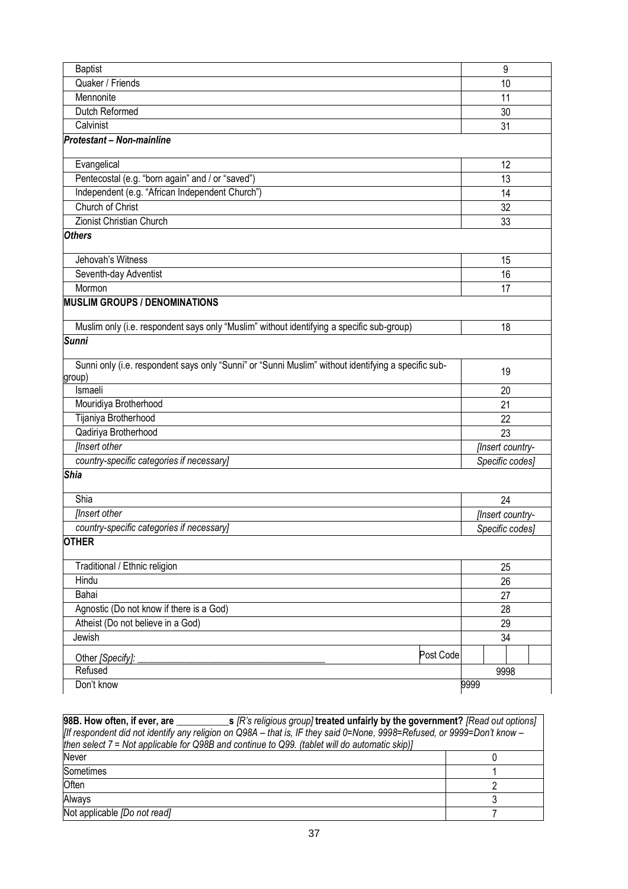| <b>Baptist</b>                                                                                                |      | 9                |  |
|---------------------------------------------------------------------------------------------------------------|------|------------------|--|
| Quaker / Friends                                                                                              |      | 10               |  |
| Mennonite                                                                                                     |      | 11               |  |
| Dutch Reformed                                                                                                |      | 30               |  |
| Calvinist                                                                                                     |      | 31               |  |
| Protestant - Non-mainline                                                                                     |      |                  |  |
| Evangelical                                                                                                   |      | 12               |  |
| Pentecostal (e.g. "born again" and / or "saved")                                                              |      | 13               |  |
| Independent (e.g. "African Independent Church")                                                               |      | 14               |  |
| Church of Christ                                                                                              |      | 32               |  |
| Zionist Christian Church                                                                                      |      | 33               |  |
| <b>Others</b>                                                                                                 |      |                  |  |
| Jehovah's Witness                                                                                             |      | 15               |  |
| Seventh-day Adventist                                                                                         |      | 16               |  |
| Mormon                                                                                                        |      | 17               |  |
| <b>MUSLIM GROUPS / DENOMINATIONS</b>                                                                          |      |                  |  |
| Muslim only (i.e. respondent says only "Muslim" without identifying a specific sub-group)                     |      | 18               |  |
| Sunni                                                                                                         |      |                  |  |
| Sunni only (i.e. respondent says only "Sunni" or "Sunni Muslim" without identifying a specific sub-<br>group) |      | 19               |  |
| Ismaeli                                                                                                       |      | 20               |  |
| Mouridiya Brotherhood                                                                                         |      | 21               |  |
| Tijaniya Brotherhood                                                                                          |      | 22               |  |
| Qadiriya Brotherhood                                                                                          |      | 23               |  |
| <b>Ilnsert other</b>                                                                                          |      | [Insert country- |  |
| country-specific categories if necessary]                                                                     |      | Specific codes]  |  |
| Shia                                                                                                          |      |                  |  |
| Shia                                                                                                          |      | 24               |  |
| <b>Insert other</b>                                                                                           |      | [Insert country- |  |
| country-specific categories if necessary]                                                                     |      | Specific codes]  |  |
| <b>OTHER</b>                                                                                                  |      |                  |  |
| Traditional / Ethnic religion                                                                                 |      | 25               |  |
| Hindu                                                                                                         | 26   |                  |  |
| Bahai                                                                                                         |      | 27               |  |
| Agnostic (Do not know if there is a God)                                                                      |      | 28               |  |
| Atheist (Do not believe in a God)                                                                             |      | 29               |  |
| Jewish                                                                                                        | 34   |                  |  |
| Post Code<br>Other [Specify]:                                                                                 |      |                  |  |
| Refused                                                                                                       |      | 9998             |  |
| Don't know                                                                                                    | 9999 |                  |  |

| 98B. How often, if ever, are __________<br>s [R's religious group] treated unfairly by the government? [Read out options] |  |  |
|---------------------------------------------------------------------------------------------------------------------------|--|--|
| [If respondent did not identify any religion on Q98A – that is, IF they said 0=None, 9998=Refused, or 9999=Don't know –   |  |  |
| then select $7 =$ Not applicable for Q98B and continue to Q99. (tablet will do automatic skip)]                           |  |  |
| Never                                                                                                                     |  |  |
| Sometimes                                                                                                                 |  |  |
| <b>Often</b>                                                                                                              |  |  |
| Always                                                                                                                    |  |  |
| Not applicable [Do not read]                                                                                              |  |  |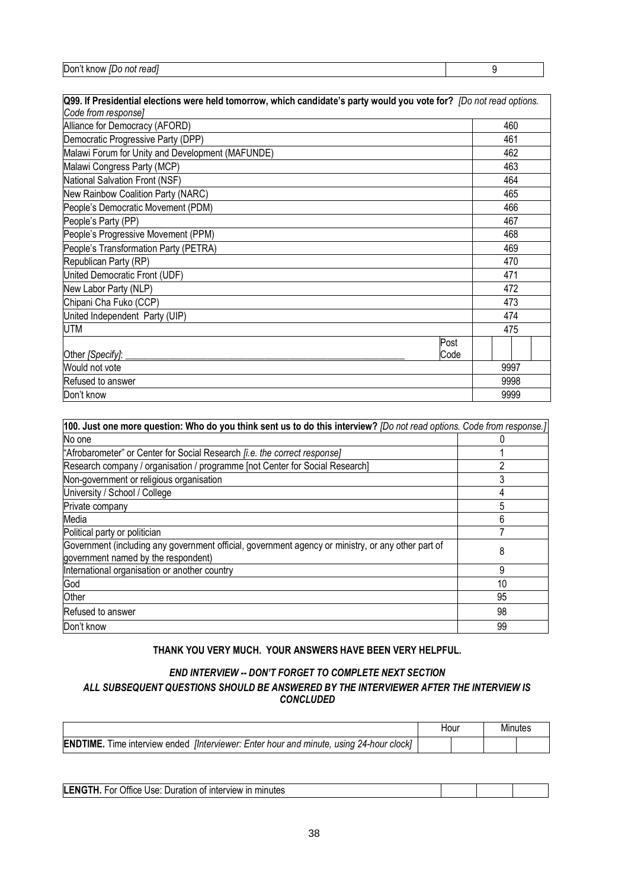| readl<br>∣Don′<br>know<br>not<br>IDC |  |
|--------------------------------------|--|
|                                      |  |

| Q99. If Presidential elections were held tomorrow, which candidate's party would you vote for? [Do not read options. |      |  |
|----------------------------------------------------------------------------------------------------------------------|------|--|
| Code from response]                                                                                                  |      |  |
| Alliance for Democracy (AFORD)                                                                                       | 460  |  |
| Democratic Progressive Party (DPP)                                                                                   | 461  |  |
| Malawi Forum for Unity and Development (MAFUNDE)                                                                     | 462  |  |
| Malawi Congress Party (MCP)                                                                                          | 463  |  |
| National Salvation Front (NSF)                                                                                       | 464  |  |
| New Rainbow Coalition Party (NARC)                                                                                   | 465  |  |
| People's Democratic Movement (PDM)                                                                                   | 466  |  |
| People's Party (PP)                                                                                                  | 467  |  |
| People's Progressive Movement (PPM)                                                                                  | 468  |  |
| People's Transformation Party (PETRA)                                                                                | 469  |  |
| Republican Party (RP)                                                                                                | 470  |  |
| United Democratic Front (UDF)                                                                                        | 471  |  |
| New Labor Party (NLP)                                                                                                | 472  |  |
| Chipani Cha Fuko (CCP)                                                                                               | 473  |  |
| United Independent Party (UIP)                                                                                       | 474  |  |
| UTM                                                                                                                  | 475  |  |
| Post                                                                                                                 |      |  |
| Other [Specify]:<br>Code                                                                                             |      |  |
| Would not vote                                                                                                       | 9997 |  |
| Refused to answer                                                                                                    | 9998 |  |
| Don't know                                                                                                           | 9999 |  |

| [100. Just one more question: Who do you think sent us to do this interview? [Do not read options. Code from response.]                   |    |  |
|-------------------------------------------------------------------------------------------------------------------------------------------|----|--|
| No one                                                                                                                                    |    |  |
| "Afrobarometer" or Center for Social Research <i>[i.e. the correct response]</i>                                                          |    |  |
| Research company / organisation / programme [not Center for Social Research]                                                              | 2  |  |
| Non-government or religious organisation                                                                                                  | 3  |  |
| University / School / College                                                                                                             | 4  |  |
| Private company                                                                                                                           | 5  |  |
| Media                                                                                                                                     | 6  |  |
| Political party or politician                                                                                                             |    |  |
| Government (including any government official, government agency or ministry, or any other part of<br>government named by the respondent) | 8  |  |
| International organisation or another country                                                                                             | 9  |  |
| God                                                                                                                                       | 10 |  |
| Other                                                                                                                                     | 95 |  |
| Refused to answer                                                                                                                         | 98 |  |
| Don't know                                                                                                                                | 99 |  |

## **THANK YOU VERY MUCH. YOUR ANSWERS HAVE BEEN VERY HELPFUL.**

## *END INTERVIEW -- DON'T FORGET TO COMPLETE NEXT SECTION ALL SUBSEQUENT QUESTIONS SHOULD BE ANSWERED BY THE INTERVIEWER AFTER THE INTERVIEW IS CONCLUDED*

|                                                                                                              | Hour |  |  |
|--------------------------------------------------------------------------------------------------------------|------|--|--|
| <b>ENDTIME.</b><br>Time interview ended <i>Interviewer: Enter hour and minute</i> ,<br>, using 24-hour clock |      |  |  |

| LENG<br>minutes<br>Use:<br>ır<br>.)ttice<br><b>VIEW</b><br><b>Duration</b><br>۰or<br>inter<br>OT<br>п. |  |  |
|--------------------------------------------------------------------------------------------------------|--|--|
|                                                                                                        |  |  |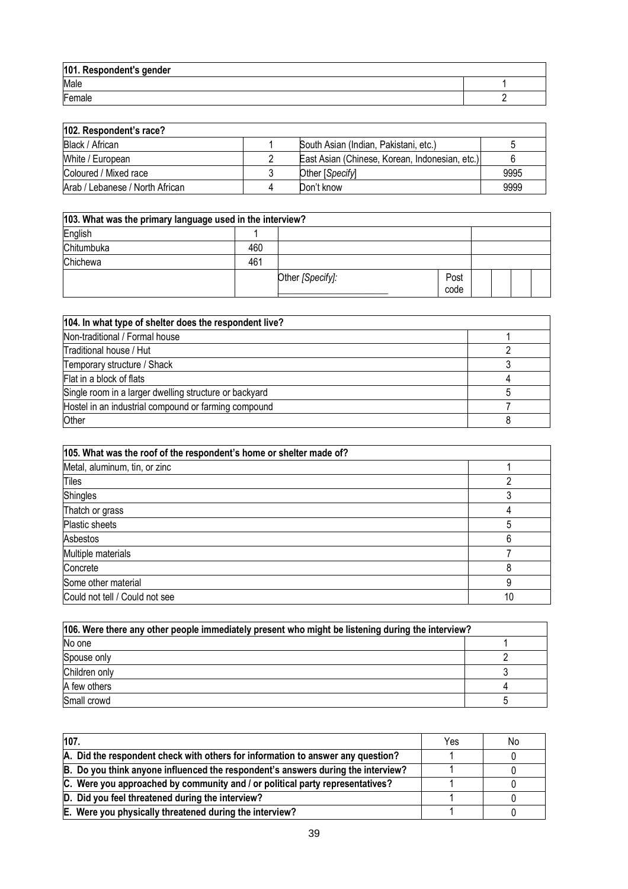| 101. Respondent's gender |  |
|--------------------------|--|
| Male                     |  |
| $E$ <sub>emale</sub>     |  |

| 102. Respondent's race?         |                                                |      |
|---------------------------------|------------------------------------------------|------|
| Black / African                 | South Asian (Indian, Pakistani, etc.)          |      |
| White / European                | East Asian (Chinese, Korean, Indonesian, etc.) |      |
| Coloured / Mixed race           | Other [Specify]                                | 9995 |
| Arab / Lebanese / North African | Don't know                                     | 9999 |

| 103. What was the primary language used in the interview? |     |                  |              |  |  |
|-----------------------------------------------------------|-----|------------------|--------------|--|--|
| English                                                   |     |                  |              |  |  |
| Chitumbuka                                                | 460 |                  |              |  |  |
| Chichewa                                                  | 461 |                  |              |  |  |
|                                                           |     | Other [Specify]: | Post<br>code |  |  |

| 104. In what type of shelter does the respondent live? |  |  |
|--------------------------------------------------------|--|--|
| Non-traditional / Formal house                         |  |  |
| Traditional house / Hut                                |  |  |
| Temporary structure / Shack                            |  |  |
| Flat in a block of flats                               |  |  |
| Single room in a larger dwelling structure or backyard |  |  |
| Hostel in an industrial compound or farming compound   |  |  |
| Other                                                  |  |  |

| 105. What was the roof of the respondent's home or shelter made of? |    |
|---------------------------------------------------------------------|----|
| Metal, aluminum, tin, or zinc                                       |    |
| Tiles                                                               |    |
| <b>Shingles</b>                                                     |    |
| Thatch or grass                                                     |    |
| Plastic sheets                                                      | 5  |
| Asbestos                                                            | 6  |
| Multiple materials                                                  |    |
| Concrete                                                            |    |
| Some other material                                                 | 9  |
| Could not tell / Could not see                                      | 10 |

| 106. Were there any other people immediately present who might be listening during the interview? |  |  |  |  |
|---------------------------------------------------------------------------------------------------|--|--|--|--|
| No one                                                                                            |  |  |  |  |
| Spouse only                                                                                       |  |  |  |  |
| Children only                                                                                     |  |  |  |  |
| A few others                                                                                      |  |  |  |  |
| Small crowd                                                                                       |  |  |  |  |

| 107.                                                                             |  | No |
|----------------------------------------------------------------------------------|--|----|
| A. Did the respondent check with others for information to answer any question?  |  |    |
| B. Do you think anyone influenced the respondent's answers during the interview? |  |    |
| C. Were you approached by community and / or political party representatives?    |  |    |
| D. Did you feel threatened during the interview?                                 |  |    |
| E. Were you physically threatened during the interview?                          |  |    |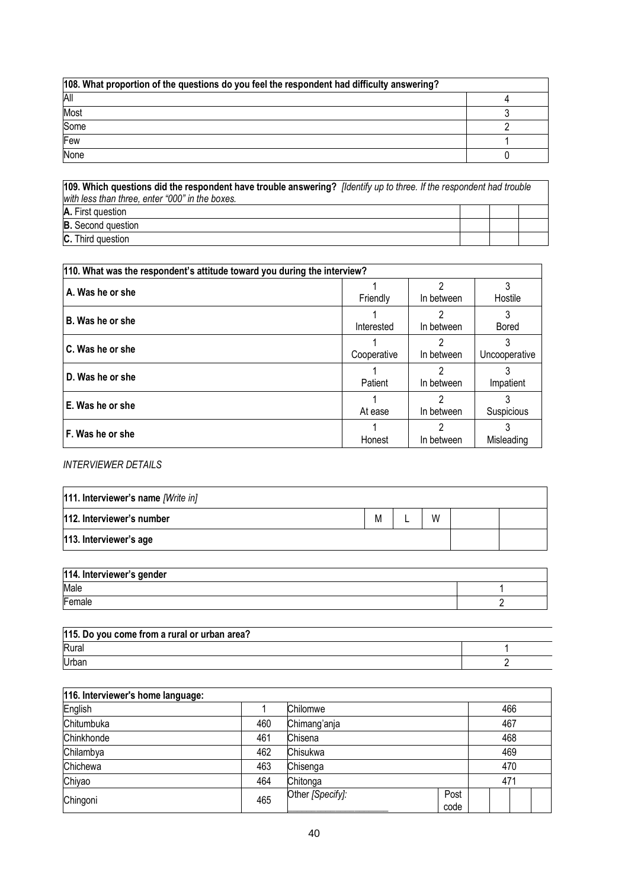| 108. What proportion of the questions do you feel the respondent had difficulty answering? |  |  |  |  |
|--------------------------------------------------------------------------------------------|--|--|--|--|
| All                                                                                        |  |  |  |  |
| Most                                                                                       |  |  |  |  |
| Some                                                                                       |  |  |  |  |
| Few                                                                                        |  |  |  |  |
| None                                                                                       |  |  |  |  |

| 109. Which questions did the respondent have trouble answering? <i>[Identify up to three. If the respondent had trouble</i><br>with less than three, enter "000" in the boxes. |  |  |  |  |  |
|--------------------------------------------------------------------------------------------------------------------------------------------------------------------------------|--|--|--|--|--|
| A. First question                                                                                                                                                              |  |  |  |  |  |
| <b>B.</b> Second question                                                                                                                                                      |  |  |  |  |  |
| <b>C.</b> Third question                                                                                                                                                       |  |  |  |  |  |

| 110. What was the respondent's attitude toward you during the interview? |             |                 |                    |  |  |  |
|--------------------------------------------------------------------------|-------------|-----------------|--------------------|--|--|--|
| A. Was he or she                                                         | Friendly    | 2<br>In between | Hostile            |  |  |  |
| B. Was he or she                                                         | Interested  | 2<br>In between | <b>Bored</b>       |  |  |  |
| C. Was he or she                                                         | Cooperative | າ<br>In between | 3<br>Uncooperative |  |  |  |
| D. Was he or she                                                         | Patient     | າ<br>In between | Impatient          |  |  |  |
| E. Was he or she                                                         | At ease     | In between      | Suspicious         |  |  |  |
| F. Was he or she                                                         | Honest      | າ<br>In between | Misleading         |  |  |  |

## *INTERVIEWER DETAILS*

| 111. Interviewer's name [Write in] |   |  |   |  |  |
|------------------------------------|---|--|---|--|--|
| 112. Interviewer's number          | M |  | W |  |  |
| 113. Interviewer's age             |   |  |   |  |  |

| 114. Interviewer's gender |  |
|---------------------------|--|
| Male                      |  |
| Female                    |  |

| 115. Do you come from a rural or urban area? |  |
|----------------------------------------------|--|
| Rural                                        |  |
| Urban                                        |  |

| 116. Interviewer's home language: |     |                  |              |     |  |
|-----------------------------------|-----|------------------|--------------|-----|--|
| English                           |     | Chilomwe         |              | 466 |  |
| Chitumbuka                        | 460 | Chimang'anja     | 467          |     |  |
| Chinkhonde                        | 461 | Chisena          |              | 468 |  |
| Chilambya                         | 462 | Chisukwa         |              | 469 |  |
| Chichewa                          | 463 | Chisenga         | 470          |     |  |
| Chiyao                            | 464 | Chitonga         |              | 471 |  |
| Chingoni                          | 465 | Other [Specify]: | Post<br>code |     |  |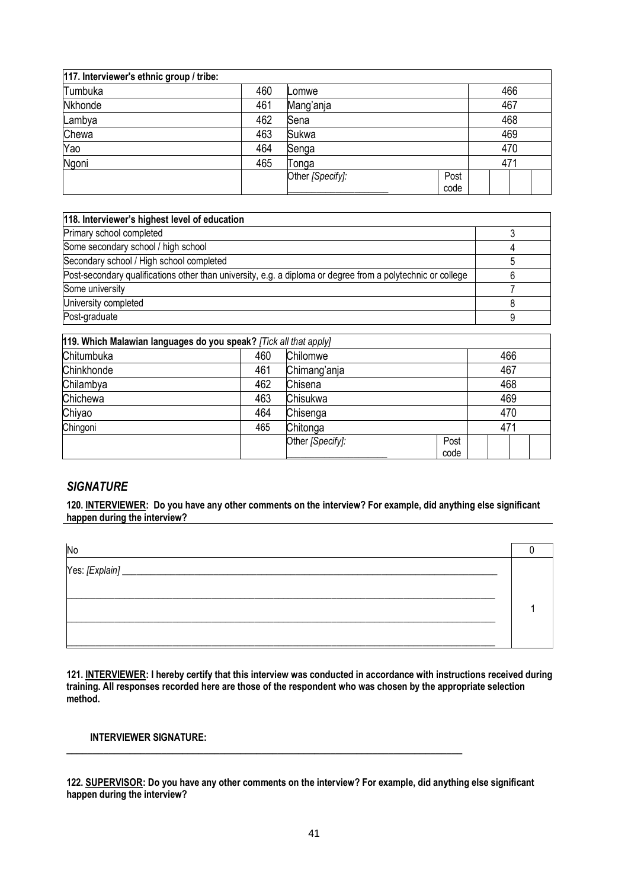| 117. Interviewer's ethnic group / tribe: |     |                  |      |     |
|------------------------------------------|-----|------------------|------|-----|
| Tumbuka                                  | 460 | Lomwe            |      | 466 |
| Nkhonde                                  | 461 | Mang'anja        |      | 467 |
| Lambya                                   | 462 | Sena             |      | 468 |
| Chewa                                    | 463 | Sukwa            |      | 469 |
| Yao                                      | 464 | Senga            |      | 470 |
| Ngoni                                    | 465 | Tonga            |      | 471 |
|                                          |     | Other [Specify]: | Post |     |
|                                          |     |                  | code |     |

| 118. Interviewer's highest level of education                                                               |  |
|-------------------------------------------------------------------------------------------------------------|--|
| Primary school completed                                                                                    |  |
| Some secondary school / high school                                                                         |  |
| Secondary school / High school completed                                                                    |  |
| Post-secondary qualifications other than university, e.g. a diploma or degree from a polytechnic or college |  |
| Some university                                                                                             |  |
| University completed                                                                                        |  |
| Post-graduate                                                                                               |  |

| 119. Which Malawian languages do you speak? [Tick all that apply] |     |                  |      |     |     |  |  |
|-------------------------------------------------------------------|-----|------------------|------|-----|-----|--|--|
| Chitumbuka                                                        | 460 | Chilomwe         |      |     | 466 |  |  |
| Chinkhonde                                                        | 461 | Chimang'anja     |      |     | 467 |  |  |
| Chilambya                                                         | 462 | Chisena          |      |     | 468 |  |  |
| Chichewa                                                          | 463 | Chisukwa         |      | 469 |     |  |  |
| Chiyao                                                            | 464 | Chisenga         |      |     | 470 |  |  |
| Chingoni                                                          | 465 | Chitonga         |      |     | 471 |  |  |
|                                                                   |     | Other [Specify]: | Post |     |     |  |  |
|                                                                   |     |                  | code |     |     |  |  |

## *SIGNATURE*

**120. INTERVIEWER: Do you have any other comments on the interview? For example, did anything else significant happen during the interview?**

**121. INTERVIEWER: I hereby certify that this interview was conducted in accordance with instructions received during training. All responses recorded here are those of the respondent who was chosen by the appropriate selection method.**

### **INTERVIEWER SIGNATURE:**

**122. SUPERVISOR: Do you have any other comments on the interview? For example, did anything else significant happen during the interview?**

**\_\_\_\_\_\_\_\_\_\_\_\_\_\_\_\_\_\_\_\_\_\_\_\_\_\_\_\_\_\_\_\_\_\_\_\_\_\_\_\_\_\_\_\_\_\_\_\_\_\_\_\_\_\_\_\_\_\_\_\_\_\_\_\_\_\_\_\_\_\_\_\_\_\_\_**